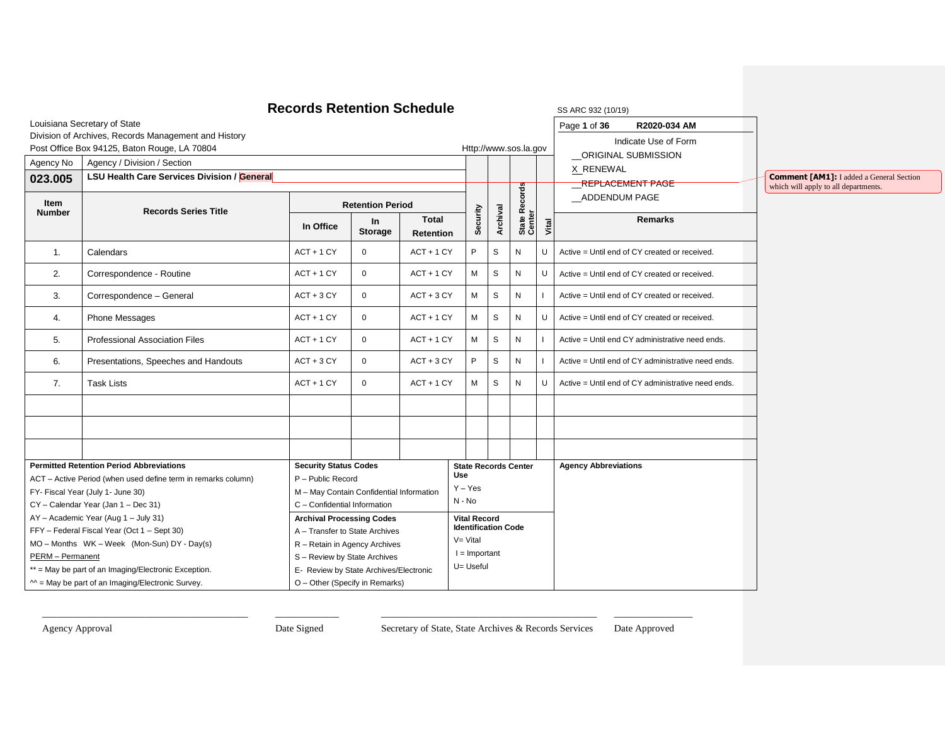|               |                                                                                                                | <b>Records Retention Schedule</b>                                |                         |                           |                            |                                                 |   |                             |                | SS ARC 932 (10/19)                                 |                                                 |
|---------------|----------------------------------------------------------------------------------------------------------------|------------------------------------------------------------------|-------------------------|---------------------------|----------------------------|-------------------------------------------------|---|-----------------------------|----------------|----------------------------------------------------|-------------------------------------------------|
|               | Louisiana Secretary of State                                                                                   |                                                                  |                         |                           |                            |                                                 |   |                             |                | Page 1 of 36<br>R2020-034 AM                       |                                                 |
|               | Division of Archives, Records Management and History                                                           |                                                                  |                         |                           |                            |                                                 |   |                             |                | Indicate Use of Form                               |                                                 |
|               | Post Office Box 94125, Baton Rouge, LA 70804                                                                   |                                                                  |                         |                           |                            |                                                 |   | Http://www.sos.la.gov       |                | ORIGINAL SUBMISSION                                |                                                 |
| Agency No     | Agency / Division / Section                                                                                    |                                                                  |                         |                           |                            |                                                 |   |                             |                | X RENEWAL                                          |                                                 |
| 023.005       | LSU Health Care Services Division / General                                                                    |                                                                  |                         |                           |                            |                                                 |   |                             |                | REPLACEMENT PAGE                                   | <b>Comment [AM1]:</b> I added a General Section |
| Item          |                                                                                                                |                                                                  |                         |                           |                            |                                                 |   |                             |                | ADDENDUM PAGE                                      | which will apply to all departments.            |
| <b>Number</b> | <b>Records Series Title</b>                                                                                    |                                                                  | <b>Retention Period</b> |                           |                            |                                                 |   |                             |                |                                                    |                                                 |
|               |                                                                                                                | In Office                                                        | In<br><b>Storage</b>    | <b>Total</b><br>Retention |                            | State Records<br>Center<br>Archival<br>Security |   | Vital                       | <b>Remarks</b> |                                                    |                                                 |
| 1.            | Calendars                                                                                                      | $ACT + 1 CY$                                                     | $\mathbf{0}$            | $ACT + 1 CY$              | P                          |                                                 | S | N                           | IJ             | Active = Until end of CY created or received.      |                                                 |
| 2.            | Correspondence - Routine                                                                                       | $ACT + 1 CY$                                                     | $\mathbf 0$             | $ACT + 1 CY$              | M                          |                                                 | S | $\mathsf{N}$                | U              | Active = Until end of CY created or received.      |                                                 |
| 3.            | Correspondence - General                                                                                       | $ACT + 3 CY$                                                     | $\mathbf 0$             | $ACT + 3 CY$              | M                          |                                                 | S | $\mathsf{N}$                |                | Active = Until end of CY created or received.      |                                                 |
| 4.            | <b>Phone Messages</b>                                                                                          | $ACT + 1 CY$                                                     | $\mathbf 0$             | $ACT + 1 CY$              | М                          |                                                 | S | $\mathsf{N}$                | $\mathbf{H}$   | Active = Until end of CY created or received.      |                                                 |
| 5.            | <b>Professional Association Files</b>                                                                          | $ACT + 1 CY$                                                     | $\mathbf 0$             | $ACT + 1 CY$              | М                          |                                                 | S | N                           |                | Active = Until end CY administrative need ends.    |                                                 |
| 6.            | Presentations, Speeches and Handouts                                                                           | $ACT + 3 CY$                                                     | $\mathbf 0$             | $ACT + 3 CY$              | P                          |                                                 | S | $\mathsf{N}$                |                | Active = Until end of CY administrative need ends. |                                                 |
| 7.            | <b>Task Lists</b>                                                                                              | $ACT + 1 CY$                                                     | $\pmb{0}$               | $ACT + 1 CY$              | M                          |                                                 | S | N                           | $\cup$         | Active = Until end of CY administrative need ends. |                                                 |
|               |                                                                                                                |                                                                  |                         |                           |                            |                                                 |   |                             |                |                                                    |                                                 |
|               |                                                                                                                |                                                                  |                         |                           |                            |                                                 |   |                             |                |                                                    |                                                 |
|               |                                                                                                                |                                                                  |                         |                           |                            |                                                 |   |                             |                |                                                    |                                                 |
|               | <b>Permitted Retention Period Abbreviations</b>                                                                | <b>Security Status Codes</b>                                     |                         |                           | <b>Use</b>                 |                                                 |   | <b>State Records Center</b> |                | <b>Agency Abbreviations</b>                        |                                                 |
|               | ACT - Active Period (when used define term in remarks column)                                                  | P - Public Record                                                |                         |                           | $Y - Yes$                  |                                                 |   |                             |                |                                                    |                                                 |
|               | FY- Fiscal Year (July 1- June 30)                                                                              | M - May Contain Confidential Information                         |                         |                           | N - No                     |                                                 |   |                             |                |                                                    |                                                 |
|               | CY - Calendar Year (Jan 1 - Dec 31)<br>AY - Academic Year (Aug 1 - July 31)                                    | C - Confidential Information<br><b>Archival Processing Codes</b> |                         |                           | <b>Vital Record</b>        |                                                 |   |                             |                |                                                    |                                                 |
|               | FFY - Federal Fiscal Year (Oct 1 - Sept 30)                                                                    |                                                                  |                         |                           | <b>Identification Code</b> |                                                 |   |                             |                |                                                    |                                                 |
|               | A - Transfer to State Archives<br>MO - Months WK - Week (Mon-Sun) DY - Day(s)<br>R - Retain in Agency Archives |                                                                  | $V = Vital$             |                           |                            |                                                 |   |                             |                |                                                    |                                                 |
|               | PERM - Permanent<br>S - Review by State Archives                                                               |                                                                  |                         | $I =$ Important           |                            |                                                 |   |                             |                |                                                    |                                                 |
|               | ** = May be part of an Imaging/Electronic Exception.                                                           | E- Review by State Archives/Electronic                           |                         |                           | U= Useful                  |                                                 |   |                             |                |                                                    |                                                 |
|               | $M =$ May be part of an Imaging/Electronic Survey.                                                             | O - Other (Specify in Remarks)                                   |                         |                           |                            |                                                 |   |                             |                |                                                    |                                                 |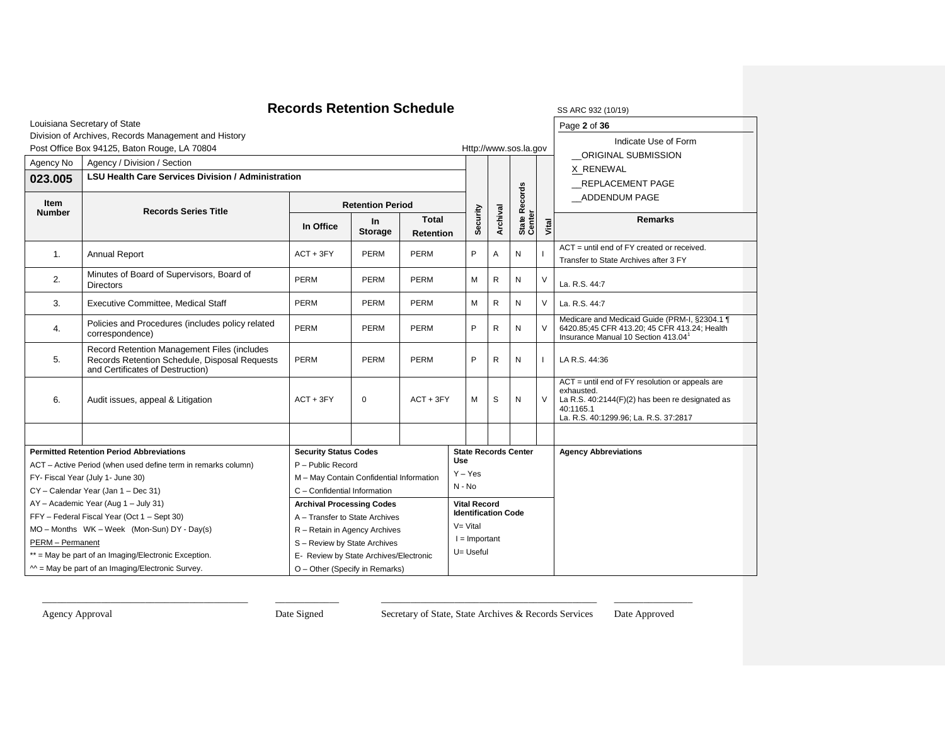| <b>Records Retention Schedule</b><br>SS ARC 932 (10/19) |                                                                                                                                  |                                                                                   |                         |             |                                                   |                   |                             |               |                                                                                                                                                                            |  |  |
|---------------------------------------------------------|----------------------------------------------------------------------------------------------------------------------------------|-----------------------------------------------------------------------------------|-------------------------|-------------|---------------------------------------------------|-------------------|-----------------------------|---------------|----------------------------------------------------------------------------------------------------------------------------------------------------------------------------|--|--|
|                                                         | Louisiana Secretary of State                                                                                                     |                                                                                   |                         |             |                                                   | Page 2 of 36      |                             |               |                                                                                                                                                                            |  |  |
|                                                         | Division of Archives, Records Management and History                                                                             |                                                                                   |                         |             |                                                   |                   |                             |               | Indicate Use of Form                                                                                                                                                       |  |  |
|                                                         | Post Office Box 94125, Baton Rouge, LA 70804                                                                                     |                                                                                   |                         |             |                                                   |                   | Http://www.sos.la.gov       |               | ORIGINAL SUBMISSION                                                                                                                                                        |  |  |
| Agency / Division / Section<br>Agency No                |                                                                                                                                  |                                                                                   |                         |             |                                                   |                   |                             |               | X RENEWAL                                                                                                                                                                  |  |  |
| 023.005                                                 | <b>LSU Health Care Services Division / Administration</b>                                                                        |                                                                                   |                         |             |                                                   |                   |                             |               | REPLACEMENT PAGE                                                                                                                                                           |  |  |
| Item                                                    | <b>Records Series Title</b>                                                                                                      |                                                                                   | <b>Retention Period</b> |             |                                                   |                   | Records                     |               | ADDENDUM PAGE                                                                                                                                                              |  |  |
| <b>Number</b>                                           |                                                                                                                                  | Security<br><b>Total</b><br>In<br>In Office<br><b>Storage</b><br><b>Retention</b> |                         | Archival    | State R<br>Center                                 | Vital             | <b>Remarks</b>              |               |                                                                                                                                                                            |  |  |
| 1.                                                      | <b>Annual Report</b>                                                                                                             | $ACT + 3FY$                                                                       | PERM                    | <b>PERM</b> | P                                                 | $\overline{A}$    | N                           |               | ACT = until end of FY created or received.<br>Transfer to State Archives after 3 FY                                                                                        |  |  |
| 2.                                                      | Minutes of Board of Supervisors, Board of<br><b>Directors</b>                                                                    | PERM                                                                              | PERM                    | <b>PERM</b> | M                                                 | $\mathsf{R}$      | Ν                           | $\vee$        | La. R.S. 44:7                                                                                                                                                              |  |  |
| 3.                                                      | <b>Executive Committee, Medical Staff</b>                                                                                        | PERM<br>PERM<br><b>PERM</b>                                                       |                         |             |                                                   | $\mathsf{R}$<br>м | N                           | $\vee$        | La. R.S. 44:7                                                                                                                                                              |  |  |
| 4.                                                      | Policies and Procedures (includes policy related<br>correspondence)                                                              | PERM<br>PERM<br><b>PERM</b>                                                       |                         |             |                                                   | $\mathsf{R}$      | N                           | $\vee$        | Medicare and Medicaid Guide (PRM-I, §2304.1 ¶<br>6420.85;45 CFR 413.20; 45 CFR 413.24; Health<br>Insurance Manual 10 Section 413.04 <sup>1</sup>                           |  |  |
| 5.                                                      | Record Retention Management Files (includes<br>Records Retention Schedule, Disposal Requests<br>and Certificates of Destruction) | <b>PERM</b><br><b>PERM</b><br><b>PERM</b>                                         |                         | P           | $\mathsf{R}$                                      | N                 |                             | LA R.S. 44:36 |                                                                                                                                                                            |  |  |
| 6.                                                      | Audit issues, appeal & Litigation                                                                                                | $ACT + 3FY$                                                                       | $\mathbf 0$             | $ACT + 3FY$ | М                                                 | S                 | N                           | $\vee$        | $ACT =$ until end of $FY$ resolution or appeals are<br>exhausted.<br>La R.S. 40:2144(F)(2) has been re designated as<br>40:1165.1<br>La. R.S. 40:1299.96; La. R.S. 37:2817 |  |  |
|                                                         |                                                                                                                                  |                                                                                   |                         |             |                                                   |                   |                             |               |                                                                                                                                                                            |  |  |
|                                                         | <b>Permitted Retention Period Abbreviations</b>                                                                                  | <b>Security Status Codes</b>                                                      |                         |             |                                                   |                   | <b>State Records Center</b> |               | <b>Agency Abbreviations</b>                                                                                                                                                |  |  |
|                                                         | ACT - Active Period (when used define term in remarks column)                                                                    | P - Public Record                                                                 |                         |             | <b>Use</b><br>$Y - Yes$                           |                   |                             |               |                                                                                                                                                                            |  |  |
|                                                         | FY- Fiscal Year (July 1- June 30)                                                                                                | M - May Contain Confidential Information                                          |                         |             | $N - No$                                          |                   |                             |               |                                                                                                                                                                            |  |  |
|                                                         | CY - Calendar Year (Jan 1 - Dec 31)                                                                                              | C - Confidential Information                                                      |                         |             |                                                   |                   |                             |               |                                                                                                                                                                            |  |  |
|                                                         | AY - Academic Year (Aug 1 - July 31)<br>FFY - Federal Fiscal Year (Oct 1 - Sept 30)                                              | <b>Archival Processing Codes</b><br>A - Transfer to State Archives                |                         |             | <b>Vital Record</b><br><b>Identification Code</b> |                   |                             |               |                                                                                                                                                                            |  |  |
|                                                         | MO - Months WK - Week (Mon-Sun) DY - Day(s)                                                                                      | R - Retain in Agency Archives                                                     |                         |             | $V = Vital$                                       |                   |                             |               |                                                                                                                                                                            |  |  |
| PERM - Permanent                                        |                                                                                                                                  | S - Review by State Archives                                                      | $I =$ Important         |             |                                                   |                   |                             |               |                                                                                                                                                                            |  |  |
|                                                         | ** = May be part of an Imaging/Electronic Exception.                                                                             | E- Review by State Archives/Electronic                                            | U= Useful               |             |                                                   |                   |                             |               |                                                                                                                                                                            |  |  |
|                                                         | $M =$ May be part of an Imaging/Electronic Survey.                                                                               | O - Other (Specify in Remarks)                                                    |                         |             |                                                   |                   |                             |               |                                                                                                                                                                            |  |  |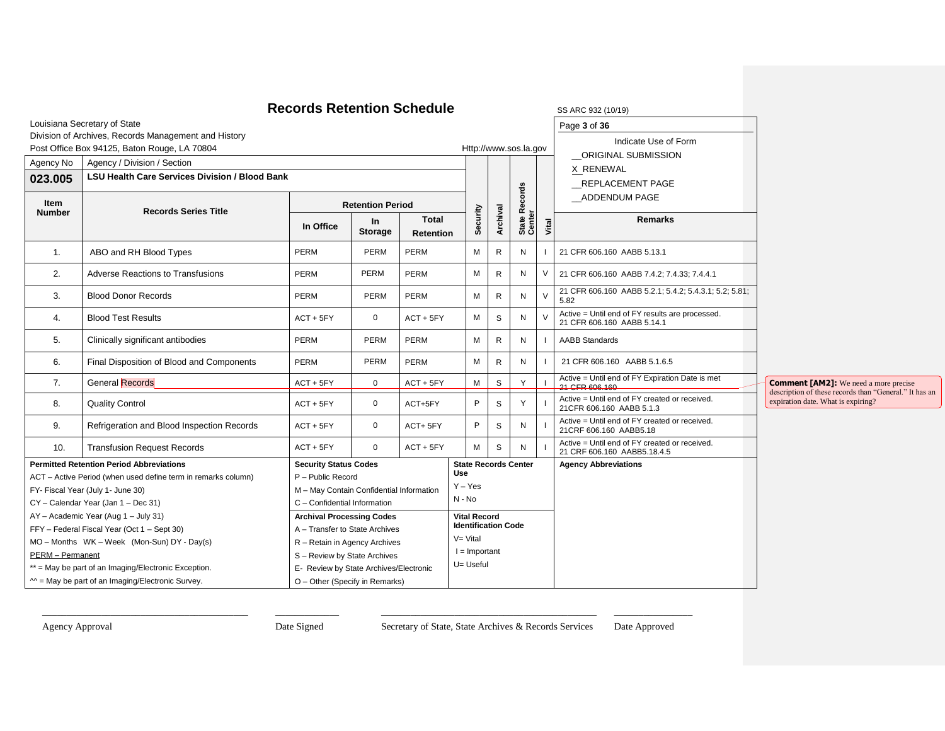|                  |                                                                                                              | <b>Records Retention Schedule</b>                                        |                             |                                  |                                                   |              |                       |                   |               | SS ARC 932 (10/19)                                                            |                                                                                                        |
|------------------|--------------------------------------------------------------------------------------------------------------|--------------------------------------------------------------------------|-----------------------------|----------------------------------|---------------------------------------------------|--------------|-----------------------|-------------------|---------------|-------------------------------------------------------------------------------|--------------------------------------------------------------------------------------------------------|
|                  | Louisiana Secretary of State                                                                                 |                                                                          |                             |                                  |                                                   |              |                       |                   |               | Page 3 of 36                                                                  |                                                                                                        |
|                  | Division of Archives, Records Management and History                                                         |                                                                          |                             |                                  |                                                   |              |                       |                   |               | Indicate Use of Form                                                          |                                                                                                        |
|                  | Post Office Box 94125, Baton Rouge, LA 70804                                                                 |                                                                          |                             |                                  |                                                   |              | Http://www.sos.la.gov |                   |               | ORIGINAL SUBMISSION                                                           |                                                                                                        |
| Agency No        | Agency / Division / Section                                                                                  |                                                                          |                             |                                  |                                                   |              |                       |                   |               | X RENEWAL                                                                     |                                                                                                        |
| 023.005          | <b>LSU Health Care Services Division / Blood Bank</b>                                                        |                                                                          |                             |                                  |                                                   |              |                       |                   |               | REPLACEMENT PAGE                                                              |                                                                                                        |
| Item             |                                                                                                              |                                                                          |                             |                                  |                                                   |              |                       | Records           |               | ADDENDUM PAGE                                                                 |                                                                                                        |
| <b>Number</b>    | <b>Records Series Title</b>                                                                                  |                                                                          | <b>Retention Period</b>     |                                  |                                                   |              |                       |                   |               |                                                                               |                                                                                                        |
|                  |                                                                                                              | In Office                                                                | <b>In</b><br><b>Storage</b> | <b>Total</b><br><b>Retention</b> | Security                                          |              | Archival              | State R<br>Center | Vital         | <b>Remarks</b>                                                                |                                                                                                        |
| $\mathbf{1}$ .   | ABO and RH Blood Types                                                                                       | PERM                                                                     | PERM                        | <b>PERM</b>                      | M                                                 | $\mathsf{R}$ |                       | N                 |               | 21 CFR 606.160 AABB 5.13.1                                                    |                                                                                                        |
| 2.               | <b>Adverse Reactions to Transfusions</b>                                                                     | PERM                                                                     | PERM                        | <b>PERM</b>                      | M                                                 | R            |                       | N                 | $\vee$        | 21 CFR 606.160 AABB 7.4.2; 7.4.33; 7.4.4.1                                    |                                                                                                        |
| 3.               | <b>Blood Donor Records</b>                                                                                   | PERM                                                                     | PERM                        | PERM                             | М                                                 | R            |                       | N                 | $\vee$        | 21 CFR 606.160 AABB 5.2.1; 5.4.2; 5.4.3.1; 5.2; 5.81;<br>5.82                 |                                                                                                        |
| 4.               | <b>Blood Test Results</b>                                                                                    | $ACT + 5FY$                                                              | $\mathbf 0$                 | $ACT + 5FY$                      | M                                                 | S            |                       | N                 | $\mathcal{V}$ | Active = Until end of FY results are processed.<br>21 CFR 606.160 AABB 5.14.1 |                                                                                                        |
| 5.               | Clinically significant antibodies                                                                            | <b>PERM</b>                                                              | <b>PERM</b>                 | <b>PERM</b>                      | M                                                 | R            |                       | N                 |               | <b>AABB Standards</b>                                                         |                                                                                                        |
| 6.               | Final Disposition of Blood and Components                                                                    | PERM                                                                     | <b>PERM</b>                 | <b>PERM</b>                      | M                                                 | R            |                       | N                 |               | 21 CFR 606.160 AABB 5.1.6.5                                                   |                                                                                                        |
| 7.               | <b>General Records</b>                                                                                       | $ACT + 5FY$                                                              | $\mathbf 0$                 | $ACT + 5FY$                      | М                                                 | $\mathbb S$  |                       | Y                 |               | Active = Until end of FY Expiration Date is met<br>21 CFR 606.160             | <b>Comment [AM2]:</b> We need a more precise<br>description of these records than "General." It has an |
| 8.               | <b>Quality Control</b>                                                                                       | $ACT + 5FY$                                                              | $\mathbf 0$                 | ACT+5FY                          | P                                                 | S            |                       | Y                 |               | Active = Until end of FY created or received.<br>21CFR 606.160 AABB 5.1.3     | expiration date. What is expiring?                                                                     |
| 9.               | Refrigeration and Blood Inspection Records                                                                   | $ACT + 5FY$                                                              | $\mathbf{0}$                | ACT+5FY                          | P                                                 | S            |                       | N                 |               | Active = Until end of FY created or received.<br>21CRF 606.160 AABB5.18       |                                                                                                        |
| 10.              | <b>Transfusion Request Records</b>                                                                           | $ACT + 5FY$                                                              | $\Omega$                    | $ACT + 5FY$                      | M                                                 | S            |                       | N                 |               | Active = Until end of FY created or received.<br>21 CRF 606.160 AABB5.18.4.5  |                                                                                                        |
|                  | <b>Permitted Retention Period Abbreviations</b>                                                              | <b>Security Status Codes</b>                                             |                             |                                  | <b>State Records Center</b>                       |              |                       |                   |               | <b>Agency Abbreviations</b>                                                   |                                                                                                        |
|                  | ACT - Active Period (when used define term in remarks column)                                                | P - Public Record                                                        |                             |                                  | Use<br>$Y - Yes$                                  |              |                       |                   |               |                                                                               |                                                                                                        |
|                  | FY- Fiscal Year (July 1- June 30)                                                                            | M - May Contain Confidential Information                                 |                             |                                  | $N - No$                                          |              |                       |                   |               |                                                                               |                                                                                                        |
|                  | CY - Calendar Year (Jan 1 - Dec 31)                                                                          | C - Confidential Information                                             |                             |                                  |                                                   |              |                       |                   |               |                                                                               |                                                                                                        |
|                  | AY - Academic Year (Aug 1 - July 31)                                                                         | <b>Archival Processing Codes</b>                                         |                             |                                  | <b>Vital Record</b><br><b>Identification Code</b> |              |                       |                   |               |                                                                               |                                                                                                        |
|                  | FFY - Federal Fiscal Year (Oct 1 - Sept 30)                                                                  | A - Transfer to State Archives                                           |                             |                                  | $V = Vital$                                       |              |                       |                   |               |                                                                               |                                                                                                        |
|                  | MO - Months WK - Week (Mon-Sun) DY - Day(s)<br>R - Retain in Agency Archives<br>S - Review by State Archives |                                                                          |                             |                                  | $I =$ Important                                   |              |                       |                   |               |                                                                               |                                                                                                        |
| PERM - Permanent | ** = May be part of an Imaging/Electronic Exception.                                                         |                                                                          |                             |                                  | U= Useful                                         |              |                       |                   |               |                                                                               |                                                                                                        |
|                  | $M =$ May be part of an Imaging/Electronic Survey.                                                           | E- Review by State Archives/Electronic<br>O - Other (Specify in Remarks) |                             |                                  |                                                   |              |                       |                   |               |                                                                               |                                                                                                        |
|                  |                                                                                                              |                                                                          |                             |                                  |                                                   |              |                       |                   |               |                                                                               |                                                                                                        |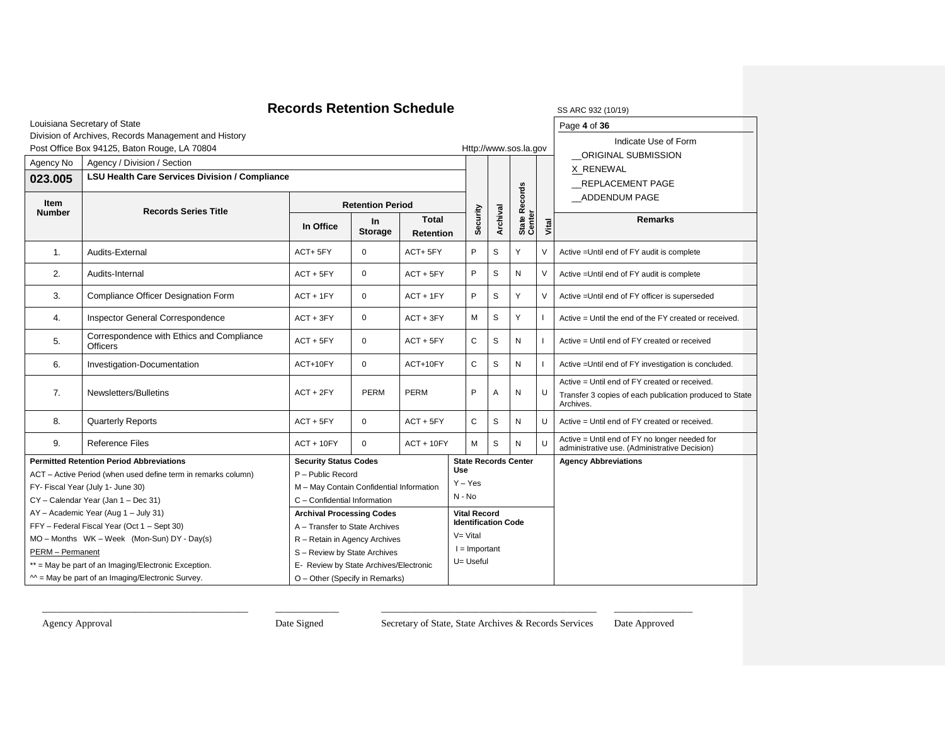#### **Records Retention Schedule** SS ARC 932 (10/19) Louisiana Secretary of State Division of Archives, Records Management and History Post Office Box 94125, Baton Rouge, LA 70804 Http://www.sos.la.gov Page **4** of **36** Indicate Use of Form \_\_ORIGINAL SUBMISSION X RENEWAL \_\_REPLACEMENT PAGE \_\_ADDENDUM PAGE Agency No | Agency / Division / Section **Security Archival State Records**  State Records<br>Center **Vital 023.005 LSU Health Care Services Division / Compliance Item Records Series Title Retention Period In Office In Storage Total Retention Remarks** 1. Audits-External ACT+ 5FY 0 ACT+ 5FY P S Y V Active =Until end of FY audit is complete 2. Audits-Internal ACT + 5FY 0 ACT + 5FY P S N V Active =Until end of FY audit is complete 3. Compliance Officer Designation Form ACT + 1FY 0 ACT + 1FY P S Y V Active =Until end of FY officer is superseded 4. Inspector General Correspondence ACT + 3FY 0 ACT + 3FY M S Y I Active = Until the end of the FY created or received. 5. Correspondence with Ethics and Compliance<br>Officers  $ACT + 5FY$  0  $ACT + 5FY$  C S N I Active = Until end of FY created or received 6. Investigation-Documentation <br>ACT+10FY 0 ACT+10FY C S N I Active =Until end of FY investigation is concluded. 7. Newsletters/Bulletins **ACT + 2FY PERM** PERM PERM PERM P A N U Active = Until end of FY created or received. Transfer 3 copies of each publication produced to State Archives. 8. Quarterly Reports examples and the CT + 5FY 0 ACT + 5FY C S N U Active = Until end of FY created or received. 9. Reference Files ACT + 10FY 0 ACT + 10FY M S N U Active = Until end of FY no longer needed for administrative use. (Administrative Decision) **Permitted Retention Period Abbreviations** ACT – Active Period (when used define term in remarks column) FY- Fiscal Year (July 1- June 30) CY – Calendar Year (Jan 1 – Dec 31) AY – Academic Year (Aug 1 – July 31) FFY – Federal Fiscal Year (Oct 1 – Sept 30) MO – Months WK – Week (Mon-Sun) DY - Day(s) PERM – Permanent \*\* = May be part of an Imaging/Electronic Exception.  $^{\sim}$  = May be part of an Imaging/Electronic Survey. **Security Status Codes** P – Public Record M – May Contain Confidential Information C – Confidential Information **State Records Center Use** Y – Yes N - No **Agency Abbreviations Archival Processing Codes** A – Transfer to State Archives R – Retain in Agency Archives S – Review by State Archives E- Review by State Archives/Electronic O – Other (Specify in Remarks) **Vital Record Identification Code**  $V = V$ ital  $I =$  Important U= Useful

\_\_\_\_\_\_\_\_\_\_\_\_\_\_\_\_\_\_\_\_\_\_\_\_\_\_\_\_\_\_\_\_\_\_\_\_\_\_\_\_\_\_ \_\_\_\_\_\_\_\_\_\_\_\_\_ \_\_\_\_\_\_\_\_\_\_\_\_\_\_\_\_\_\_\_\_\_\_\_\_\_\_\_\_\_\_\_\_\_\_\_\_\_\_\_\_\_\_\_\_ \_\_\_\_\_\_\_\_\_\_\_\_\_\_\_\_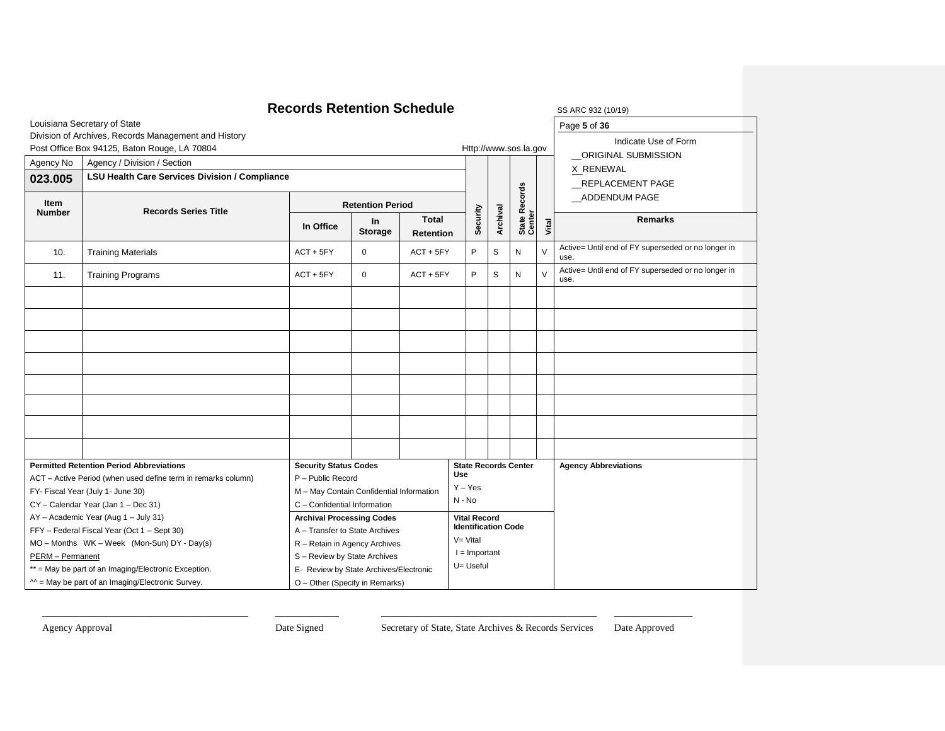| <b>Records Retention Schedule</b><br>SS ARC 932 (10/19)                                                                                                       |                                                                                                                                                    |                                           |                       |                                  |                                                   |           |                             |        |                                                            |  |  |
|---------------------------------------------------------------------------------------------------------------------------------------------------------------|----------------------------------------------------------------------------------------------------------------------------------------------------|-------------------------------------------|-----------------------|----------------------------------|---------------------------------------------------|-----------|-----------------------------|--------|------------------------------------------------------------|--|--|
|                                                                                                                                                               | Louisiana Secretary of State                                                                                                                       | Page 5 of 36                              |                       |                                  |                                                   |           |                             |        |                                                            |  |  |
|                                                                                                                                                               | Division of Archives, Records Management and History                                                                                               |                                           |                       |                                  |                                                   |           |                             |        | Indicate Use of Form                                       |  |  |
|                                                                                                                                                               | Post Office Box 94125, Baton Rouge, LA 70804                                                                                                       |                                           |                       |                                  |                                                   |           | Http://www.sos.la.gov       |        | ORIGINAL SUBMISSION                                        |  |  |
| Agency No                                                                                                                                                     | Agency / Division / Section                                                                                                                        |                                           |                       |                                  |                                                   |           |                             |        | X RENEWAL                                                  |  |  |
| 023.005                                                                                                                                                       | <b>LSU Health Care Services Division / Compliance</b>                                                                                              |                                           |                       |                                  |                                                   |           |                             |        | _REPLACEMENT PAGE                                          |  |  |
|                                                                                                                                                               | <b>Item</b>                                                                                                                                        |                                           |                       |                                  |                                                   |           | <b>Records</b>              |        | ADDENDUM PAGE                                              |  |  |
| <b>Number</b>                                                                                                                                                 | <b>Retention Period</b><br><b>Records Series Title</b>                                                                                             |                                           |                       |                                  | Security                                          |           |                             |        |                                                            |  |  |
|                                                                                                                                                               |                                                                                                                                                    | In Office                                 | In.<br><b>Storage</b> | <b>Total</b><br><b>Retention</b> |                                                   | Archival  | State Re<br>Center          | Vital  | <b>Remarks</b>                                             |  |  |
| 10.                                                                                                                                                           | <b>Training Materials</b>                                                                                                                          | $ACT + 5FY$                               | $\mathbf{0}$          | $ACT + 5FY$                      | P                                                 | S         | N                           | $\vee$ | Active= Until end of FY superseded or no longer in<br>use. |  |  |
| 11.                                                                                                                                                           | <b>Training Programs</b>                                                                                                                           | $\mathbf 0$<br>$ACT + 5FY$<br>$ACT + 5FY$ |                       |                                  |                                                   | S         | N                           | V      | Active= Until end of FY superseded or no longer in<br>use. |  |  |
|                                                                                                                                                               |                                                                                                                                                    |                                           |                       |                                  |                                                   |           |                             |        |                                                            |  |  |
|                                                                                                                                                               |                                                                                                                                                    |                                           |                       |                                  |                                                   |           |                             |        |                                                            |  |  |
|                                                                                                                                                               |                                                                                                                                                    |                                           |                       |                                  |                                                   |           |                             |        |                                                            |  |  |
|                                                                                                                                                               |                                                                                                                                                    |                                           |                       |                                  |                                                   |           |                             |        |                                                            |  |  |
|                                                                                                                                                               |                                                                                                                                                    |                                           |                       |                                  |                                                   |           |                             |        |                                                            |  |  |
|                                                                                                                                                               |                                                                                                                                                    |                                           |                       |                                  |                                                   |           |                             |        |                                                            |  |  |
|                                                                                                                                                               |                                                                                                                                                    |                                           |                       |                                  |                                                   |           |                             |        |                                                            |  |  |
|                                                                                                                                                               |                                                                                                                                                    |                                           |                       |                                  |                                                   |           |                             |        |                                                            |  |  |
|                                                                                                                                                               | <b>Permitted Retention Period Abbreviations</b>                                                                                                    | <b>Security Status Codes</b>              |                       |                                  | Use                                               |           | <b>State Records Center</b> |        | <b>Agency Abbreviations</b>                                |  |  |
|                                                                                                                                                               | ACT - Active Period (when used define term in remarks column)                                                                                      | P - Public Record                         |                       |                                  | $Y - Yes$                                         |           |                             |        |                                                            |  |  |
|                                                                                                                                                               | FY- Fiscal Year (July 1- June 30)                                                                                                                  | M - May Contain Confidential Information  |                       |                                  | $N - No$                                          |           |                             |        |                                                            |  |  |
|                                                                                                                                                               | CY - Calendar Year (Jan 1 - Dec 31)                                                                                                                | C - Confidential Information              |                       |                                  |                                                   |           |                             |        |                                                            |  |  |
| AY - Academic Year (Aug 1 - July 31)<br><b>Archival Processing Codes</b>                                                                                      |                                                                                                                                                    |                                           |                       |                                  | <b>Vital Record</b><br><b>Identification Code</b> |           |                             |        |                                                            |  |  |
| FFY - Federal Fiscal Year (Oct 1 - Sept 30)<br>A - Transfer to State Archives<br>MO - Months WK - Week (Mon-Sun) DY - Day(s)<br>R - Retain in Agency Archives |                                                                                                                                                    |                                           |                       |                                  | $V = Vital$                                       |           |                             |        |                                                            |  |  |
|                                                                                                                                                               |                                                                                                                                                    |                                           |                       | $I =$ Important                  |                                                   |           |                             |        |                                                            |  |  |
|                                                                                                                                                               | PERM - Permanent<br>S - Review by State Archives<br>** = May be part of an Imaging/Electronic Exception.<br>E- Review by State Archives/Electronic |                                           |                       |                                  |                                                   | U= Useful |                             |        |                                                            |  |  |
|                                                                                                                                                               | $M =$ May be part of an Imaging/Electronic Survey.                                                                                                 | O - Other (Specify in Remarks)            |                       |                                  |                                                   |           |                             |        |                                                            |  |  |
|                                                                                                                                                               |                                                                                                                                                    |                                           |                       |                                  |                                                   |           |                             |        |                                                            |  |  |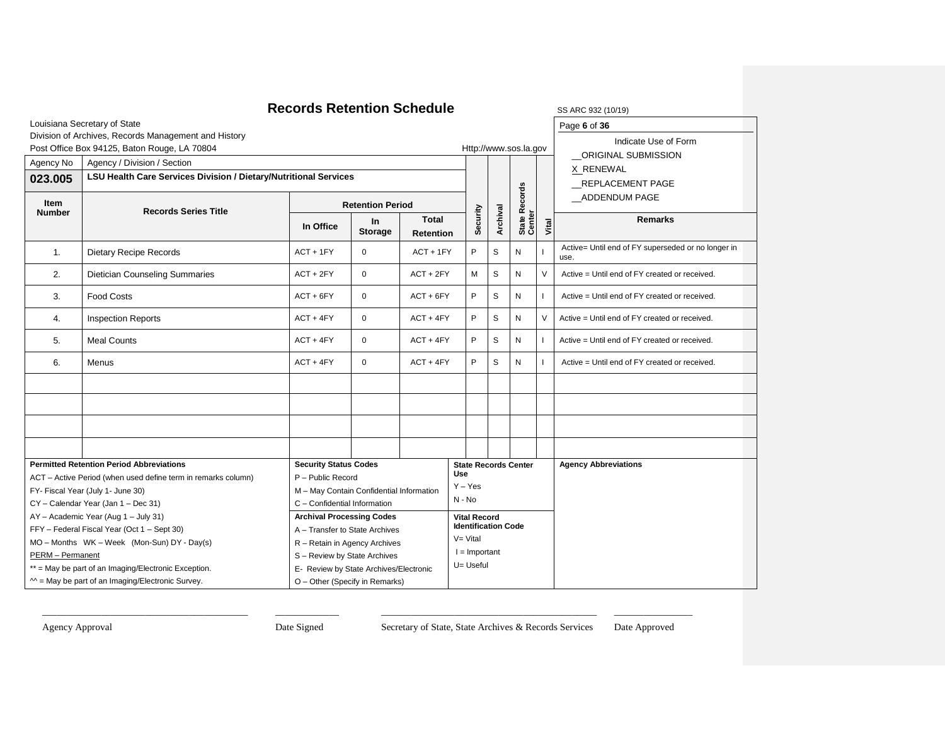### **Records Retention Schedule** SS ARC 932 (10/19) Louisiana Secretary of State Division of Archives, Records Management and History Post Office Box 94125, Baton Rouge, LA 70804 Http://www.sos.la.gov Page **6** of **36** Indicate Use of Form \_\_ORIGINAL SUBMISSION X RENEWAL \_\_REPLACEMENT PAGE \_\_ADDENDUM PAGE Agency No | Agency / Division / Section **Security Archival State Records**  State Records<br>Center **Vital 023.005 LSU Health Care Services Division / Dietary/Nutritional Services Item Records Series Title Retention Period In Office In Storage Total Retention Remarks** 1. Dietary Recipe Records **ACT + 1FY** 0 ACT + 1FY P S N I Active= Until end of FY superseded or no longer in use. 2. Dietician Counseling Summaries **ACT + 2FY** 0 ACT + 2FY M S N V Active = Until end of FY created or received. 3. Food Costs **ACT + 6FY P** ACT + 6FY P S N I Active = Until end of FY created or received. 4. Inspection Reports **ACT + 4FY** 0 ACT + 4FY P S N V Active = Until end of FY created or received. 5. Meal Counts Counts ACT + 4FY 0 ACT + 4FY P S N I Active = Until end of FY created or received. 6. Menus **ACT + 4FY** 0 ACT + 4FY P S N I Active = Until end of FY created or received. **Permitted Retention Period Abbreviations** ACT – Active Period (when used define term in remarks column) FY- Fiscal Year (July 1- June 30) CY – Calendar Year (Jan 1 – Dec 31) AY – Academic Year (Aug 1 – July 31) FFY – Federal Fiscal Year (Oct 1 – Sept 30) MO – Months WK – Week (Mon-Sun) DY - Day(s) PERM – Permanent \*\* = May be part of an Imaging/Electronic Exception.  $^{\sim}$  = May be part of an Imaging/Electronic Survey. **Security Status Codes** P – Public Record M – May Contain Confidential Information C – Confidential Information **State Records Center Use** Y – Yes N - No **Agency Abbreviations Archival Processing Codes** A – Transfer to State Archives R – Retain in Agency Archives S – Review by State Archives E- Review by State Archives/Electronic O – Other (Specify in Remarks) **Vital Record Identification Code**  $V = V$ ital  $I =$  Important U= Useful

\_\_\_\_\_\_\_\_\_\_\_\_\_\_\_\_\_\_\_\_\_\_\_\_\_\_\_\_\_\_\_\_\_\_\_\_\_\_\_\_\_\_ \_\_\_\_\_\_\_\_\_\_\_\_\_ \_\_\_\_\_\_\_\_\_\_\_\_\_\_\_\_\_\_\_\_\_\_\_\_\_\_\_\_\_\_\_\_\_\_\_\_\_\_\_\_\_\_\_\_ \_\_\_\_\_\_\_\_\_\_\_\_\_\_\_\_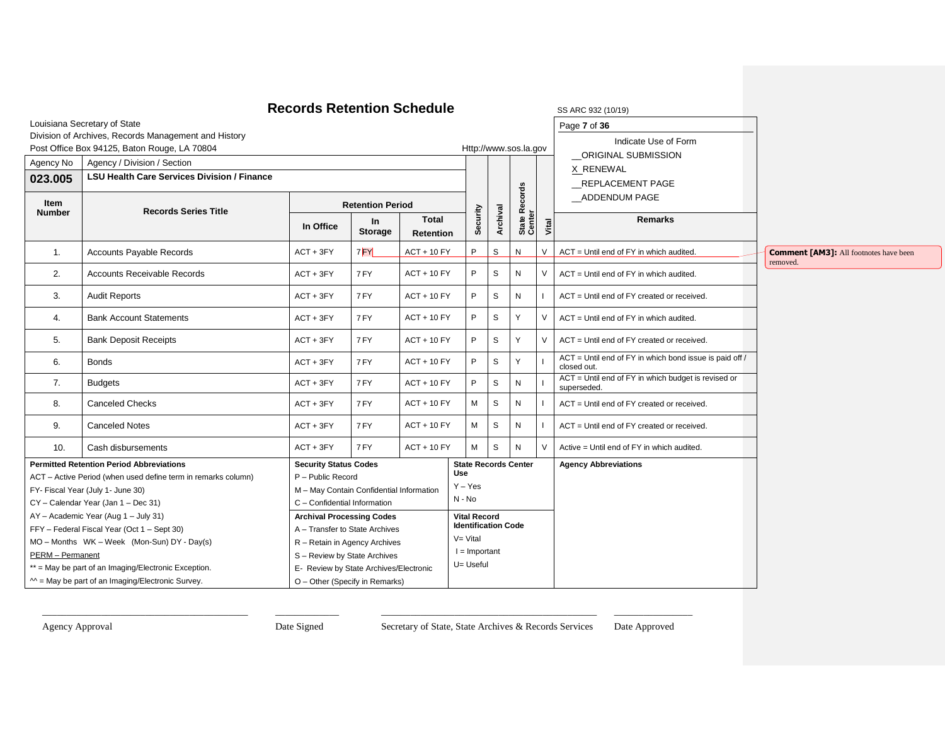|                                                                                                                                  |                                                                                                      | <b>Records Retention Schedule</b>        |                         |                                  |                                                   |                       |           |                         |        | SS ARC 932 (10/19)                                                     |                                                           |
|----------------------------------------------------------------------------------------------------------------------------------|------------------------------------------------------------------------------------------------------|------------------------------------------|-------------------------|----------------------------------|---------------------------------------------------|-----------------------|-----------|-------------------------|--------|------------------------------------------------------------------------|-----------------------------------------------------------|
|                                                                                                                                  | Louisiana Secretary of State                                                                         |                                          |                         |                                  |                                                   |                       |           |                         |        | Page 7 of 36                                                           |                                                           |
|                                                                                                                                  | Division of Archives, Records Management and History<br>Post Office Box 94125, Baton Rouge, LA 70804 |                                          |                         |                                  |                                                   | Http://www.sos.la.gov |           |                         |        | Indicate Use of Form<br>ORIGINAL SUBMISSION                            |                                                           |
| Agency No                                                                                                                        | Agency / Division / Section                                                                          |                                          |                         |                                  |                                                   |                       |           |                         |        | X RENEWAL                                                              |                                                           |
| 023.005                                                                                                                          | <b>LSU Health Care Services Division / Finance</b>                                                   |                                          |                         |                                  |                                                   |                       |           |                         |        | REPLACEMENT PAGE                                                       |                                                           |
| Item<br><b>Number</b>                                                                                                            | <b>Records Series Title</b>                                                                          |                                          | <b>Retention Period</b> |                                  |                                                   |                       |           |                         |        | ADDENDUM PAGE                                                          |                                                           |
|                                                                                                                                  |                                                                                                      | In Office                                | In.<br><b>Storage</b>   | <b>Total</b><br><b>Retention</b> | Security                                          | Archival              |           | State Records<br>Center | Vital  | <b>Remarks</b>                                                         |                                                           |
| 1.                                                                                                                               | <b>Accounts Payable Records</b>                                                                      | $ACT + 3FY$                              | 7FY                     | <b>ACT + 10 FY</b>               | P                                                 | $\mathsf{s}$          | N         |                         | $\vee$ | ACT = Until end of FY in which audited.                                | <b>Comment [AM3]:</b> All footnotes have been<br>removed. |
| 2.                                                                                                                               | <b>Accounts Receivable Records</b>                                                                   | $ACT + 3FY$                              | 7 FY                    | <b>ACT + 10 FY</b>               | P                                                 | S                     | N         |                         | $\vee$ | ACT = Until end of FY in which audited.                                |                                                           |
| 3.                                                                                                                               | <b>Audit Reports</b>                                                                                 | $ACT + 3FY$                              | 7 FY                    | $ACT + 10 FY$                    | P                                                 | S                     | ${\sf N}$ |                         |        | ACT = Until end of FY created or received.                             |                                                           |
| 4.                                                                                                                               | <b>Bank Account Statements</b>                                                                       | $ACT + 3FY$                              | 7 FY                    | <b>ACT + 10 FY</b>               | P                                                 | S                     | Y         |                         | $\vee$ | ACT = Until end of FY in which audited.                                |                                                           |
| 5.                                                                                                                               | <b>Bank Deposit Receipts</b>                                                                         | $ACT + 3FY$                              | 7 FY                    | <b>ACT + 10 FY</b>               | P                                                 | S                     | Y         |                         | $\vee$ | ACT = Until end of FY created or received.                             |                                                           |
| 6.                                                                                                                               | <b>Bonds</b>                                                                                         | $ACT + 3FY$                              | 7 FY                    | <b>ACT + 10 FY</b>               | P                                                 | S                     | Y         |                         |        | ACT = Until end of FY in which bond issue is paid off /<br>closed out. |                                                           |
| 7.                                                                                                                               | <b>Budgets</b>                                                                                       | $ACT + 3FY$                              | 7 FY                    | <b>ACT + 10 FY</b>               | P                                                 | S                     | N         |                         |        | ACT = Until end of FY in which budget is revised or<br>superseded.     |                                                           |
| 8.                                                                                                                               | <b>Canceled Checks</b>                                                                               | $ACT + 3FY$                              | 7FY                     | <b>ACT + 10 FY</b>               | M                                                 | S                     | N         |                         |        | ACT = Until end of FY created or received.                             |                                                           |
| 9.                                                                                                                               | <b>Canceled Notes</b>                                                                                | $ACT + 3FY$                              | 7 FY                    | <b>ACT + 10 FY</b>               | M                                                 | S                     | N         |                         |        | ACT = Until end of FY created or received.                             |                                                           |
| 10.                                                                                                                              | Cash disbursements                                                                                   | $ACT + 3FY$                              | 7FY                     | <b>ACT + 10 FY</b>               | M                                                 | S                     | N         |                         | $\vee$ | Active = Until end of FY in which audited.                             |                                                           |
|                                                                                                                                  | <b>Permitted Retention Period Abbreviations</b>                                                      | <b>Security Status Codes</b>             |                         |                                  | <b>State Records Center</b><br><b>Use</b>         |                       |           |                         |        | <b>Agency Abbreviations</b>                                            |                                                           |
|                                                                                                                                  | ACT - Active Period (when used define term in remarks column)                                        | P - Public Record                        |                         |                                  | $Y - Yes$                                         |                       |           |                         |        |                                                                        |                                                           |
|                                                                                                                                  | FY- Fiscal Year (July 1- June 30)                                                                    | M - May Contain Confidential Information |                         |                                  | N - No                                            |                       |           |                         |        |                                                                        |                                                           |
|                                                                                                                                  | CY - Calendar Year (Jan 1 - Dec 31)                                                                  | C - Confidential Information             |                         |                                  |                                                   |                       |           |                         |        |                                                                        |                                                           |
|                                                                                                                                  | AY - Academic Year (Aug 1 - July 31)                                                                 | <b>Archival Processing Codes</b>         |                         |                                  | <b>Vital Record</b><br><b>Identification Code</b> |                       |           |                         |        |                                                                        |                                                           |
|                                                                                                                                  | FFY - Federal Fiscal Year (Oct 1 - Sept 30)<br>A - Transfer to State Archives                        |                                          |                         | $V = V$ ital                     |                                                   |                       |           |                         |        |                                                                        |                                                           |
| MO - Months WK - Week (Mon-Sun) DY - Day(s)<br>R - Retain in Agency Archives<br>PERM - Permanent<br>S - Review by State Archives |                                                                                                      |                                          |                         |                                  | $I =$ Important                                   |                       |           |                         |        |                                                                        |                                                           |
|                                                                                                                                  | ** = May be part of an Imaging/Electronic Exception.                                                 | E- Review by State Archives/Electronic   |                         |                                  | U= Useful                                         |                       |           |                         |        |                                                                        |                                                           |
|                                                                                                                                  | $M =$ May be part of an Imaging/Electronic Survey.                                                   | O - Other (Specify in Remarks)           |                         |                                  |                                                   |                       |           |                         |        |                                                                        |                                                           |
|                                                                                                                                  |                                                                                                      |                                          |                         |                                  |                                                   |                       |           |                         |        |                                                                        |                                                           |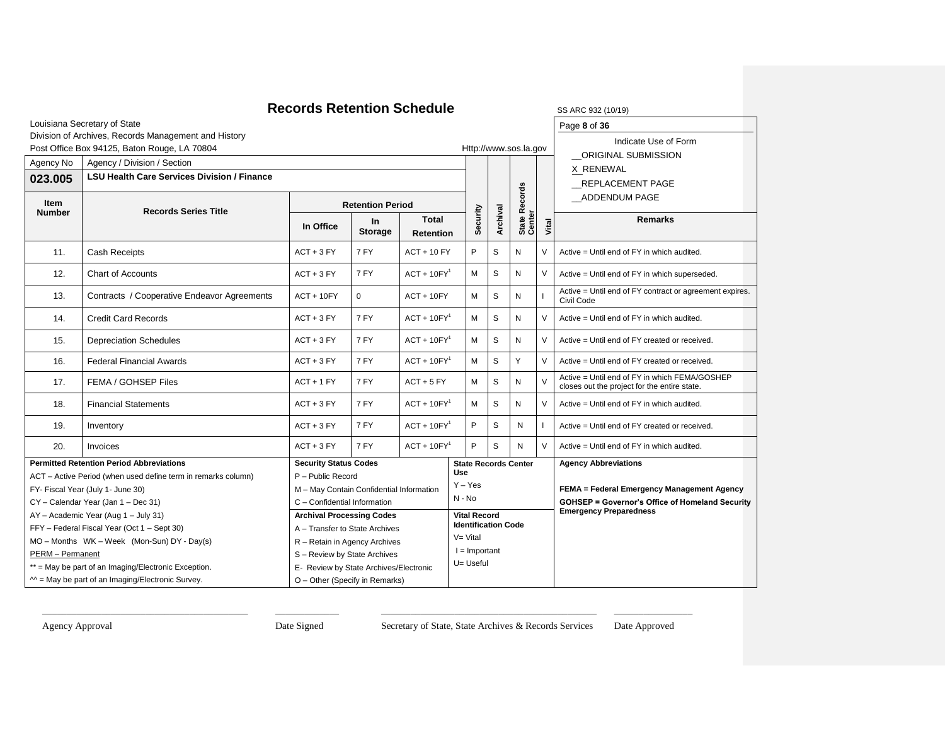| <b>Records Retention Schedule</b><br>SS ARC 932 (10/19)                                                                                                   |                                                               |                                          |                                                          |               |            |                     |                            |                                |        |                                                                                               |  |
|-----------------------------------------------------------------------------------------------------------------------------------------------------------|---------------------------------------------------------------|------------------------------------------|----------------------------------------------------------|---------------|------------|---------------------|----------------------------|--------------------------------|--------|-----------------------------------------------------------------------------------------------|--|
|                                                                                                                                                           | Louisiana Secretary of State                                  |                                          |                                                          |               |            |                     |                            |                                |        | Page 8 of 36                                                                                  |  |
|                                                                                                                                                           | Division of Archives, Records Management and History          |                                          |                                                          |               |            |                     |                            |                                |        | Indicate Use of Form                                                                          |  |
|                                                                                                                                                           | Post Office Box 94125, Baton Rouge, LA 70804                  |                                          |                                                          |               |            |                     |                            | Http://www.sos.la.gov          |        | ORIGINAL SUBMISSION<br>X RENEWAL                                                              |  |
| Agency No                                                                                                                                                 | Agency / Division / Section                                   |                                          |                                                          |               |            |                     |                            |                                |        |                                                                                               |  |
| 023.005                                                                                                                                                   | <b>LSU Health Care Services Division / Finance</b>            |                                          |                                                          |               |            |                     |                            |                                |        | <b>REPLACEMENT PAGE</b>                                                                       |  |
| Item<br><b>Number</b>                                                                                                                                     | <b>Records Series Title</b>                                   |                                          | <b>Retention Period</b>                                  |               |            |                     |                            | <b>Records</b>                 |        | ADDENDUM PAGE                                                                                 |  |
|                                                                                                                                                           |                                                               | In Office                                | <b>Total</b><br>In<br><b>Storage</b><br><b>Retention</b> |               |            | Security            | Archival                   | State R <sub>v</sub><br>Center | Vital  | <b>Remarks</b>                                                                                |  |
| 11.                                                                                                                                                       | <b>Cash Receipts</b>                                          | $ACT + 3 FY$                             | 7 FY                                                     | $ACT + 10 FY$ |            | P                   | S                          | N                              | $\vee$ | Active = Until end of FY in which audited.                                                    |  |
| 12.                                                                                                                                                       | <b>Chart of Accounts</b>                                      | $ACT + 3 FY$                             | 7 FY                                                     | $ACT + 10FY1$ |            | М                   | S                          | Ν                              | $\vee$ | Active = Until end of FY in which superseded.                                                 |  |
| 13.                                                                                                                                                       | Contracts / Cooperative Endeavor Agreements                   | $ACT + 10FY$                             | $\mathbf 0$                                              | $ACT + 10FY$  |            | М                   | S                          | Ν                              |        | Active = Until end of FY contract or agreement expires.<br>Civil Code                         |  |
| 14.                                                                                                                                                       | <b>Credit Card Records</b>                                    | $ACT + 3 FY$<br>7 FY                     |                                                          | $ACT + 10FY1$ |            |                     | S                          | Ν                              | $\vee$ | Active = Until end of FY in which audited.                                                    |  |
| 15.                                                                                                                                                       | <b>Depreciation Schedules</b>                                 | 7 FY<br>$ACT + 3 FY$                     |                                                          | $ACT + 10FY1$ |            | м                   | S                          | N                              | $\vee$ | Active = Until end of FY created or received.                                                 |  |
| 16.                                                                                                                                                       | <b>Federal Financial Awards</b>                               | 7 FY<br>$ACT + 3 FY$                     |                                                          | $ACT + 10FY1$ |            | M                   | S                          | Y                              | $\vee$ | Active = Until end of FY created or received.                                                 |  |
| 17.                                                                                                                                                       | FEMA / GOHSEP Files                                           | $ACT + 1 FY$                             | 7 FY                                                     | $ACT + 5 FY$  |            | м                   | S                          | Ν                              | $\vee$ | Active = Until end of FY in which FEMA/GOSHEP<br>closes out the project for the entire state. |  |
| 18.                                                                                                                                                       | <b>Financial Statements</b>                                   | $ACT + 3 FY$                             | 7 FY                                                     | $ACT + 10FY1$ |            | м                   | S                          | N                              | $\vee$ | Active = Until end of FY in which audited.                                                    |  |
| 19.                                                                                                                                                       | Inventory                                                     | $ACT + 3 FY$                             | 7 FY                                                     | $ACT + 10FY1$ |            | P                   | S                          | N                              |        | Active = Until end of FY created or received.                                                 |  |
| 20.                                                                                                                                                       | Invoices                                                      | $ACT + 3 FY$                             | 7 FY                                                     | $ACT + 10FY1$ |            | P                   | S                          | N                              | $\vee$ | Active = Until end of FY in which audited.                                                    |  |
|                                                                                                                                                           | <b>Permitted Retention Period Abbreviations</b>               | <b>Security Status Codes</b>             |                                                          |               | <b>Use</b> |                     |                            | <b>State Records Center</b>    |        | <b>Agency Abbreviations</b>                                                                   |  |
|                                                                                                                                                           | ACT - Active Period (when used define term in remarks column) | P - Public Record                        |                                                          |               |            | $Y - Yes$           |                            |                                |        |                                                                                               |  |
|                                                                                                                                                           | FY- Fiscal Year (July 1- June 30)                             | M - May Contain Confidential Information |                                                          |               | $N - No$   |                     |                            |                                |        | FEMA = Federal Emergency Management Agency                                                    |  |
| CY - Calendar Year (Jan 1 - Dec 31)<br>C - Confidential Information                                                                                       |                                                               |                                          |                                                          |               |            |                     |                            |                                |        | <b>GOHSEP = Governor's Office of Homeland Security</b><br><b>Emergency Preparedness</b>       |  |
| <b>Archival Processing Codes</b><br>AY - Academic Year (Aug 1 - July 31)<br>FFY - Federal Fiscal Year (Oct 1 - Sept 30)<br>A - Transfer to State Archives |                                                               |                                          |                                                          |               |            | <b>Vital Record</b> | <b>Identification Code</b> |                                |        |                                                                                               |  |
| MO - Months WK - Week (Mon-Sun) DY - Day(s)<br>R - Retain in Agency Archives                                                                              |                                                               |                                          |                                                          |               |            | $V = Vital$         |                            |                                |        |                                                                                               |  |
| <b>PERM</b> - Permanent                                                                                                                                   |                                                               | S - Review by State Archives             |                                                          |               |            |                     | $I =$ Important            |                                |        |                                                                                               |  |
|                                                                                                                                                           | ** = May be part of an Imaging/Electronic Exception.          | E- Review by State Archives/Electronic   | U= Useful                                                |               |            |                     |                            |                                |        |                                                                                               |  |
|                                                                                                                                                           | $M = May$ be part of an Imaging/Electronic Survey.            | O - Other (Specify in Remarks)           |                                                          |               |            |                     |                            |                                |        |                                                                                               |  |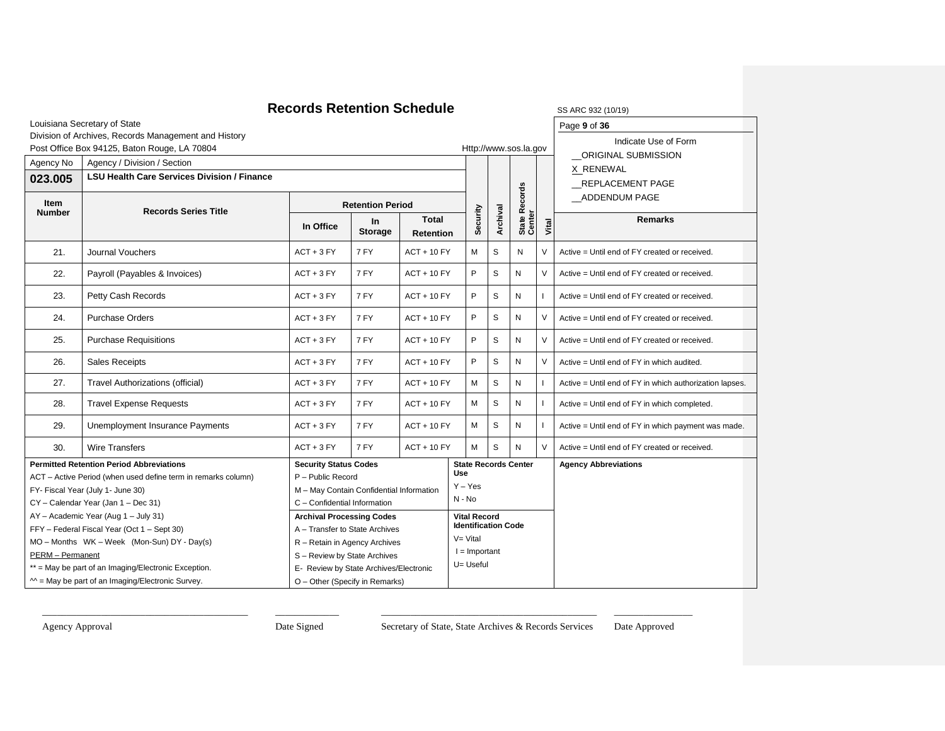|                                                                                                |                                                                               | <b>Records Retention Schedule</b>        |                             |                                  |                             |                     |                            |                             |        | SS ARC 932 (10/19)                                      |
|------------------------------------------------------------------------------------------------|-------------------------------------------------------------------------------|------------------------------------------|-----------------------------|----------------------------------|-----------------------------|---------------------|----------------------------|-----------------------------|--------|---------------------------------------------------------|
|                                                                                                | Louisiana Secretary of State                                                  |                                          |                             |                                  |                             |                     |                            |                             |        | Page 9 of 36                                            |
|                                                                                                | Division of Archives, Records Management and History                          |                                          |                             |                                  |                             |                     |                            |                             |        | Indicate Use of Form                                    |
|                                                                                                | Post Office Box 94125, Baton Rouge, LA 70804                                  |                                          |                             |                                  |                             |                     |                            | Http://www.sos.la.gov       |        | <b>ORIGINAL SUBMISSION</b>                              |
| Agency No                                                                                      | Agency / Division / Section                                                   |                                          |                             |                                  |                             |                     |                            |                             |        | X RENEWAL                                               |
| 023.005                                                                                        | <b>LSU Health Care Services Division / Finance</b>                            |                                          |                             |                                  |                             |                     |                            | REPLACEMENT PAGE            |        |                                                         |
|                                                                                                |                                                                               |                                          |                             |                                  |                             |                     |                            | Records                     |        | ADDENDUM PAGE                                           |
| Item<br><b>Number</b>                                                                          | <b>Records Series Title</b>                                                   | <b>Retention Period</b>                  |                             |                                  |                             |                     |                            |                             |        |                                                         |
|                                                                                                |                                                                               | In Office                                | <b>In</b><br><b>Storage</b> | <b>Total</b><br><b>Retention</b> |                             | Security            | Archival                   | State R<br>Center           | Vital  | <b>Remarks</b>                                          |
| 21.                                                                                            | Journal Vouchers                                                              | $ACT + 3 FY$                             | 7 FY                        | $ACT + 10 FY$                    |                             | М                   | S                          | N                           | $\vee$ | Active = Until end of FY created or received.           |
| 22.                                                                                            | Payroll (Payables & Invoices)                                                 | $ACT + 3 FY$                             | 7 FY                        | $ACT + 10 FY$                    |                             | P                   | S                          | N                           | V      | Active = Until end of FY created or received.           |
| 23.                                                                                            | Petty Cash Records                                                            | $ACT + 3 FY$                             | 7 FY                        | $ACT + 10 FY$                    |                             | P                   | S                          | N                           |        | Active = Until end of FY created or received.           |
| 24.                                                                                            | <b>Purchase Orders</b>                                                        | $ACT + 3 FY$                             | 7 FY                        | $ACT + 10 FY$                    |                             | P                   | S                          | N                           | $\vee$ | Active = Until end of FY created or received.           |
| 25.                                                                                            | <b>Purchase Requisitions</b>                                                  | 7 FY<br>$ACT + 3 FY$                     |                             | $ACT + 10 FY$                    |                             | P                   | S                          | N                           | $\vee$ | Active = Until end of FY created or received.           |
| 26.                                                                                            | <b>Sales Receipts</b>                                                         | $ACT + 3 FY$                             | 7 FY                        | $ACT + 10 FY$                    |                             | P                   | S                          | N                           | $\vee$ | Active = Until end of FY in which audited.              |
| 27.                                                                                            | <b>Travel Authorizations (official)</b>                                       | $ACT + 3 FY$                             | 7 FY                        | $ACT + 10 FY$                    |                             | М                   | $\mathsf S$                | N                           |        | Active = Until end of FY in which authorization lapses. |
| 28.                                                                                            | <b>Travel Expense Requests</b>                                                | $ACT + 3 FY$                             | 7 FY                        | $ACT + 10 FY$                    |                             | М                   | S                          | N                           |        | Active = Until end of FY in which completed.            |
| 29.                                                                                            | Unemployment Insurance Payments                                               | $ACT + 3 FY$                             | 7 FY                        | $ACT + 10 FY$                    |                             | м                   | S                          | N                           |        | Active = Until end of FY in which payment was made.     |
| 30.                                                                                            | <b>Wire Transfers</b>                                                         | $ACT + 3 FY$                             | 7 FY                        | $ACT + 10 FY$                    |                             | M                   | S                          | N                           | $\vee$ | Active = Until end of FY created or received.           |
|                                                                                                | <b>Permitted Retention Period Abbreviations</b>                               | <b>Security Status Codes</b>             |                             |                                  | <b>Use</b>                  |                     |                            | <b>State Records Center</b> |        | <b>Agency Abbreviations</b>                             |
|                                                                                                | ACT - Active Period (when used define term in remarks column)                 | P - Public Record                        |                             |                                  |                             | $Y - Yes$           |                            |                             |        |                                                         |
|                                                                                                | FY- Fiscal Year (July 1- June 30)                                             | M - May Contain Confidential Information |                             |                                  | N - No                      |                     |                            |                             |        |                                                         |
|                                                                                                | CY - Calendar Year (Jan 1 - Dec 31)                                           | C - Confidential Information             |                             |                                  |                             |                     |                            |                             |        |                                                         |
|                                                                                                | AY - Academic Year (Aug 1 - July 31)                                          | <b>Archival Processing Codes</b>         |                             |                                  |                             | <b>Vital Record</b> |                            |                             |        |                                                         |
|                                                                                                | FFY - Federal Fiscal Year (Oct 1 - Sept 30)<br>A - Transfer to State Archives |                                          |                             |                                  |                             |                     | <b>Identification Code</b> |                             |        |                                                         |
| MO - Months WK - Week (Mon-Sun) DY - Day(s)<br>R - Retain in Agency Archives                   |                                                                               |                                          |                             |                                  | V= Vital<br>$I =$ Important |                     |                            |                             |        |                                                         |
| PERM - Permanent<br>S - Review by State Archives                                               |                                                                               |                                          |                             |                                  | U= Useful                   |                     |                            |                             |        |                                                         |
| ** = May be part of an Imaging/Electronic Exception.<br>E- Review by State Archives/Electronic |                                                                               |                                          |                             |                                  |                             |                     |                            |                             |        |                                                         |
|                                                                                                | $M = May$ be part of an Imaging/Electronic Survey.                            | O - Other (Specify in Remarks)           |                             |                                  |                             |                     |                            |                             |        |                                                         |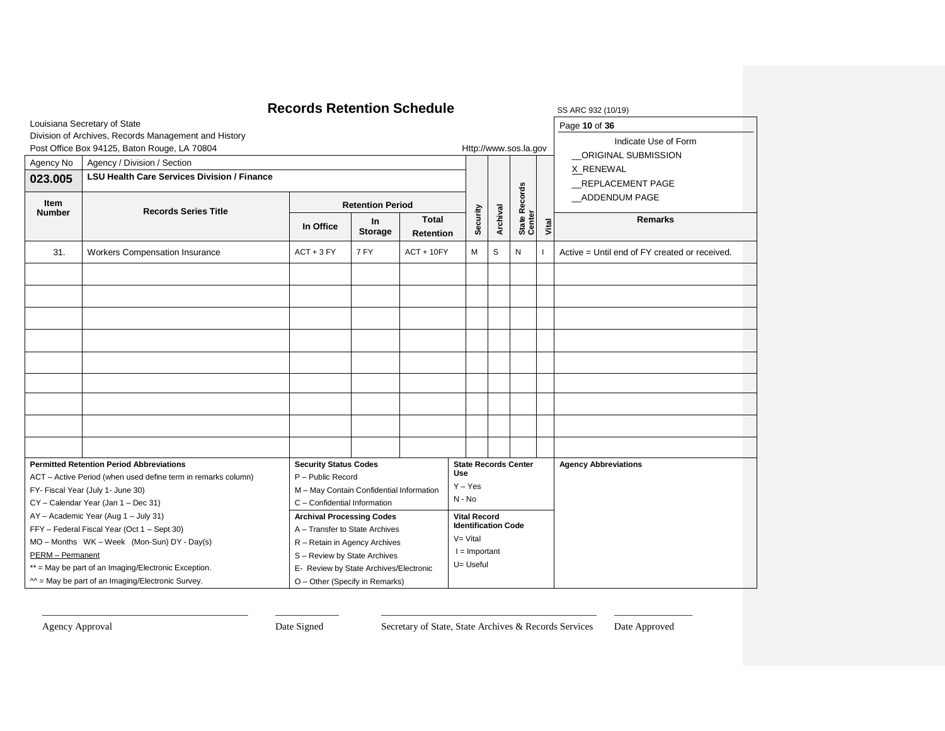|                                                                                      | <b>Records Retention Schedule</b>                                                                                                                  | SS ARC 932 (10/19)                       |                         |                                  |                             |                     |                            |                             |               |                                               |
|--------------------------------------------------------------------------------------|----------------------------------------------------------------------------------------------------------------------------------------------------|------------------------------------------|-------------------------|----------------------------------|-----------------------------|---------------------|----------------------------|-----------------------------|---------------|-----------------------------------------------|
|                                                                                      | Louisiana Secretary of State                                                                                                                       | Page 10 of 36                            |                         |                                  |                             |                     |                            |                             |               |                                               |
|                                                                                      | Division of Archives, Records Management and History                                                                                               | Indicate Use of Form                     |                         |                                  |                             |                     |                            |                             |               |                                               |
|                                                                                      | Post Office Box 94125, Baton Rouge, LA 70804                                                                                                       |                                          |                         |                                  |                             |                     |                            | Http://www.sos.la.gov       |               | ORIGINAL SUBMISSION                           |
| Agency No                                                                            | Agency / Division / Section                                                                                                                        |                                          |                         |                                  |                             |                     |                            |                             |               | X RENEWAL                                     |
| 023.005                                                                              | <b>LSU Health Care Services Division / Finance</b>                                                                                                 |                                          |                         |                                  |                             |                     |                            |                             |               | <b>REPLACEMENT PAGE</b>                       |
|                                                                                      |                                                                                                                                                    |                                          |                         |                                  |                             |                     |                            |                             | ADDENDUM PAGE |                                               |
| Item<br><b>Number</b>                                                                | <b>Records Series Title</b>                                                                                                                        |                                          | <b>Retention Period</b> |                                  |                             |                     |                            |                             |               |                                               |
|                                                                                      |                                                                                                                                                    | In Office                                | In<br><b>Storage</b>    | <b>Total</b><br><b>Retention</b> |                             | Security            | Archival                   | State Records<br>Center     | Vital         | <b>Remarks</b>                                |
| 31.                                                                                  | Workers Compensation Insurance                                                                                                                     | $ACT + 3 FY$                             | 7 FY                    | $ACT + 10FY$                     |                             | М                   | S                          | N                           |               | Active = Until end of FY created or received. |
|                                                                                      |                                                                                                                                                    |                                          |                         |                                  |                             |                     |                            |                             |               |                                               |
|                                                                                      |                                                                                                                                                    |                                          |                         |                                  |                             |                     |                            |                             |               |                                               |
|                                                                                      |                                                                                                                                                    |                                          |                         |                                  |                             |                     |                            |                             |               |                                               |
|                                                                                      |                                                                                                                                                    |                                          |                         |                                  |                             |                     |                            |                             |               |                                               |
|                                                                                      |                                                                                                                                                    |                                          |                         |                                  |                             |                     |                            |                             |               |                                               |
|                                                                                      |                                                                                                                                                    |                                          |                         |                                  |                             |                     |                            |                             |               |                                               |
|                                                                                      |                                                                                                                                                    |                                          |                         |                                  |                             |                     |                            |                             |               |                                               |
|                                                                                      |                                                                                                                                                    |                                          |                         |                                  |                             |                     |                            |                             |               |                                               |
|                                                                                      |                                                                                                                                                    |                                          |                         |                                  |                             |                     |                            |                             |               |                                               |
|                                                                                      | <b>Permitted Retention Period Abbreviations</b>                                                                                                    | <b>Security Status Codes</b>             |                         |                                  |                             |                     |                            | <b>State Records Center</b> |               | <b>Agency Abbreviations</b>                   |
|                                                                                      | ACT - Active Period (when used define term in remarks column)                                                                                      | P - Public Record                        |                         |                                  | Use<br>$Y - Yes$            |                     |                            |                             |               |                                               |
|                                                                                      | FY- Fiscal Year (July 1- June 30)                                                                                                                  | M - May Contain Confidential Information |                         |                                  | N - No                      |                     |                            |                             |               |                                               |
|                                                                                      | CY - Calendar Year (Jan 1 - Dec 31)                                                                                                                | C - Confidential Information             |                         |                                  |                             |                     |                            |                             |               |                                               |
|                                                                                      | AY - Academic Year (Aug 1 - July 31)                                                                                                               | <b>Archival Processing Codes</b>         |                         |                                  |                             | <b>Vital Record</b> | <b>Identification Code</b> |                             |               |                                               |
|                                                                                      | FFY - Federal Fiscal Year (Oct 1 - Sept 30)<br>A - Transfer to State Archives                                                                      |                                          |                         |                                  |                             |                     |                            |                             |               |                                               |
|                                                                                      | MO - Months WK - Week (Mon-Sun) DY - Day(s)<br>R - Retain in Agency Archives                                                                       |                                          |                         |                                  | V= Vital<br>$I =$ Important |                     |                            |                             |               |                                               |
|                                                                                      | PERM - Permanent<br>S - Review by State Archives<br>** = May be part of an Imaging/Electronic Exception.<br>E- Review by State Archives/Electronic |                                          |                         |                                  |                             |                     |                            |                             |               |                                               |
|                                                                                      |                                                                                                                                                    |                                          |                         |                                  |                             | U= Useful           |                            |                             |               |                                               |
| $M =$ May be part of an Imaging/Electronic Survey.<br>O - Other (Specify in Remarks) |                                                                                                                                                    |                                          |                         |                                  |                             |                     |                            |                             |               |                                               |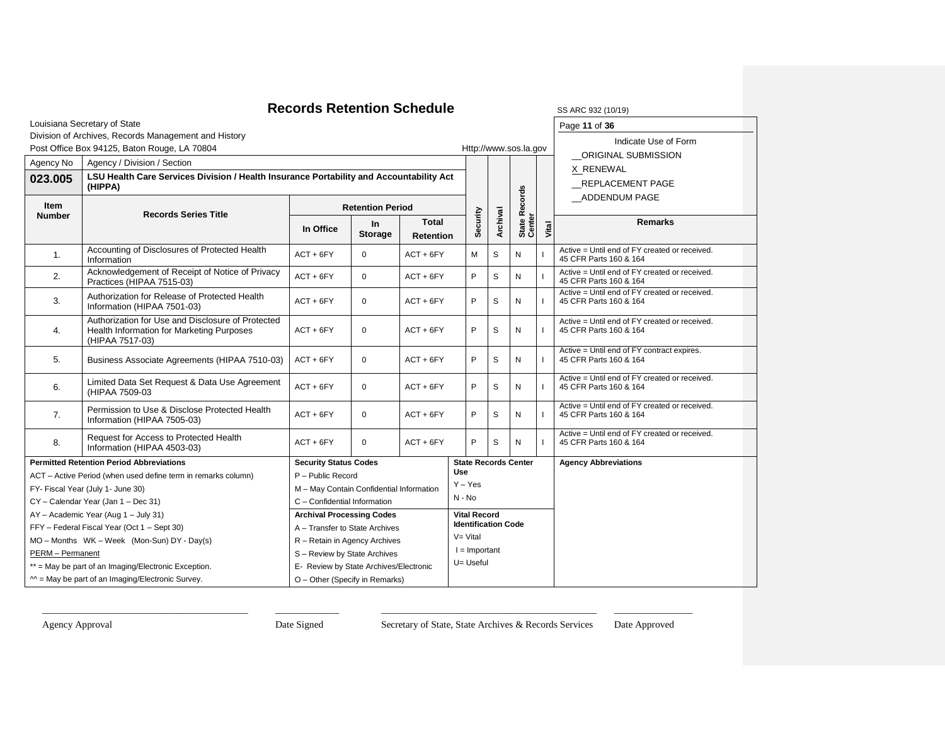### **Records Retention Schedule** SS ARC 932 (10/19)

| SS ARC 932 (10/19 |
|-------------------|
| Page 11 of 36     |

Louisiana Secretary of State

### Division of Archives, Records Management and History

|                                             | Division of Archives, Records Management and History                                                              |                                          |                         |                            |                             | Indicate Use of Form |                       |                                                                         |                                                                         |
|---------------------------------------------|-------------------------------------------------------------------------------------------------------------------|------------------------------------------|-------------------------|----------------------------|-----------------------------|----------------------|-----------------------|-------------------------------------------------------------------------|-------------------------------------------------------------------------|
|                                             | Post Office Box 94125, Baton Rouge, LA 70804                                                                      |                                          |                         |                            |                             |                      | Http://www.sos.la.gov |                                                                         | ORIGINAL SUBMISSION                                                     |
| Agency No                                   | Agency / Division / Section                                                                                       |                                          |                         |                            |                             |                      |                       |                                                                         | X RENEWAL                                                               |
| 023.005                                     | LSU Health Care Services Division / Health Insurance Portability and Accountability Act                           |                                          |                         |                            |                             |                      |                       |                                                                         | REPLACEMENT PAGE                                                        |
|                                             | (HIPPA)                                                                                                           |                                          |                         |                            |                             |                      |                       |                                                                         | ADDENDUM PAGE                                                           |
| Item                                        |                                                                                                                   |                                          | <b>Retention Period</b> |                            |                             | <b>Records</b>       |                       |                                                                         |                                                                         |
| <b>Number</b>                               | <b>Records Series Title</b>                                                                                       |                                          | <b>In</b>               | <b>Total</b>               | Security                    | Archival             | State R<br>Center     |                                                                         | <b>Remarks</b>                                                          |
|                                             |                                                                                                                   | In Office                                | <b>Storage</b>          | Retention                  |                             |                      |                       | Vital                                                                   |                                                                         |
| 1.                                          | Accounting of Disclosures of Protected Health<br>Information                                                      | $ACT + 6FY$                              | $\Omega$                | $ACT + 6FY$                | M                           | S                    | N                     |                                                                         | Active = Until end of FY created or received.<br>45 CFR Parts 160 & 164 |
| 2.                                          | Acknowledgement of Receipt of Notice of Privacy<br>Practices (HIPAA 7515-03)                                      | $ACT + 6FY$                              | $\mathbf 0$             | $ACT + 6FY$                | P                           | S                    | N                     |                                                                         | Active = Until end of FY created or received.<br>45 CFR Parts 160 & 164 |
| 3.                                          | Authorization for Release of Protected Health<br>Information (HIPAA 7501-03)                                      | $ACT + 6FY$                              | $\Omega$                | $ACT + 6FY$                | P                           | S                    | N                     |                                                                         | Active = Until end of FY created or received.<br>45 CFR Parts 160 & 164 |
| 4.                                          | Authorization for Use and Disclosure of Protected<br>Health Information for Marketing Purposes<br>(HIPAA 7517-03) | $ACT + 6FY$                              | $ACT + 6FY$             | P                          | S                           | N                    |                       | Active = Until end of FY created or received.<br>45 CFR Parts 160 & 164 |                                                                         |
| 5.                                          | Business Associate Agreements (HIPAA 7510-03)                                                                     | $ACT + 6FY$                              | $ACT + 6FY$             | P                          | S                           | N                    |                       | Active = Until end of FY contract expires.<br>45 CFR Parts 160 & 164    |                                                                         |
| 6.                                          | Limited Data Set Request & Data Use Agreement<br>(HIPAA 7509-03                                                   | $ACT + 6FY$                              | $\mathbf 0$             | $ACT + 6FY$                | P                           | S                    | N                     |                                                                         | Active = Until end of FY created or received.<br>45 CFR Parts 160 & 164 |
| 7.                                          | Permission to Use & Disclose Protected Health<br>Information (HIPAA 7505-03)                                      | $ACT + 6FY$                              | $\mathbf 0$             | $ACT + 6FY$                | P                           | S                    | N                     |                                                                         | Active = Until end of FY created or received.<br>45 CFR Parts 160 & 164 |
| 8.                                          | Request for Access to Protected Health<br>Information (HIPAA 4503-03)                                             | $ACT + 6FY$                              | $\Omega$                | $ACT + 6FY$                | P                           | S                    | N                     |                                                                         | Active = Until end of FY created or received.<br>45 CFR Parts 160 & 164 |
|                                             | <b>Permitted Retention Period Abbreviations</b>                                                                   | <b>Security Status Codes</b>             |                         |                            | <b>State Records Center</b> |                      |                       |                                                                         | <b>Agency Abbreviations</b>                                             |
|                                             | ACT - Active Period (when used define term in remarks column)                                                     | P - Public Record                        |                         |                            | <b>Use</b>                  |                      |                       |                                                                         |                                                                         |
|                                             | FY- Fiscal Year (July 1- June 30)                                                                                 | M - May Contain Confidential Information |                         |                            | $Y - Yes$                   |                      |                       |                                                                         |                                                                         |
|                                             | CY - Calendar Year (Jan 1 - Dec 31)                                                                               | $N - No$<br>C - Confidential Information |                         |                            |                             |                      |                       |                                                                         |                                                                         |
|                                             | AY - Academic Year (Aug 1 - July 31)                                                                              | <b>Archival Processing Codes</b>         |                         |                            | <b>Vital Record</b>         |                      |                       |                                                                         |                                                                         |
| FFY - Federal Fiscal Year (Oct 1 - Sept 30) | A - Transfer to State Archives                                                                                    |                                          |                         | <b>Identification Code</b> |                             |                      |                       |                                                                         |                                                                         |
|                                             | MO - Months WK - Week (Mon-Sun) DY - Day(s)                                                                       | R - Retain in Agency Archives            | $V = Vital$             |                            |                             |                      |                       |                                                                         |                                                                         |
| PERM - Permanent                            |                                                                                                                   | S - Review by State Archives             | $l =$ Important         |                            |                             |                      |                       |                                                                         |                                                                         |
|                                             | ** = May be part of an Imaging/Electronic Exception.                                                              | E- Review by State Archives/Electronic   | $U = U$ seful           |                            |                             |                      |                       |                                                                         |                                                                         |
|                                             | $M =$ May be part of an Imaging/Electronic Survey.                                                                | O - Other (Specify in Remarks)           |                         |                            |                             |                      |                       |                                                                         |                                                                         |

\_\_\_\_\_\_\_\_\_\_\_\_\_\_\_\_\_\_\_\_\_\_\_\_\_\_\_\_\_\_\_\_\_\_\_\_\_\_\_\_\_\_ \_\_\_\_\_\_\_\_\_\_\_\_\_ \_\_\_\_\_\_\_\_\_\_\_\_\_\_\_\_\_\_\_\_\_\_\_\_\_\_\_\_\_\_\_\_\_\_\_\_\_\_\_\_\_\_\_\_ \_\_\_\_\_\_\_\_\_\_\_\_\_\_\_\_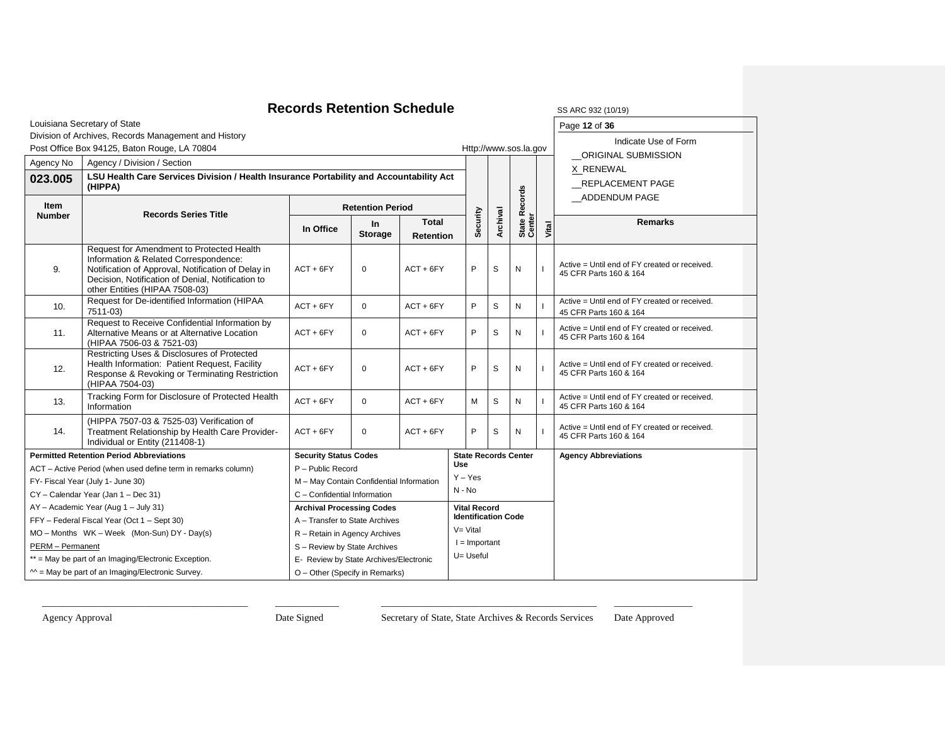# **Records Retention Schedule** SS ARC 932 (10/19)

|                                                                                      | Louisiana Secretary of State                                                                                                                                                                                                    |                                          |                                                                      |             |                                                   |                   |                             |                | Page 12 of 36                                                           |
|--------------------------------------------------------------------------------------|---------------------------------------------------------------------------------------------------------------------------------------------------------------------------------------------------------------------------------|------------------------------------------|----------------------------------------------------------------------|-------------|---------------------------------------------------|-------------------|-----------------------------|----------------|-------------------------------------------------------------------------|
|                                                                                      | Division of Archives, Records Management and History                                                                                                                                                                            |                                          |                                                                      |             |                                                   |                   |                             |                | Indicate Use of Form                                                    |
|                                                                                      | Post Office Box 94125, Baton Rouge, LA 70804                                                                                                                                                                                    |                                          |                                                                      |             |                                                   |                   | Http://www.sos.la.gov       |                | ORIGINAL SUBMISSION                                                     |
| Agency No                                                                            | Agency / Division / Section                                                                                                                                                                                                     |                                          |                                                                      |             |                                                   |                   |                             |                | X RENEWAL                                                               |
| 023.005                                                                              | LSU Health Care Services Division / Health Insurance Portability and Accountability Act<br>(HIPPA)                                                                                                                              |                                          |                                                                      |             |                                                   |                   |                             |                | <b>REPLACEMENT PAGE</b>                                                 |
| Item                                                                                 | <b>Records Series Title</b>                                                                                                                                                                                                     |                                          | <b>Retention Period</b>                                              |             |                                                   |                   | <b>Records</b>              |                | ADDENDUM PAGE                                                           |
| <b>Number</b>                                                                        |                                                                                                                                                                                                                                 | In Office                                | Security<br><b>Total</b><br>In<br><b>Storage</b><br><b>Retention</b> |             | Archival                                          | State F<br>Center | Vital                       | <b>Remarks</b> |                                                                         |
| 9.                                                                                   | Request for Amendment to Protected Health<br>Information & Related Correspondence:<br>Notification of Approval, Notification of Delay in<br>Decision, Notification of Denial, Notification to<br>other Entities (HIPAA 7508-03) | $ACT + 6FY$                              | $\mathbf 0$                                                          | $ACT + 6FY$ | P                                                 | S                 | N                           |                | Active = Until end of FY created or received.<br>45 CFR Parts 160 & 164 |
| 10.                                                                                  | Request for De-identified Information (HIPAA<br>7511-03)                                                                                                                                                                        | $ACT + 6FY$                              | $\mathbf 0$                                                          | $ACT + 6FY$ | P                                                 | S                 | N                           |                | Active = Until end of FY created or received.<br>45 CFR Parts 160 & 164 |
| 11.                                                                                  | Request to Receive Confidential Information by<br>Alternative Means or at Alternative Location<br>(HIPAA 7506-03 & 7521-03)                                                                                                     | $ACT + 6FY$                              | $\mathbf 0$                                                          | $ACT + 6FY$ | P                                                 | S                 | N                           |                | Active = Until end of FY created or received.<br>45 CFR Parts 160 & 164 |
| 12.                                                                                  | Restricting Uses & Disclosures of Protected<br>Health Information: Patient Request, Facility<br>Response & Revoking or Terminating Restriction<br>(HIPAA 7504-03)                                                               | $ACT + 6FY$                              | $\mathbf 0$                                                          | $ACT + 6FY$ | P                                                 | S                 | N                           |                | Active = Until end of FY created or received.<br>45 CFR Parts 160 & 164 |
| 13.                                                                                  | Tracking Form for Disclosure of Protected Health<br>Information                                                                                                                                                                 | $ACT + 6FY$                              | $\mathbf 0$                                                          | $ACT + 6FY$ | M                                                 | S                 | N                           |                | Active = Until end of FY created or received.<br>45 CFR Parts 160 & 164 |
| 14.                                                                                  | (HIPPA 7507-03 & 7525-03) Verification of<br>Treatment Relationship by Health Care Provider-<br>Individual or Entity (211408-1)                                                                                                 | $ACT + 6FY$                              | $\mathbf 0$                                                          | $ACT + 6FY$ | P                                                 | S                 | N                           |                | Active = Until end of FY created or received.<br>45 CFR Parts 160 & 164 |
|                                                                                      | <b>Permitted Retention Period Abbreviations</b>                                                                                                                                                                                 | <b>Security Status Codes</b>             |                                                                      |             |                                                   |                   | <b>State Records Center</b> |                | <b>Agency Abbreviations</b>                                             |
|                                                                                      | ACT - Active Period (when used define term in remarks column)                                                                                                                                                                   | P - Public Record                        |                                                                      |             | Use<br>$Y - Yes$                                  |                   |                             |                |                                                                         |
|                                                                                      | FY- Fiscal Year (July 1- June 30)                                                                                                                                                                                               | M - May Contain Confidential Information |                                                                      |             | $N - No$                                          |                   |                             |                |                                                                         |
|                                                                                      | CY - Calendar Year (Jan 1 - Dec 31)                                                                                                                                                                                             | C - Confidential Information             |                                                                      |             |                                                   |                   |                             |                |                                                                         |
|                                                                                      | AY - Academic Year (Aug 1 - July 31)                                                                                                                                                                                            | <b>Archival Processing Codes</b>         |                                                                      |             | <b>Vital Record</b><br><b>Identification Code</b> |                   |                             |                |                                                                         |
| FFY - Federal Fiscal Year (Oct 1 - Sept 30)                                          |                                                                                                                                                                                                                                 | A - Transfer to State Archives           | $V = Vital$                                                          |             |                                                   |                   |                             |                |                                                                         |
|                                                                                      | MO - Months WK - Week (Mon-Sun) DY - Day(s)                                                                                                                                                                                     | R - Retain in Agency Archives            |                                                                      |             |                                                   |                   |                             |                |                                                                         |
| <b>PERM</b> - Permanent                                                              |                                                                                                                                                                                                                                 | S - Review by State Archives             | $I =$ Important<br>U= Useful                                         |             |                                                   |                   |                             |                |                                                                         |
|                                                                                      | ** = May be part of an Imaging/Electronic Exception.                                                                                                                                                                            |                                          | E- Review by State Archives/Electronic                               |             |                                                   |                   |                             |                |                                                                         |
| $M =$ May be part of an Imaging/Electronic Survey.<br>O - Other (Specify in Remarks) |                                                                                                                                                                                                                                 |                                          |                                                                      |             |                                                   |                   |                             |                |                                                                         |

\_\_\_\_\_\_\_\_\_\_\_\_\_\_\_\_\_\_\_\_\_\_\_\_\_\_\_\_\_\_\_\_\_\_\_\_\_\_\_\_\_\_ \_\_\_\_\_\_\_\_\_\_\_\_\_ \_\_\_\_\_\_\_\_\_\_\_\_\_\_\_\_\_\_\_\_\_\_\_\_\_\_\_\_\_\_\_\_\_\_\_\_\_\_\_\_\_\_\_\_ \_\_\_\_\_\_\_\_\_\_\_\_\_\_\_\_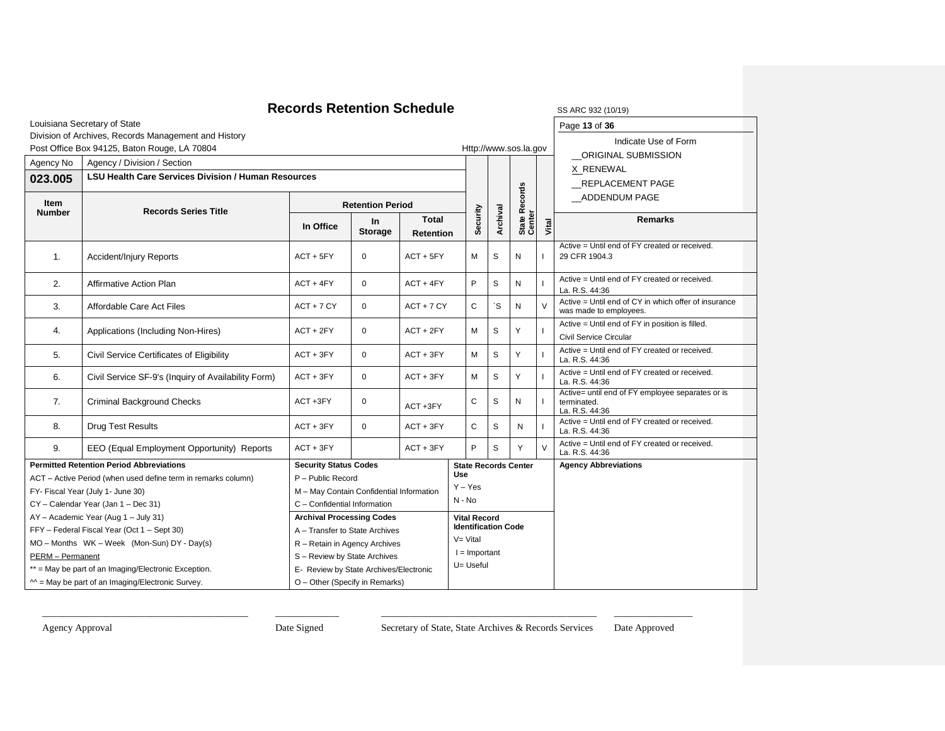#### **Records Retention Schedule** SS ARC 932 (10/19) Louisiana Secretary of State Division of Archives, Records Management and History Post Office Box 94125, Baton Rouge, LA 70804 Http://www.sos.la.gov Page **13** of **36** Indicate Use of Form \_\_ORIGINAL SUBMISSION X RENEWAL \_\_REPLACEMENT PAGE \_\_ADDENDUM PAGE Agency No | Agency / Division / Section **Security Archival State Records**  State Records<br>Center **Vital 023.005 LSU Health Care Services Division / Human Resources Item Records Series Title Retention Period In Office In Storage Total Retention Remarks** 1. Accident/Injury Reports **ACT + 5FY** 0 ACT + 5FY M S N II Active = Until end of FY created or received. 29 CFR 1904.3 2. Affirmative Action Plan Action Action ACT + 4FY 0 ACT + 4FY P S N Active = Until end of FY created or received. La. R.S. 44:36 3. Affordable Care Act Files ACT + 7 CY 0 ACT + 7 CY C `S N V Active = Until end of CY in which offer of insurance was made to employees. 4. Applications (Including Non-Hires)  $\begin{vmatrix} ACT + 2FY & 0 & ACT + 2FY \end{vmatrix}$  M  $\begin{vmatrix} S & Y \end{vmatrix}$ Active = Until end of FY in position is filled. Civil Service Circular 5. Civil Service Certificates of Eligibility ACT + 3FY | 0 ACT + 3FY | M S Y Active = Until end of FY created or received. La. R.S. 44:36 6. Civil Service SF-9's (Inquiry of Availability Form) ACT + 3FY 0 ACT + 3FY M S Y I Active = Until end of FY created or received. La. R.S. 44:36 7. Criminal Background Checks | ACT +3FY 0  $ACT + 3FY$   $C$   $S$   $N$ Active= until end of FY employee separates or is terminated. La. R.S. 44:36 8. Drug Test Results ACT + 3FY 0 ACT + 3FY C S N Active = Until end of FY created or received. La. R.S. 44:36 9. EEO (Equal Employment Opportunity) Reports ACT + 3FY ACT + 3FY P S Y V Active = Until end of FY created or received. La. R.S. 44:36 **Permitted Retention Period Abbreviations** ACT – Active Period (when used define term in remarks column) FY- Fiscal Year (July 1- June 30) CY – Calendar Year (Jan 1 – Dec 31) AY – Academic Year (Aug 1 – July 31) FFY – Federal Fiscal Year (Oct 1 – Sept 30) MO – Months WK – Week (Mon-Sun) DY - Day(s) PERM – Permanent \*\* = May be part of an Imaging/Electronic Exception.  $^{\sim}$  = May be part of an Imaging/Electronic Survey. **Security Status Codes** P – Public Record M – May Contain Confidential Information C – Confidential Information **State Records Center Use** Y – Yes  $N - N_0$ **Agency Abbreviations Archival Processing Codes** A – Transfer to State Archives R – Retain in Agency Archives S – Review by State Archives E- Review by State Archives/Electronic O – Other (Specify in Remarks) **Vital Record Identification Code**  $V= V$ ital  $I =$  Important U= Useful

\_\_\_\_\_\_\_\_\_\_\_\_\_\_\_\_\_\_\_\_\_\_\_\_\_\_\_\_\_\_\_\_\_\_\_\_\_\_\_\_\_\_ \_\_\_\_\_\_\_\_\_\_\_\_\_ \_\_\_\_\_\_\_\_\_\_\_\_\_\_\_\_\_\_\_\_\_\_\_\_\_\_\_\_\_\_\_\_\_\_\_\_\_\_\_\_\_\_\_\_ \_\_\_\_\_\_\_\_\_\_\_\_\_\_\_\_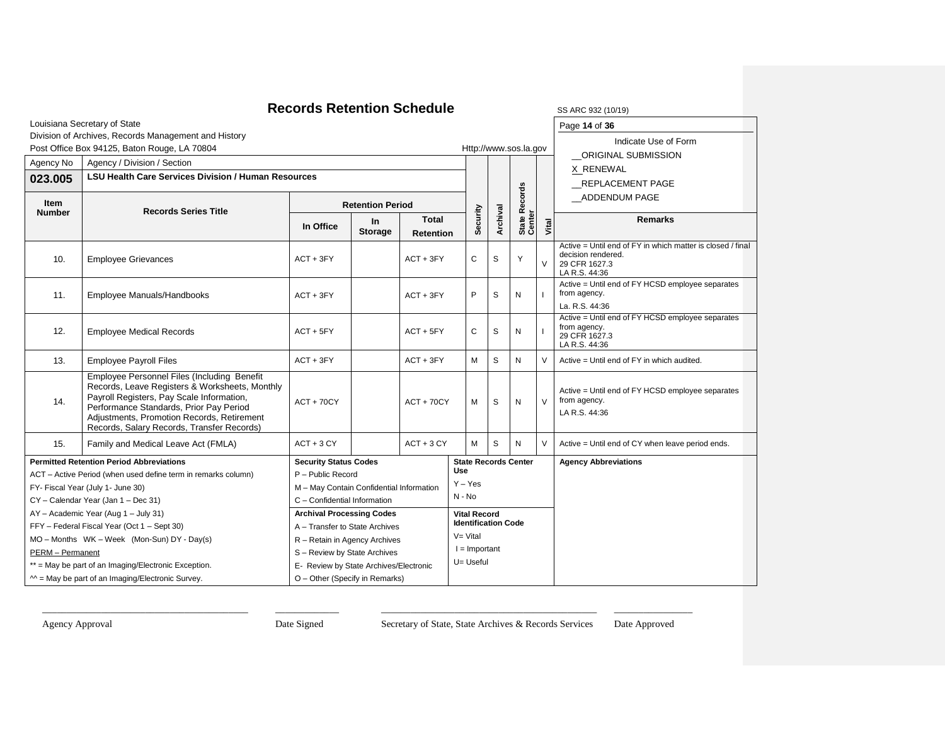#### **Records Retention Schedule** SS ARC 932 (10/19) Louisiana Secretary of State Division of Archives, Records Management and History Post Office Box 94125, Baton Rouge, LA 70804 **Http://www.sos.la.gov** Http://www.sos.la.gov Page **14** of **36** Indicate Use of Form \_\_ORIGINAL SUBMISSION X RENEWAL \_\_REPLACEMENT PAGE \_\_ADDENDUM PAGE Agency No | Agency / Division / Section **Security Archival State Records**  State Records<br>Center **Vital 023.005 LSU Health Care Services Division / Human Resources Item Records Series Title Retention Period In Office In Storage Total Retention Remarks** 10. Employee Grievances ACT + 3FY ACT + 3FY C S Y V Active = Until end of FY in which matter is closed / final decision rendered. 29 CFR 1627.3 LA R.S. 44:36 11. Employee Manuals/Handbooks ACT + 3FY ACT + 3FY ACT + 3FY P S N Active = Until end of FY HCSD employee separates from agency. La. R.S. 44:36 12. Employee Medical Records **ACT + 5FY** ACT + 5FY ACT + 5FY C S N Active = Until end of FY HCSD employee separates from agency. 29 CFR 1627.3 LA R.S. 44:36 13. Employee Payroll Files **ACT + 3FY** ACT + 3FY ACT + 3FY M S N V Active = Until end of FY in which audited. 14. Employee Personnel Files (Including Benefit Records, Leave Registers & Worksheets, Monthly Payroll Registers, Pay Scale Information, Performance Standards, Prior Pay Period Adjustments, Promotion Records, Retirement Records, Salary Records, Transfer Records)  $ACT + 70CY$   $ACT + 70CY$   $M S N V$ Active = Until end of FY HCSD employee separates from agency. LA R.S. 44:36 15. Family and Medical Leave Act (FMLA) ACT + 3 CY ACT + 3 CY M S N V Active = Until end of CY when leave period ends. **Permitted Retention Period Abbreviations** ACT – Active Period (when used define term in remarks column) FY- Fiscal Year (July 1- June 30) CY – Calendar Year (Jan 1 – Dec 31) AY – Academic Year (Aug 1 – July 31) FFY – Federal Fiscal Year (Oct 1 – Sept 30) MO – Months WK – Week (Mon-Sun) DY - Day(s) PERM – Permanent \*\* = May be part of an Imaging/Electronic Exception.  $^{\sim}$  = May be part of an Imaging/Electronic Survey. **Security Status Codes** P – Public Record M – May Contain Confidential Information C – Confidential Information **State Records Center Use** Y – Yes N - No **Agency Abbreviations Archival Processing Codes** A – Transfer to State Archives R – Retain in Agency Archives S – Review by State Archives E- Review by State Archives/Electronic O – Other (Specify in Remarks) **Vital Record Identification Code**  $V=V$ ital  $I =$  Important U= Useful

\_\_\_\_\_\_\_\_\_\_\_\_\_\_\_\_\_\_\_\_\_\_\_\_\_\_\_\_\_\_\_\_\_\_\_\_\_\_\_\_\_\_ \_\_\_\_\_\_\_\_\_\_\_\_\_ \_\_\_\_\_\_\_\_\_\_\_\_\_\_\_\_\_\_\_\_\_\_\_\_\_\_\_\_\_\_\_\_\_\_\_\_\_\_\_\_\_\_\_\_ \_\_\_\_\_\_\_\_\_\_\_\_\_\_\_\_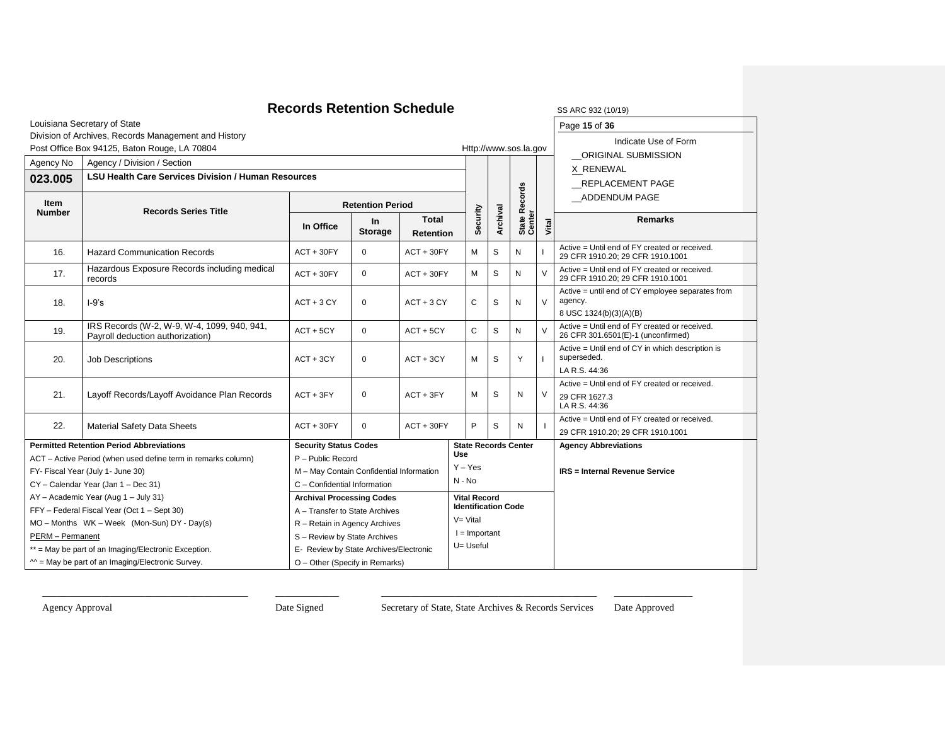#### **Records Retention Schedule** SS ARC 932 (10/19) Louisiana Secretary of State Division of Archives, Records Management and History Post Office Box 94125, Baton Rouge, LA 70804 **Http://www.sos.la.gov** Http://www.sos.la.gov Page **15** of **36** Indicate Use of Form \_\_ORIGINAL SUBMISSION X RENEWAL \_\_REPLACEMENT PAGE \_\_ADDENDUM PAGE Agency No | Agency / Division / Section **Security Archival State Records**  State Records<br>Center **Vital 023.005 LSU Health Care Services Division / Human Resources Item Records Series Title Retention Period In Office In Storage Total Retention Remarks** 16. | Hazard Communication Records | ACT + 30FY | 0  $\,$  | ACT + 30FY | M | S | N Active = Until end of FY created or received. 29 CFR 1910.20; 29 CFR 1910.1001 17. Hazardous Exposure Records including medical<br>records records Aposure Records including medical  $\begin{bmatrix} ACT + 30FY & 0 \\ 4CT + 30FY & 0 \end{bmatrix}$  ACT + 30FY  $\begin{bmatrix} M & S \\ M & S \end{bmatrix}$  N  $\begin{bmatrix} V & W & W \end{bmatrix}$ Active = Until end of FY created or received. 29 CFR 1910.20; 29 CFR 1910.1001 18. I-9's ACT + 3 CY 0 ACT + 3 CY C S N V Active = until end of CY employee separates from agency. 8 USC 1324(b)(3)(A)(B) 19. **IRS Records (W-2, W-9, W-4, 1099, 940, 941,** IRS Records (W-2, W-9, W-4, 1099, 940, 941,  $\begin{bmatrix} \text{ACT} + 5\text{CY} \\ \text{ACT} + 5\text{CY} \end{bmatrix}$   $\begin{bmatrix} \text{ACT} + 5\text{CY} \\ \text{ACT} + 5\text{CY} \end{bmatrix}$   $\begin{bmatrix} \text{C} \\ \text{S} \\ \text{N} \end{bmatrix}$   $\begin{bmatrix} \text{V} \\ \text{V} \end{bmatrix}$ Active = Until end of FY created or received. 26 CFR 301.6501(E)-1 (unconfirmed) 20. Job Descriptions **ACT + 3CY** 0 ACT + 3CY M S Y Active = Until end of CY in which description is superseded. LA R.S. 44:36 21. Layoff Records/Layoff Avoidance Plan Records | ACT + 3FY | 0 | ACT + 3FY | M | S | N | V Active = Until end of FY created or received. 29 CFR 1627.3 LA R.S. 44:36 22. Material Safety Data Sheets ACT + 30FY 0 ACT + 30FY P S N Active = Until end of FY created or received. 29 CFR 1910.20; 29 CFR 1910.1001 **Permitted Retention Period Abbreviations** ACT – Active Period (when used define term in remarks column) FY- Fiscal Year (July 1- June 30) CY – Calendar Year (Jan 1 – Dec 31) AY – Academic Year (Aug 1 – July 31) FFY – Federal Fiscal Year (Oct 1 – Sept 30) MO – Months WK – Week (Mon-Sun) DY - Day(s) PERM – Permanent \*\* = May be part of an Imaging/Electronic Exception.  $^{\sim}$  = May be part of an Imaging/Electronic Survey. **Security Status Codes** P – Public Record M – May Contain Confidential Information C – Confidential Information **State Records Center Use** Y – Yes  $N - N_0$ **Agency Abbreviations IRS = Internal Revenue Service Archival Processing Codes** A – Transfer to State Archives R – Retain in Agency Archives S – Review by State Archives E- Review by State Archives/Electronic O – Other (Specify in Remarks) **Vital Record Identification Code** V= Vital  $I =$  Important U= Useful

\_\_\_\_\_\_\_\_\_\_\_\_\_\_\_\_\_\_\_\_\_\_\_\_\_\_\_\_\_\_\_\_\_\_\_\_\_\_\_\_\_\_ \_\_\_\_\_\_\_\_\_\_\_\_\_ \_\_\_\_\_\_\_\_\_\_\_\_\_\_\_\_\_\_\_\_\_\_\_\_\_\_\_\_\_\_\_\_\_\_\_\_\_\_\_\_\_\_\_\_ \_\_\_\_\_\_\_\_\_\_\_\_\_\_\_\_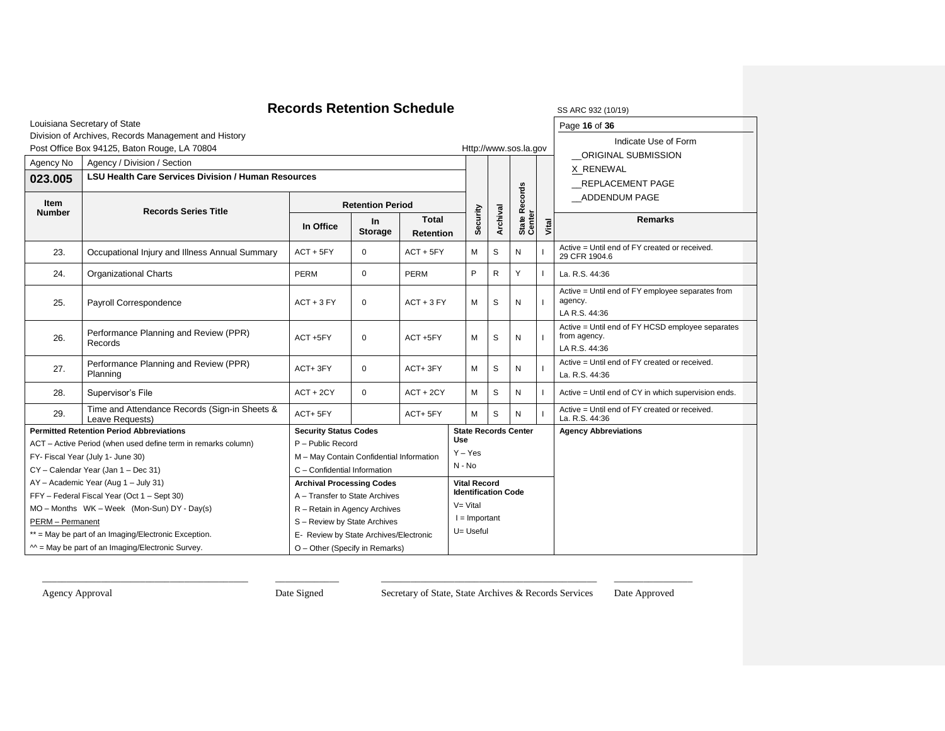| <b>Records Retention Schedule</b><br>SS ARC 932 (10/19)                              |                                                                                                                                                           |                                             |                             |                           |                 |                     |                            |                             |                                                                                   |                                                                 |
|--------------------------------------------------------------------------------------|-----------------------------------------------------------------------------------------------------------------------------------------------------------|---------------------------------------------|-----------------------------|---------------------------|-----------------|---------------------|----------------------------|-----------------------------|-----------------------------------------------------------------------------------|-----------------------------------------------------------------|
|                                                                                      | Louisiana Secretary of State                                                                                                                              |                                             |                             |                           |                 |                     |                            |                             |                                                                                   | Page 16 of 36                                                   |
|                                                                                      | Division of Archives, Records Management and History<br>Post Office Box 94125, Baton Rouge, LA 70804                                                      |                                             |                             |                           |                 |                     |                            | Http://www.sos.la.gov       |                                                                                   | Indicate Use of Form<br>ORIGINAL SUBMISSION                     |
| Agency No                                                                            | Agency / Division / Section                                                                                                                               |                                             |                             |                           |                 |                     |                            |                             |                                                                                   | X RENEWAL                                                       |
| 023.005                                                                              | <b>LSU Health Care Services Division / Human Resources</b>                                                                                                |                                             |                             |                           |                 |                     |                            |                             |                                                                                   | <b>REPLACEMENT PAGE</b>                                         |
| Item<br><b>Number</b>                                                                | <b>Records Series Title</b>                                                                                                                               | <b>Retention Period</b>                     |                             |                           |                 |                     |                            | Records                     |                                                                                   | ADDENDUM PAGE                                                   |
|                                                                                      |                                                                                                                                                           | In Office                                   | <b>In</b><br><b>Storage</b> | Total<br><b>Retention</b> |                 | Security            | Archival                   | State R<br>Center           | Vital                                                                             | <b>Remarks</b>                                                  |
| 23.                                                                                  | Occupational Injury and Illness Annual Summary                                                                                                            | $ACT + 5FY$                                 | $\mathbf 0$                 | $ACT + 5FY$               |                 | M                   | S                          | N                           |                                                                                   | Active = Until end of FY created or received.<br>29 CFR 1904.6  |
| 24.                                                                                  | <b>Organizational Charts</b>                                                                                                                              | <b>PERM</b>                                 | $\Omega$                    | <b>PERM</b>               |                 | P                   | $\mathsf{R}$               | Y                           |                                                                                   | La. R.S. 44:36                                                  |
| 25.                                                                                  | Payroll Correspondence                                                                                                                                    | $ACT + 3 FY$<br>$ACT + 3 FY$<br>$\mathbf 0$ |                             |                           | М               | S                   | N                          |                             | Active = Until end of FY employee separates from<br>agency.<br>LA R.S. 44:36      |                                                                 |
| 26.                                                                                  | Performance Planning and Review (PPR)<br>Records                                                                                                          | $ACT + 5FY$<br>$\mathbf 0$<br>ACT +5FY      |                             |                           | м               | S                   | N                          |                             | Active = Until end of FY HCSD employee separates<br>from agency.<br>LA R.S. 44:36 |                                                                 |
| 27.                                                                                  | Performance Planning and Review (PPR)<br>Planning                                                                                                         | ACT+3FY                                     | $\mathbf{0}$                | ACT+3FY                   |                 | М                   | S                          | N                           |                                                                                   | Active = Until end of FY created or received.<br>La. R.S. 44:36 |
| 28.                                                                                  | Supervisor's File                                                                                                                                         | $ACT + 2CY$                                 | $\Omega$                    | $ACT + 2CY$               |                 | м                   | S                          | N                           |                                                                                   | Active = Until end of CY in which supervision ends.             |
| 29.                                                                                  | Time and Attendance Records (Sign-in Sheets &<br>Leave Requests)                                                                                          | ACT+5FY                                     |                             | ACT+5FY                   |                 | S<br>M              |                            | N                           |                                                                                   | Active = Until end of FY created or received.<br>La. R.S. 44:36 |
|                                                                                      | <b>Permitted Retention Period Abbreviations</b>                                                                                                           | <b>Security Status Codes</b>                |                             |                           | <b>Use</b>      |                     |                            | <b>State Records Center</b> |                                                                                   | <b>Agency Abbreviations</b>                                     |
|                                                                                      | ACT - Active Period (when used define term in remarks column)                                                                                             | P - Public Record                           |                             |                           | $Y - Yes$       |                     |                            |                             |                                                                                   |                                                                 |
|                                                                                      | FY- Fiscal Year (July 1- June 30)                                                                                                                         | M - May Contain Confidential Information    |                             |                           | $N - No$        |                     |                            |                             |                                                                                   |                                                                 |
|                                                                                      | CY - Calendar Year (Jan 1 - Dec 31)                                                                                                                       | C - Confidential Information                |                             |                           |                 | <b>Vital Record</b> |                            |                             |                                                                                   |                                                                 |
|                                                                                      | AY - Academic Year (Aug 1 - July 31)<br><b>Archival Processing Codes</b><br>FFY - Federal Fiscal Year (Oct 1 - Sept 30)<br>A - Transfer to State Archives |                                             |                             |                           |                 |                     | <b>Identification Code</b> |                             |                                                                                   |                                                                 |
| MO - Months WK - Week (Mon-Sun) DY - Day(s)<br>R - Retain in Agency Archives         |                                                                                                                                                           |                                             |                             |                           | $V = Vital$     |                     |                            |                             |                                                                                   |                                                                 |
| PERM - Permanent<br>S - Review by State Archives                                     |                                                                                                                                                           |                                             |                             |                           | $I =$ Important |                     |                            |                             |                                                                                   |                                                                 |
|                                                                                      | ** = May be part of an Imaging/Electronic Exception.<br>E- Review by State Archives/Electronic                                                            |                                             |                             |                           |                 | U= Useful           |                            |                             |                                                                                   |                                                                 |
| $M =$ May be part of an Imaging/Electronic Survey.<br>O - Other (Specify in Remarks) |                                                                                                                                                           |                                             |                             |                           |                 |                     |                            |                             |                                                                                   |                                                                 |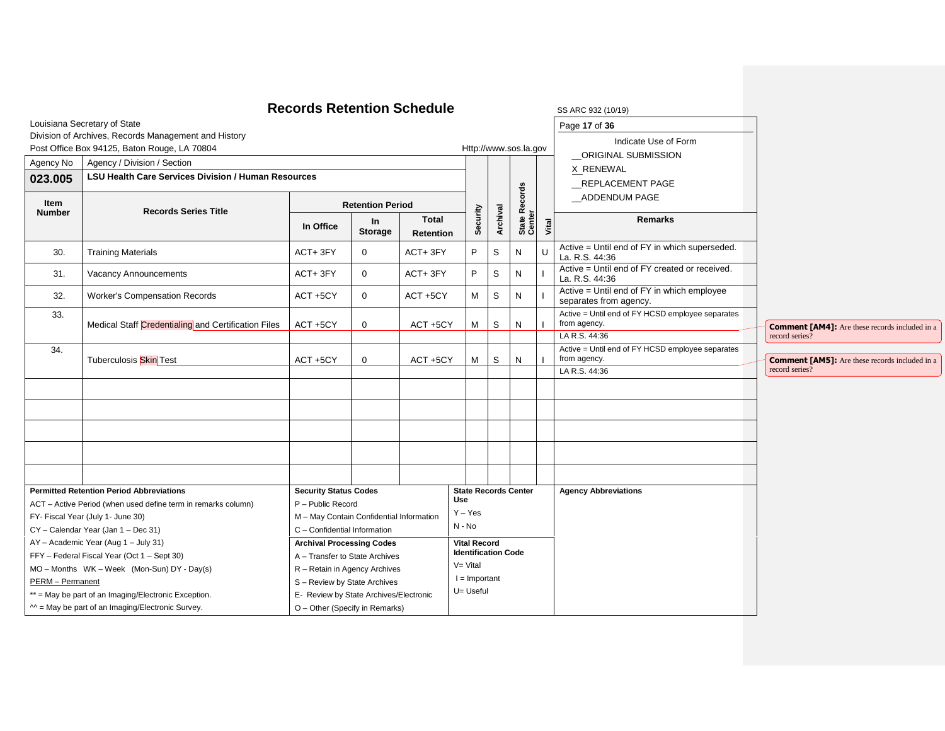|                       | Louisiana Secretary of State                                                        | <b>Records Retention Schedule</b>                                  |                             |                                  |            |                                                   |             |                             |       | SS ARC 932 (10/19)<br>Page 17 of 36                                  |                                                       |
|-----------------------|-------------------------------------------------------------------------------------|--------------------------------------------------------------------|-----------------------------|----------------------------------|------------|---------------------------------------------------|-------------|-----------------------------|-------|----------------------------------------------------------------------|-------------------------------------------------------|
|                       | Division of Archives, Records Management and History                                |                                                                    |                             |                                  |            |                                                   |             |                             |       | Indicate Use of Form                                                 |                                                       |
|                       | Post Office Box 94125, Baton Rouge, LA 70804                                        |                                                                    |                             |                                  |            |                                                   |             | Http://www.sos.la.gov       |       | ORIGINAL SUBMISSION                                                  |                                                       |
| Agency No             | Agency / Division / Section                                                         |                                                                    |                             |                                  |            |                                                   |             |                             |       |                                                                      |                                                       |
| 023.005               | <b>LSU Health Care Services Division / Human Resources</b>                          |                                                                    |                             |                                  |            |                                                   |             |                             |       | X_RENEWAL<br>REPLACEMENT PAGE                                        |                                                       |
| Item<br><b>Number</b> | <b>Records Series Title</b>                                                         |                                                                    | <b>Retention Period</b>     |                                  |            |                                                   |             | Records                     |       | ADDENDUM PAGE                                                        |                                                       |
|                       |                                                                                     | In Office                                                          | <b>In</b><br><b>Storage</b> | <b>Total</b><br><b>Retention</b> |            | Security                                          | Archival    | State R<br>Center           | Vital | <b>Remarks</b>                                                       |                                                       |
| 30.                   | <b>Training Materials</b>                                                           | ACT+3FY                                                            | $\mathbf 0$                 | ACT+3FY                          |            | P                                                 | $\mathsf S$ | N                           |       | Active = Until end of FY in which superseded.<br>La. R.S. 44:36      |                                                       |
| 31.                   | Vacancy Announcements                                                               | ACT+3FY                                                            | $\mathbf 0$                 | ACT+3FY                          |            | P                                                 | S           | N                           |       | Active = Until end of FY created or received.<br>La. R.S. 44:36      |                                                       |
| 32.                   | <b>Worker's Compensation Records</b>                                                | ACT +5CY                                                           | $\mathbf 0$                 | ACT +5CY                         |            | M                                                 | S           | N                           |       | Active = Until end of FY in which employee<br>separates from agency. |                                                       |
| 33.                   | Medical Staff Credentialing and Certification Files                                 | ACT +5CY                                                           | $\mathbf 0$                 | ACT +5CY                         |            | M                                                 | S           | N                           |       | Active = Until end of FY HCSD employee separates<br>from agency.     | <b>Comment [AM4]:</b> Are these records included in a |
|                       |                                                                                     |                                                                    |                             |                                  |            |                                                   |             |                             |       | LA R.S. 44:36                                                        | record series?                                        |
| 34.                   | Tuberculosis Skin Test                                                              | ACT +5CY                                                           | $\mathbf 0$                 | ACT +5CY                         |            | M                                                 | S           | N                           |       | Active = Until end of FY HCSD employee separates<br>from agency.     | <b>Comment [AM5]:</b> Are these records included in a |
|                       |                                                                                     |                                                                    |                             |                                  |            |                                                   |             |                             |       | LA R.S. 44:36                                                        | record series?                                        |
|                       |                                                                                     |                                                                    |                             |                                  |            |                                                   |             |                             |       |                                                                      |                                                       |
|                       |                                                                                     |                                                                    |                             |                                  |            |                                                   |             |                             |       |                                                                      |                                                       |
|                       |                                                                                     |                                                                    |                             |                                  |            |                                                   |             |                             |       |                                                                      |                                                       |
|                       |                                                                                     |                                                                    |                             |                                  |            |                                                   |             |                             |       |                                                                      |                                                       |
|                       |                                                                                     |                                                                    |                             |                                  |            |                                                   |             |                             |       |                                                                      |                                                       |
|                       |                                                                                     |                                                                    |                             |                                  |            |                                                   |             |                             |       |                                                                      |                                                       |
|                       |                                                                                     |                                                                    |                             |                                  |            |                                                   |             |                             |       |                                                                      |                                                       |
|                       | <b>Permitted Retention Period Abbreviations</b>                                     | <b>Security Status Codes</b>                                       |                             |                                  | <b>Use</b> |                                                   |             | <b>State Records Center</b> |       | <b>Agency Abbreviations</b>                                          |                                                       |
|                       | ACT - Active Period (when used define term in remarks column)                       | P - Public Record                                                  |                             |                                  |            | $Y - Yes$                                         |             |                             |       |                                                                      |                                                       |
|                       | FY- Fiscal Year (July 1- June 30)                                                   | M - May Contain Confidential Information                           |                             |                                  | $N - No$   |                                                   |             |                             |       |                                                                      |                                                       |
|                       | CY - Calendar Year (Jan 1 - Dec 31)                                                 | C - Confidential Information                                       |                             |                                  |            |                                                   |             |                             |       |                                                                      |                                                       |
|                       | AY - Academic Year (Aug 1 - July 31)<br>FFY - Federal Fiscal Year (Oct 1 - Sept 30) | <b>Archival Processing Codes</b><br>A - Transfer to State Archives |                             |                                  |            | <b>Vital Record</b><br><b>Identification Code</b> |             |                             |       |                                                                      |                                                       |
|                       | MO - Months WK - Week (Mon-Sun) DY - Day(s)                                         | R - Retain in Agency Archives                                      |                             |                                  |            | $V = Vital$                                       |             |                             |       |                                                                      |                                                       |
| PERM - Permanent      |                                                                                     | S - Review by State Archives                                       |                             |                                  |            | $l =$ Important                                   |             |                             |       |                                                                      |                                                       |
|                       | ** = May be part of an Imaging/Electronic Exception.                                | E- Review by State Archives/Electronic                             |                             |                                  |            | U= Useful                                         |             |                             |       |                                                                      |                                                       |
|                       | $M =$ May be part of an Imaging/Electronic Survey.                                  | O - Other (Specify in Remarks)                                     |                             |                                  |            |                                                   |             |                             |       |                                                                      |                                                       |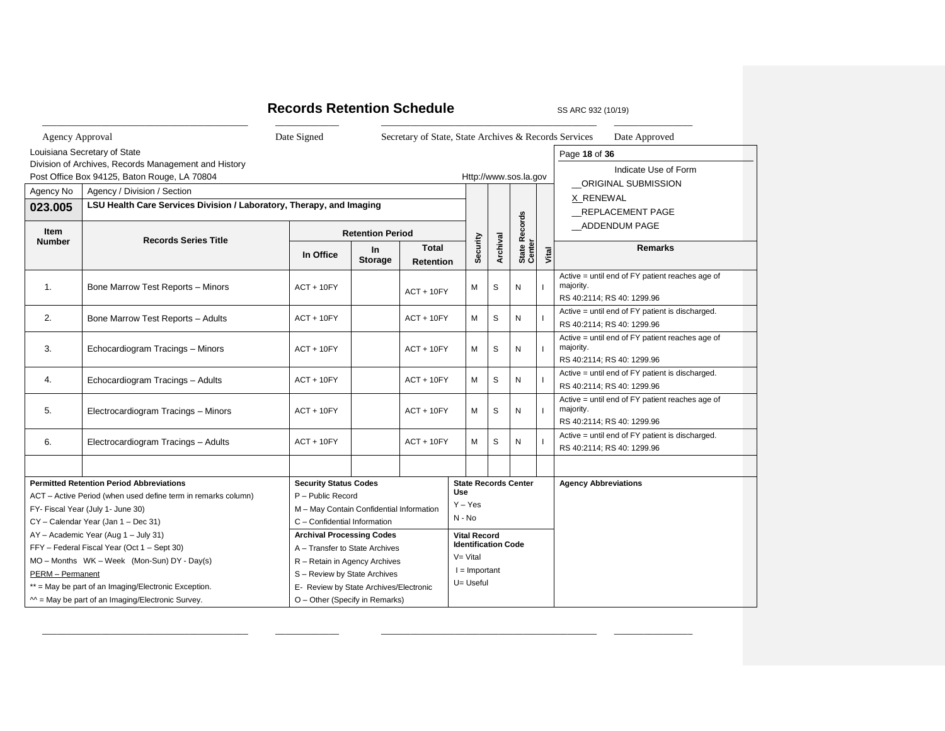# **Records Retention Schedule** SS ARC 932 (10/19)

\_\_\_\_\_\_\_\_\_\_\_\_\_\_\_\_\_\_\_\_\_\_\_\_\_\_\_\_\_\_\_\_\_\_\_\_\_\_\_\_\_\_ \_\_\_\_\_\_\_\_\_\_\_\_\_ \_\_\_\_\_\_\_\_\_\_\_\_\_\_\_\_\_\_\_\_\_\_\_\_\_\_\_\_\_\_\_\_\_\_\_\_\_\_\_\_\_\_\_\_ \_\_\_\_\_\_\_\_\_\_\_\_\_\_\_\_

| Agency Approval         |                                                                      | Date Signed                            |                                          | Secretary of State, State Archives & Records Services |             |                     |                            |                             |       | Date Approved                                                                              |
|-------------------------|----------------------------------------------------------------------|----------------------------------------|------------------------------------------|-------------------------------------------------------|-------------|---------------------|----------------------------|-----------------------------|-------|--------------------------------------------------------------------------------------------|
|                         | Louisiana Secretary of State                                         |                                        |                                          |                                                       |             |                     |                            |                             |       | Page 18 of 36                                                                              |
|                         | Division of Archives, Records Management and History                 |                                        |                                          |                                                       |             |                     |                            |                             |       | Indicate Use of Form                                                                       |
|                         | Post Office Box 94125, Baton Rouge, LA 70804                         |                                        |                                          |                                                       |             |                     |                            | Http://www.sos.la.gov       |       | <b>ORIGINAL SUBMISSION</b>                                                                 |
| Agency No               | Agency / Division / Section                                          |                                        |                                          |                                                       |             |                     |                            |                             |       | X RENEWAL                                                                                  |
| 023.005                 | LSU Health Care Services Division / Laboratory, Therapy, and Imaging |                                        |                                          |                                                       |             |                     |                            |                             |       | REPLACEMENT PAGE                                                                           |
| Item<br><b>Number</b>   | <b>Records Series Title</b>                                          |                                        | <b>Retention Period</b>                  |                                                       |             |                     |                            |                             |       | ADDENDUM PAGE                                                                              |
|                         |                                                                      | In Office                              | <b>In</b><br><b>Storage</b>              | <b>Total</b><br><b>Retention</b>                      |             | Security            | Archival                   | State Records<br>Center     | Vital | <b>Remarks</b>                                                                             |
| 1.                      | Bone Marrow Test Reports - Minors                                    | $ACT + 10FY$                           |                                          | $ACT + 10FY$                                          |             | M                   | S                          | N                           |       | Active = until end of FY patient reaches age of<br>majority.<br>RS 40:2114; RS 40: 1299.96 |
| 2.                      | Bone Marrow Test Reports - Adults                                    | $ACT + 10FY$                           |                                          | $ACT + 10FY$                                          |             | M                   | S                          | N                           |       | Active = until end of FY patient is discharged.<br>RS 40:2114; RS 40: 1299.96              |
| 3.                      | Echocardiogram Tracings - Minors                                     | $ACT + 10FY$                           |                                          | $ACT + 10FY$                                          |             | М                   | S                          | N                           |       | Active = until end of FY patient reaches age of<br>majority.<br>RS 40:2114; RS 40: 1299.96 |
| 4.                      | Echocardiogram Tracings - Adults                                     | $ACT + 10FY$                           |                                          | $ACT + 10FY$                                          |             | М                   | S                          | N                           |       | Active = until end of FY patient is discharged.<br>RS 40:2114; RS 40: 1299.96              |
| 5.                      | Electrocardiogram Tracings - Minors                                  | $ACT + 10FY$                           |                                          | $ACT + 10FY$                                          |             | M                   | S                          | N                           |       | Active = until end of FY patient reaches age of<br>majority.<br>RS 40:2114; RS 40: 1299.96 |
| 6.                      | Electrocardiogram Tracings - Adults                                  | $ACT + 10FY$                           |                                          | $ACT + 10FY$                                          |             | м                   | S                          | N                           |       | Active = until end of FY patient is discharged.<br>RS 40:2114; RS 40: 1299.96              |
|                         |                                                                      |                                        |                                          |                                                       |             |                     |                            |                             |       |                                                                                            |
|                         | <b>Permitted Retention Period Abbreviations</b>                      | <b>Security Status Codes</b>           |                                          |                                                       |             |                     |                            | <b>State Records Center</b> |       | <b>Agency Abbreviations</b>                                                                |
|                         | ACT - Active Period (when used define term in remarks column)        |                                        | P - Public Record                        |                                                       |             |                     |                            |                             |       |                                                                                            |
|                         | FY- Fiscal Year (July 1- June 30)                                    |                                        | M - May Contain Confidential Information |                                                       | $Y - Yes$   |                     |                            |                             |       |                                                                                            |
|                         | CY - Calendar Year (Jan 1 - Dec 31)                                  |                                        | C - Confidential Information             |                                                       | N - No      |                     |                            |                             |       |                                                                                            |
|                         | AY - Academic Year (Aug 1 - July 31)                                 | <b>Archival Processing Codes</b>       |                                          |                                                       |             | <b>Vital Record</b> |                            |                             |       |                                                                                            |
|                         | FFY - Federal Fiscal Year (Oct 1 - Sept 30)                          | A - Transfer to State Archives         |                                          |                                                       | $V = Vital$ |                     | <b>Identification Code</b> |                             |       |                                                                                            |
|                         | MO - Months WK - Week (Mon-Sun) DY - Day(s)                          | R - Retain in Agency Archives          |                                          |                                                       |             | $I =$ Important     |                            |                             |       |                                                                                            |
| <b>PERM</b> - Permanent |                                                                      | S - Review by State Archives           |                                          |                                                       |             | U= Useful           |                            |                             |       |                                                                                            |
|                         | ** = May be part of an Imaging/Electronic Exception.                 | E- Review by State Archives/Electronic |                                          |                                                       |             |                     |                            |                             |       |                                                                                            |
|                         | $M =$ May be part of an Imaging/Electronic Survey.                   | O - Other (Specify in Remarks)         |                                          |                                                       |             |                     |                            |                             |       |                                                                                            |

\_\_\_\_\_\_\_\_\_\_\_\_\_\_\_\_\_\_\_\_\_\_\_\_\_\_\_\_\_\_\_\_\_\_\_\_\_\_\_\_\_\_ \_\_\_\_\_\_\_\_\_\_\_\_\_ \_\_\_\_\_\_\_\_\_\_\_\_\_\_\_\_\_\_\_\_\_\_\_\_\_\_\_\_\_\_\_\_\_\_\_\_\_\_\_\_\_\_\_\_ \_\_\_\_\_\_\_\_\_\_\_\_\_\_\_\_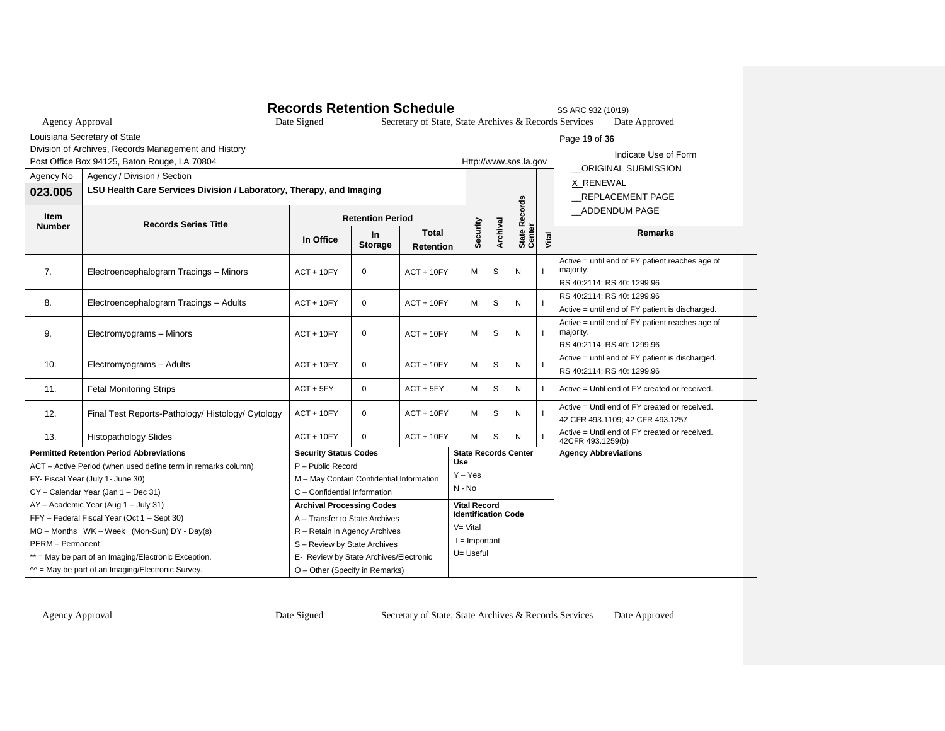|                                          |                                                                                     | <b>Records Retention Schedule</b>                                      |                      |                                                       |                 |                     |                            |                             |       | SS ARC 932 (10/19)                                                                         |  |
|------------------------------------------|-------------------------------------------------------------------------------------|------------------------------------------------------------------------|----------------------|-------------------------------------------------------|-----------------|---------------------|----------------------------|-----------------------------|-------|--------------------------------------------------------------------------------------------|--|
| <b>Agency Approval</b>                   |                                                                                     | Date Signed                                                            |                      | Secretary of State, State Archives & Records Services |                 |                     |                            |                             |       | Date Approved                                                                              |  |
|                                          | Louisiana Secretary of State                                                        |                                                                        |                      |                                                       |                 |                     |                            |                             |       | Page 19 of 36                                                                              |  |
|                                          | Division of Archives, Records Management and History                                |                                                                        |                      |                                                       |                 |                     |                            |                             |       | Indicate Use of Form                                                                       |  |
|                                          | Post Office Box 94125, Baton Rouge, LA 70804                                        |                                                                        |                      |                                                       |                 |                     |                            | Http://www.sos.la.gov       |       | ORIGINAL SUBMISSION                                                                        |  |
| Agency / Division / Section<br>Agency No |                                                                                     |                                                                        |                      |                                                       |                 |                     |                            |                             |       | X RENEWAL                                                                                  |  |
| 023.005                                  |                                                                                     | LSU Health Care Services Division / Laboratory, Therapy, and Imaging   |                      |                                                       |                 |                     |                            |                             |       | REPLACEMENT PAGE                                                                           |  |
| <b>Item</b>                              | <b>Records Series Title</b>                                                         | <b>Retention Period</b>                                                |                      |                                                       |                 |                     |                            | Records                     |       | _ADDENDUM PAGE                                                                             |  |
| <b>Number</b>                            |                                                                                     | In Office                                                              | In<br><b>Storage</b> | <b>Total</b><br><b>Retention</b>                      |                 | Security            | Archival                   | State R<br>Center           | Vital | <b>Remarks</b>                                                                             |  |
| 7.                                       | Electroencephalogram Tracings - Minors                                              | $ACT + 10FY$                                                           | $\mathbf 0$          | $ACT + 10FY$                                          |                 | M                   | S                          | N                           |       | Active = until end of FY patient reaches age of<br>majority.<br>RS 40:2114; RS 40: 1299.96 |  |
| 8.                                       | Electroencephalogram Tracings - Adults                                              | $ACT + 10FY$                                                           | $\mathbf 0$          | $ACT + 10FY$                                          |                 | M                   | S                          | N                           |       | RS 40:2114; RS 40: 1299.96<br>Active = until end of FY patient is discharged.              |  |
| 9.                                       | Electromyograms - Minors                                                            | $ACT + 10FY$                                                           | $\mathbf 0$          | $ACT + 10FY$                                          |                 | М                   | S                          | N                           |       | Active = until end of FY patient reaches age of<br>majority.<br>RS 40:2114; RS 40: 1299.96 |  |
| 10.                                      | Electromyograms - Adults                                                            | $ACT + 10FY$                                                           | $\mathbf 0$          | $ACT + 10FY$                                          |                 | М                   | S                          | N                           |       | Active = until end of FY patient is discharged.<br>RS 40:2114; RS 40: 1299.96              |  |
| 11.                                      | <b>Fetal Monitoring Strips</b>                                                      | $ACT + 5FY$                                                            | $\mathbf 0$          | $ACT + 5FY$                                           |                 | м                   | S                          | N                           |       | Active = Until end of FY created or received.                                              |  |
| 12.                                      | Final Test Reports-Pathology/ Histology/ Cytology                                   | $ACT + 10FY$                                                           | $\Omega$             | $ACT + 10FY$                                          |                 | M                   | S                          | N                           |       | Active = Until end of FY created or received.<br>42 CFR 493.1109; 42 CFR 493.1257          |  |
| 13.                                      | <b>Histopathology Slides</b>                                                        | $ACT + 10FY$                                                           | $\Omega$             | $ACT + 10FY$                                          |                 | M                   | S                          | N                           |       | Active = Until end of FY created or received.<br>42CFR 493.1259(b)                         |  |
|                                          | <b>Permitted Retention Period Abbreviations</b>                                     | <b>Security Status Codes</b>                                           |                      |                                                       | Use             |                     |                            | <b>State Records Center</b> |       | <b>Agency Abbreviations</b>                                                                |  |
|                                          | ACT - Active Period (when used define term in remarks column)                       | P - Public Record                                                      |                      |                                                       | $Y - Yes$       |                     |                            |                             |       |                                                                                            |  |
|                                          | FY- Fiscal Year (July 1- June 30)                                                   | M - May Contain Confidential Information                               |                      |                                                       | $N - No$        |                     |                            |                             |       |                                                                                            |  |
|                                          | CY - Calendar Year (Jan 1 - Dec 31)                                                 | C - Confidential Information                                           |                      |                                                       |                 |                     |                            |                             |       |                                                                                            |  |
|                                          | AY - Academic Year (Aug 1 - July 31)<br>FFY - Federal Fiscal Year (Oct 1 - Sept 30) | <b>Archival Processing Codes</b><br>A - Transfer to State Archives     |                      |                                                       |                 | <b>Vital Record</b> | <b>Identification Code</b> |                             |       |                                                                                            |  |
|                                          | MO - Months WK - Week (Mon-Sun) DY - Day(s)                                         | R - Retain in Agency Archives                                          |                      |                                                       | $V = Vital$     |                     |                            |                             |       |                                                                                            |  |
| PERM - Permanent                         |                                                                                     |                                                                        |                      |                                                       | $l =$ Important |                     |                            |                             |       |                                                                                            |  |
|                                          | ** = May be part of an Imaging/Electronic Exception.                                | S - Review by State Archives<br>E- Review by State Archives/Electronic |                      |                                                       |                 | U= Useful           |                            |                             |       |                                                                                            |  |
|                                          | $M =$ May be part of an Imaging/Electronic Survey.                                  | O - Other (Specify in Remarks)                                         |                      |                                                       |                 |                     |                            |                             |       |                                                                                            |  |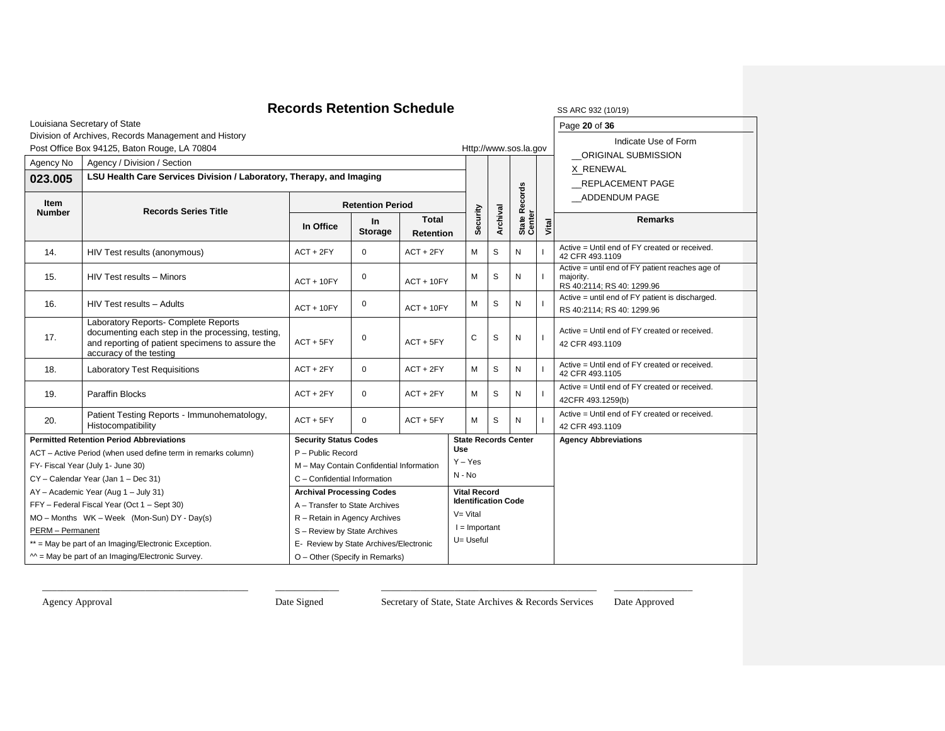#### **Records Retention Schedule** SS ARC 932 (10/19) Louisiana Secretary of State Division of Archives, Records Management and History Post Office Box 94125, Baton Rouge, LA 70804 Http://www.sos.la.gov Page **20** of **36** Indicate Use of Form \_\_ORIGINAL SUBMISSION X RENEWAL \_\_REPLACEMENT PAGE \_\_ADDENDUM PAGE Agency No | Agency / Division / Section **Security Archival State Records**  State Records<br>Center **Vital 023.005 LSU Health Care Services Division / Laboratory, Therapy, and Imaging Item Records Series Title Retention Period In Office In Storage Total Retention Remarks** 14.  $\vert$  HIV Test results (anonymous)  $\vert$  ACT + 2FY  $\vert$  0  $\vert$  ACT + 2FY  $\vert$  M  $\vert$  S  $\vert$  N Active = Until end of FY created or received. 42 CFR 493.1109 15.  $\left|\begin{array}{ccc} HIV \text{ Test results} - \text{Minors} \\ 0 \end{array}\right|$  $ACT + 10FY$   $M S N$ Active = until end of FY patient reaches age of majority. RS 40:2114; RS 40: 1299.96 16.  $\left| \begin{array}{c} HIV \text{ Test results} - \text{Aduits} \\ \end{array} \right|$  ACT + 10FY  $\left| \begin{array}{c} 0 \\ \end{array} \right|$  $ACT + 10FY$   $M S N$ Active = until end of FY patient is discharged. RS 40:2114; RS 40: 1299.96 17. Laboratory Reports- Complete Reports documenting each step in the processing, testing, and reporting of patient specimens to assure the accuracy of the testing  $ACT + 5FY$  0  $ACT + 5FY$  C S N Active = Until end of FY created or received. 42 CFR 493.1109 18. Laboratory Test Requisitions  $\begin{vmatrix} ACT + 2FY & 0 & ACT + 2FY \end{vmatrix}$  ACT + 2FY  $\begin{vmatrix} M & S & N \end{vmatrix}$ Active = Until end of FY created or received. 42 CFR 493.1105 19. Paraffin Blocks **ACT + 2FY** O ACT + 2FY M S N Active = Until end of FY created or received. 42CFR 493.1259(b) 20. Patient Testing Reports - Immunohematology, Patient Testing Reports - Immunonematology,  $\begin{bmatrix} ACT + 5FY \\ 0 \end{bmatrix}$   $\begin{bmatrix} ACT + 5FY \\ 0 \end{bmatrix}$  M  $\begin{bmatrix} S \\ M \end{bmatrix}$  N Active = Until end of FY created or received. 42 CFR 493.1109 **Permitted Retention Period Abbreviations** ACT – Active Period (when used define term in remarks column) FY- Fiscal Year (July 1- June 30) CY – Calendar Year (Jan 1 – Dec 31) AY – Academic Year (Aug 1 – July 31) FFY – Federal Fiscal Year (Oct 1 – Sept 30) MO – Months WK – Week (Mon-Sun) DY - Day(s) PERM – Permanent \*\* = May be part of an Imaging/Electronic Exception. **Security Status Codes** P – Public Record M – May Contain Confidential Information C – Confidential Information **State Records Center Use** Y – Yes N - No **Agency Abbreviations Archival Processing Codes** A – Transfer to State Archives R – Retain in Agency Archives S – Review by State Archives E- Review by State Archives/Electronic **Vital Record Identification Code** V= Vital  $I =$  Important U= Useful

\_\_\_\_\_\_\_\_\_\_\_\_\_\_\_\_\_\_\_\_\_\_\_\_\_\_\_\_\_\_\_\_\_\_\_\_\_\_\_\_\_\_ \_\_\_\_\_\_\_\_\_\_\_\_\_ \_\_\_\_\_\_\_\_\_\_\_\_\_\_\_\_\_\_\_\_\_\_\_\_\_\_\_\_\_\_\_\_\_\_\_\_\_\_\_\_\_\_\_\_ \_\_\_\_\_\_\_\_\_\_\_\_\_\_\_\_

 $^{\sim}$  = May be part of an Imaging/Electronic Survey.

O – Other (Specify in Remarks)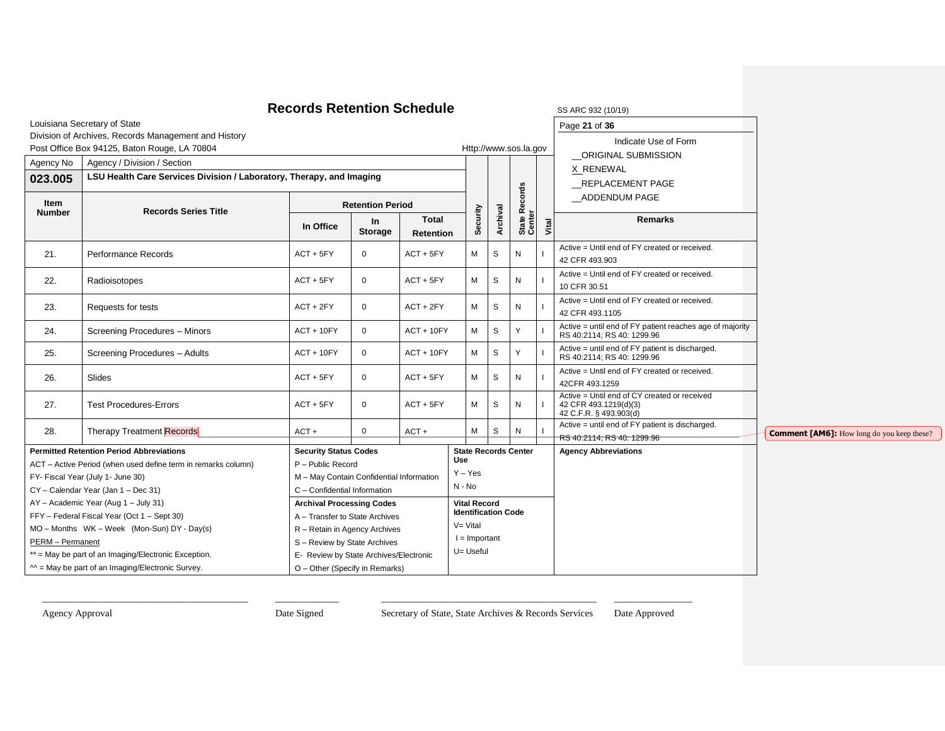#### **Records Retention Schedule** SS ARC 932 (10/19) Louisiana Secretary of State Division of Archives, Records Management and History Post Office Box 94125, Baton Rouge, LA 70804 Http://www.sos.la.gov Page **21** of **36** Indicate Use of Form \_\_ORIGINAL SUBMISSION X RENEWAL \_\_REPLACEMENT PAGE \_\_ADDENDUM PAGE Agency No | Agency / Division / Section **Security Archival State Records**  State Records<br>Center **Vital 023.005 LSU Health Care Services Division / Laboratory, Therapy, and Imaging Item Records Series Title Retention Period In Office In Storage Total Retention Remarks** 21. Performance Records ACT + 5FY 0 ACT + 5FY M S N Active = Until end of FY created or received. 42 CFR 493.903 22. Radioisotopes ACT + 5FY 0 ACT + 5FY M S N Active = Until end of FY created or received. 10 CFR 30.51 23. Requests for tests ACT + 2FY 0 ACT + 2FY M S N I Active = Until end of FY created or received. 42 CFR 493.1105 24. Screening Procedures – Minors ACT + 10FY 0 ACT + 10FY M S Y Active = until end of FY patient reaches age of majority RS 40:2114; RS 40: 1299.96 25. Screening Procedures – Adults ACT + 10FY 0 ACT + 10FY M S Y Active = until end of FY patient is discharged. RS 40:2114; RS 40: 1299.96 26. Slides ACT + 5FY 0 ACT + 5FY M S N I Active = Until end of FY created or received. 42CFR 493.1259 27. Test Procedures-Errors ACT + 5FY 0 ACT + 5FY M S N Active = Until end of CY created or received 42 CFR 493.1219(d)(3) 42 C.F.R. § 493.903(d) 28. Therapy Treatment Records **ACT + 1** 0 ACT + M S N Active = until end of FY patient is discharged. RS 40:2114; RS 40: 1299.96 **Permitted Retention Period Abbreviations** ACT – Active Period (when used define term in remarks column) FY- Fiscal Year (July 1- June 30) CY – Calendar Year (Jan 1 – Dec 31) AY – Academic Year (Aug 1 – July 31) FFY – Federal Fiscal Year (Oct 1 – Sept 30) MO – Months WK – Week (Mon-Sun) DY - Day(s) PERM – Permanent \*\* = May be part of an Imaging/Electronic Exception.  $^{\sim}$  = May be part of an Imaging/Electronic Survey. **Security Status Codes** P – Public Record M – May Contain Confidential Information C – Confidential Information **State Records Center Use** Y – Yes N - No **Agency Abbreviations Archival Processing Codes** A – Transfer to State Archives R – Retain in Agency Archives S – Review by State Archives E- Review by State Archives/Electronic O – Other (Specify in Remarks) **Vital Record Identification Code**  $V = V$ ital  $I =$  Important U= Useful **Comment [AM6]:** How long do you keep these?

\_\_\_\_\_\_\_\_\_\_\_\_\_\_\_\_\_\_\_\_\_\_\_\_\_\_\_\_\_\_\_\_\_\_\_\_\_\_\_\_\_\_ \_\_\_\_\_\_\_\_\_\_\_\_\_ \_\_\_\_\_\_\_\_\_\_\_\_\_\_\_\_\_\_\_\_\_\_\_\_\_\_\_\_\_\_\_\_\_\_\_\_\_\_\_\_\_\_\_\_ \_\_\_\_\_\_\_\_\_\_\_\_\_\_\_\_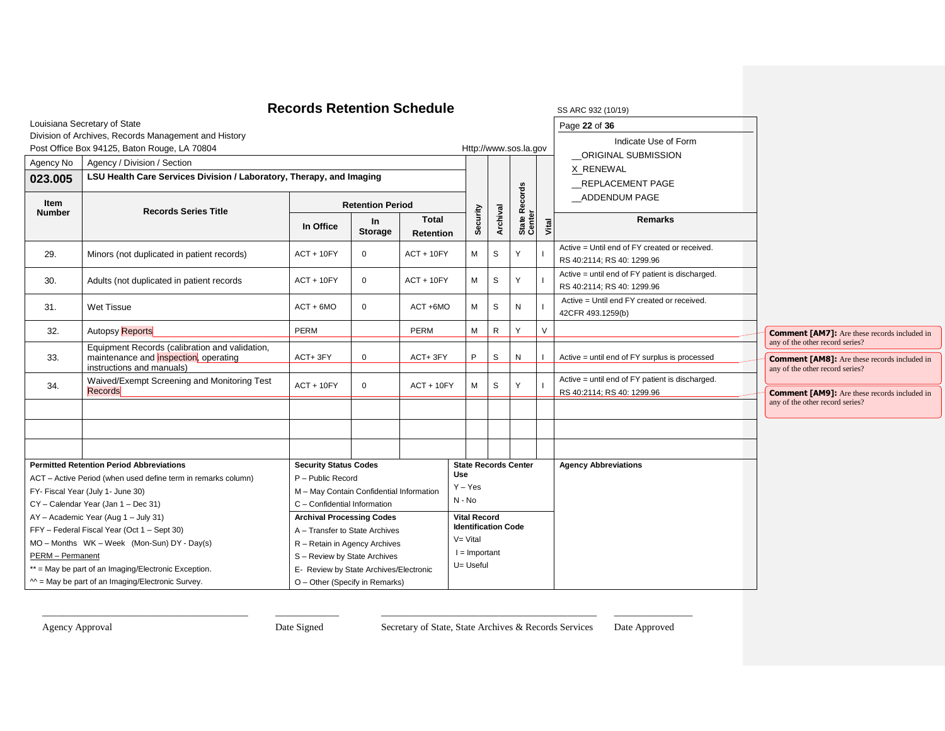|                         |                                                                                                                      | <b>Records Retention Schedule</b>                                  |                         |                           |                                                   |              |                   |        | SS ARC 932 (10/19)                                                            |                                                                                                                           |
|-------------------------|----------------------------------------------------------------------------------------------------------------------|--------------------------------------------------------------------|-------------------------|---------------------------|---------------------------------------------------|--------------|-------------------|--------|-------------------------------------------------------------------------------|---------------------------------------------------------------------------------------------------------------------------|
|                         | Louisiana Secretary of State                                                                                         |                                                                    |                         |                           |                                                   |              |                   |        | Page 22 of 36                                                                 |                                                                                                                           |
|                         | Division of Archives, Records Management and History                                                                 |                                                                    |                         |                           |                                                   |              |                   |        | Indicate Use of Form                                                          |                                                                                                                           |
|                         | Post Office Box 94125, Baton Rouge, LA 70804                                                                         |                                                                    |                         |                           | Http://www.sos.la.gov                             |              |                   |        | _ORIGINAL SUBMISSION                                                          |                                                                                                                           |
| Agency No               | Agency / Division / Section                                                                                          |                                                                    |                         |                           |                                                   |              |                   |        | X_RENEWAL                                                                     |                                                                                                                           |
| 023.005                 | LSU Health Care Services Division / Laboratory, Therapy, and Imaging                                                 |                                                                    |                         |                           |                                                   |              |                   |        | REPLACEMENT PAGE                                                              |                                                                                                                           |
| Item<br><b>Number</b>   | <b>Records Series Title</b>                                                                                          |                                                                    | <b>Retention Period</b> |                           |                                                   |              | <b>Records</b>    |        | ADDENDUM PAGE                                                                 |                                                                                                                           |
|                         |                                                                                                                      | In Office                                                          | In<br><b>Storage</b>    | <b>Total</b><br>Retention | Security                                          | Archival     | State R<br>Center | Vital  | <b>Remarks</b>                                                                |                                                                                                                           |
| 29.                     | Minors (not duplicated in patient records)                                                                           | $ACT + 10FY$                                                       | $\mathbf 0$             | $ACT + 10FY$              | М                                                 | S            | Υ                 |        | Active = Until end of FY created or received.<br>RS 40:2114; RS 40: 1299.96   |                                                                                                                           |
| 30.                     | Adults (not duplicated in patient records                                                                            | $ACT + 10FY$                                                       | $\mathbf 0$             | $ACT + 10FY$              | М                                                 | S            | Υ                 |        | Active = until end of FY patient is discharged.<br>RS 40:2114; RS 40: 1299.96 |                                                                                                                           |
| 31.                     | <b>Wet Tissue</b>                                                                                                    | $ACT + 6MO$                                                        | $\mathbf 0$             | ACT +6MO                  | М                                                 | S            | N                 |        | Active = Until end FY created or received.<br>42CFR 493.1259(b)               |                                                                                                                           |
| 32.                     | <b>Autopsy</b> Reports                                                                                               | <b>PERM</b>                                                        |                         | PERM                      | М                                                 | $\mathsf{R}$ | ٧                 | $\vee$ |                                                                               | <b>Comment [AM7]:</b> Are these records included in                                                                       |
| 33.                     | Equipment Records (calibration and validation,<br>maintenance and inspection, operating<br>instructions and manuals) | ACT+3FY                                                            | $\mathbf 0$             | ACT+3FY                   | P                                                 | S            | N                 |        | Active = until end of FY surplus is processed                                 | any of the other record series?<br><b>Comment [AM8]:</b> Are these records included in<br>any of the other record series? |
| 34.                     | Waived/Exempt Screening and Monitoring Test<br>Records                                                               | $ACT + 10FY$                                                       | $\mathbf 0$             | $ACT + 10FY$              | М                                                 | S            |                   |        | Active = until end of FY patient is discharged.<br>RS 40:2114; RS 40: 1299.96 | <b>Comment [AM9]:</b> Are these records included in                                                                       |
|                         |                                                                                                                      |                                                                    |                         |                           |                                                   |              |                   |        |                                                                               | any of the other record series?                                                                                           |
|                         |                                                                                                                      |                                                                    |                         |                           |                                                   |              |                   |        |                                                                               |                                                                                                                           |
|                         |                                                                                                                      |                                                                    |                         |                           |                                                   |              |                   |        |                                                                               |                                                                                                                           |
|                         | <b>Permitted Retention Period Abbreviations</b>                                                                      | <b>Security Status Codes</b>                                       |                         |                           | <b>State Records Center</b><br><b>Use</b>         |              |                   |        | <b>Agency Abbreviations</b>                                                   |                                                                                                                           |
|                         | ACT - Active Period (when used define term in remarks column)                                                        | P - Public Record                                                  |                         |                           | $Y - Yes$                                         |              |                   |        |                                                                               |                                                                                                                           |
|                         | FY- Fiscal Year (July 1- June 30)                                                                                    | M - May Contain Confidential Information                           |                         |                           | $N - No$                                          |              |                   |        |                                                                               |                                                                                                                           |
|                         | CY - Calendar Year (Jan 1 - Dec 31)<br>AY - Academic Year (Aug 1 - July 31)                                          | C - Confidential Information                                       |                         |                           |                                                   |              |                   |        |                                                                               |                                                                                                                           |
|                         | FFY - Federal Fiscal Year (Oct 1 - Sept 30)                                                                          | <b>Archival Processing Codes</b><br>A - Transfer to State Archives |                         |                           | <b>Vital Record</b><br><b>Identification Code</b> |              |                   |        |                                                                               |                                                                                                                           |
|                         | MO - Months WK - Week (Mon-Sun) DY - Day(s)                                                                          | R - Retain in Agency Archives                                      |                         |                           | $V = V$ ital                                      |              |                   |        |                                                                               |                                                                                                                           |
| <b>PERM</b> - Permanent |                                                                                                                      | S - Review by State Archives                                       |                         |                           | $I =$ Important                                   |              |                   |        |                                                                               |                                                                                                                           |
|                         | ** = May be part of an Imaging/Electronic Exception.                                                                 | E- Review by State Archives/Electronic                             |                         |                           | U= Useful                                         |              |                   |        |                                                                               |                                                                                                                           |
|                         | $M =$ May be part of an Imaging/Electronic Survey.                                                                   | O - Other (Specify in Remarks)                                     |                         |                           |                                                   |              |                   |        |                                                                               |                                                                                                                           |

Agency Approval Date Signed Date Secretary of State, State Archives & Records Services Date Approved

ר ۰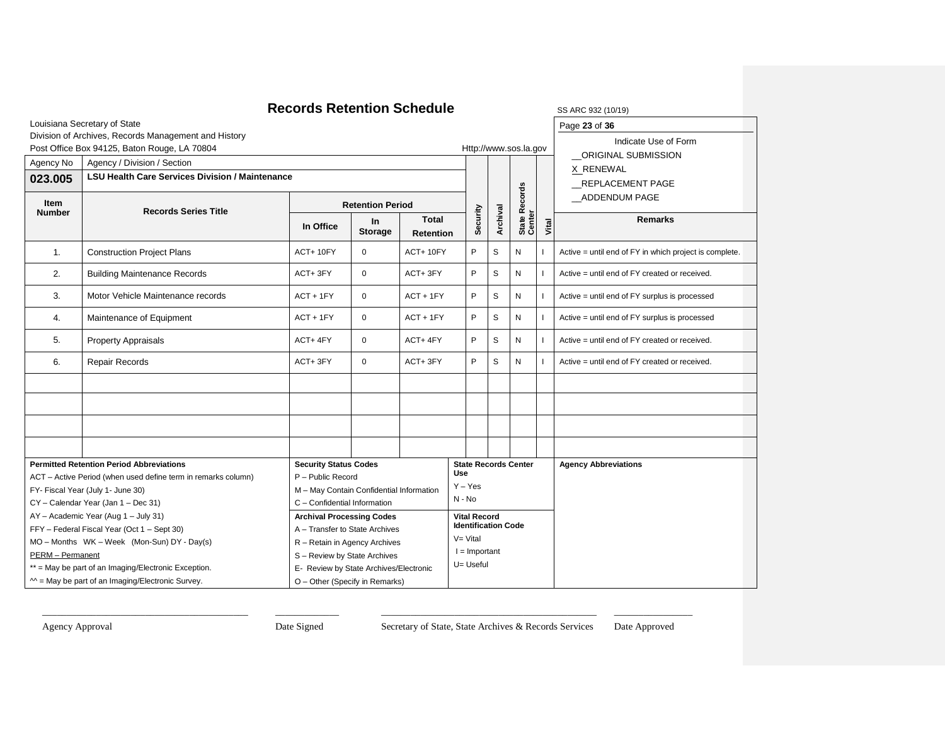|                       |                                                                                    | <b>Records Retention Schedule</b>        |                             |                           |                              |                     |                             |                         |                             | SS ARC 932 (10/19)                                     |
|-----------------------|------------------------------------------------------------------------------------|------------------------------------------|-----------------------------|---------------------------|------------------------------|---------------------|-----------------------------|-------------------------|-----------------------------|--------------------------------------------------------|
|                       | Louisiana Secretary of State                                                       |                                          |                             |                           |                              |                     |                             |                         |                             | Page 23 of 36                                          |
|                       | Division of Archives, Records Management and History                               |                                          |                             |                           |                              |                     |                             |                         |                             | Indicate Use of Form                                   |
|                       | Post Office Box 94125, Baton Rouge, LA 70804                                       |                                          |                             |                           |                              |                     |                             | Http://www.sos.la.gov   |                             | ORIGINAL SUBMISSION                                    |
| Agency No             | Agency / Division / Section                                                        |                                          |                             |                           |                              |                     |                             |                         |                             | X RENEWAL                                              |
| 023.005               | <b>LSU Health Care Services Division / Maintenance</b>                             |                                          |                             |                           |                              |                     |                             |                         |                             | REPLACEMENT PAGE                                       |
| Item<br><b>Number</b> | <b>Records Series Title</b>                                                        |                                          | <b>Retention Period</b>     |                           |                              |                     |                             | State Records<br>Center |                             | ADDENDUM PAGE                                          |
|                       |                                                                                    | In Office                                | <b>In</b><br><b>Storage</b> | Total<br><b>Retention</b> |                              | Security            | Archival                    |                         | Vital                       | <b>Remarks</b>                                         |
| 1.                    | <b>Construction Project Plans</b>                                                  | ACT+10FY                                 | $\mathbf 0$                 | ACT+10FY                  |                              | P                   | S                           | N                       |                             | Active = until end of FY in which project is complete. |
| 2.                    | <b>Building Maintenance Records</b>                                                | ACT+3FY                                  | $\mathbf 0$                 | ACT+3FY                   |                              | P                   | S                           | N                       |                             | Active = until end of FY created or received.          |
| 3.                    | Motor Vehicle Maintenance records                                                  | $ACT + 1FY$                              | $\mathbf 0$                 | $ACT + 1FY$               |                              | P                   | S                           | N                       |                             | Active = until end of FY surplus is processed          |
| 4.                    | Maintenance of Equipment                                                           | $ACT + 1FY$                              | $\mathbf 0$                 | $ACT + 1FY$               |                              | P                   | S                           | N                       |                             | Active = until end of FY surplus is processed          |
| 5.                    | <b>Property Appraisals</b>                                                         | ACT+4FY                                  | $\mathbf 0$                 | ACT+4FY                   |                              | P                   | S                           | N                       |                             | Active = until end of FY created or received.          |
| 6.                    | Repair Records                                                                     | ACT+3FY                                  | $\mathbf 0$                 | ACT+3FY                   |                              | P                   | S                           | N                       |                             | Active = until end of FY created or received.          |
|                       |                                                                                    |                                          |                             |                           |                              |                     |                             |                         |                             |                                                        |
|                       |                                                                                    |                                          |                             |                           |                              |                     |                             |                         |                             |                                                        |
|                       |                                                                                    |                                          |                             |                           |                              |                     |                             |                         |                             |                                                        |
|                       |                                                                                    |                                          |                             |                           |                              |                     |                             |                         |                             |                                                        |
|                       | <b>Permitted Retention Period Abbreviations</b><br><b>Security Status Codes</b>    |                                          |                             |                           |                              |                     | <b>State Records Center</b> |                         | <b>Agency Abbreviations</b> |                                                        |
|                       | ACT - Active Period (when used define term in remarks column)<br>P - Public Record |                                          | <b>Use</b>                  |                           |                              |                     |                             |                         |                             |                                                        |
|                       | FY- Fiscal Year (July 1- June 30)                                                  | M - May Contain Confidential Information |                             |                           | $Y - Yes$                    |                     |                             |                         |                             |                                                        |
|                       | CY - Calendar Year (Jan 1 - Dec 31)                                                | C - Confidential Information             |                             |                           | $N - No$                     |                     |                             |                         |                             |                                                        |
|                       | AY - Academic Year (Aug 1 - July 31)                                               | <b>Archival Processing Codes</b>         |                             |                           |                              | <b>Vital Record</b> | <b>Identification Code</b>  |                         |                             |                                                        |
|                       | FFY - Federal Fiscal Year (Oct 1 - Sept 30)                                        | A - Transfer to State Archives           |                             |                           | $V = Vital$                  |                     |                             |                         |                             |                                                        |
|                       | MO - Months WK - Week (Mon-Sun) DY - Day(s)                                        | R - Retain in Agency Archives            |                             |                           |                              |                     |                             |                         |                             |                                                        |
| PERM - Permanent      |                                                                                    | S - Review by State Archives             |                             |                           | $I =$ Important<br>U= Useful |                     |                             |                         |                             |                                                        |
|                       | ** = May be part of an Imaging/Electronic Exception.                               | E- Review by State Archives/Electronic   |                             |                           |                              |                     |                             |                         |                             |                                                        |
|                       | $M =$ May be part of an Imaging/Electronic Survey.                                 | O - Other (Specify in Remarks)           |                             |                           |                              |                     |                             |                         |                             |                                                        |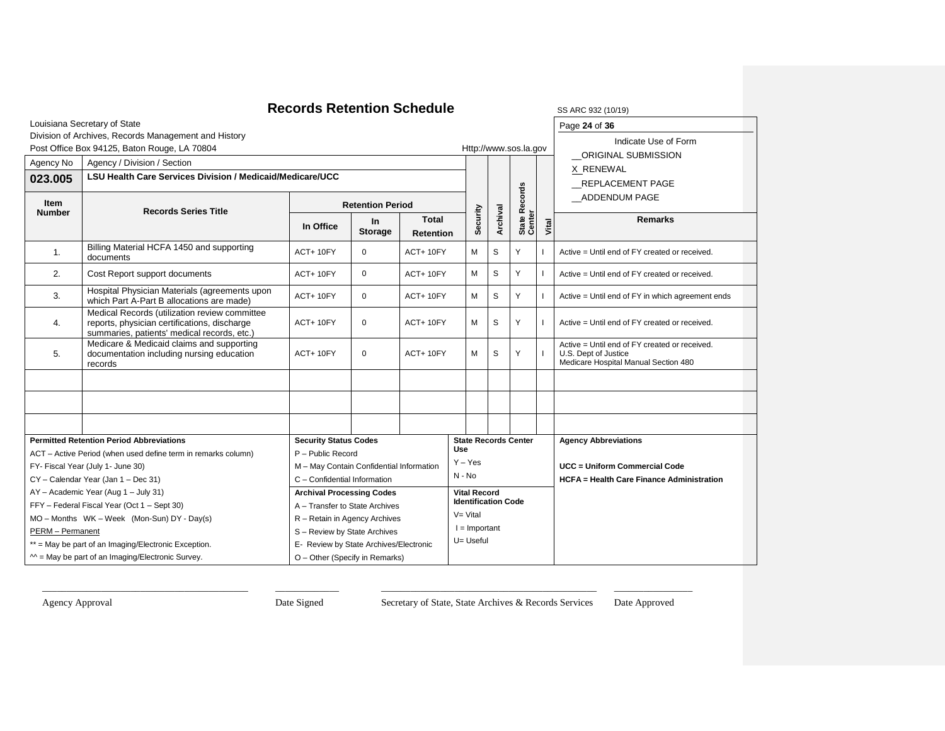### **Records Retention Schedule** SS ARC 932 (10/19)

| SS ARC 932 ( |  |
|--------------|--|
|              |  |

Page **24** of **36**

Indicate Use of Form

Louisiana Secretary of State Division of Archives, Records Management and History

|  | Post Office Box 94125, Baton Rouge, LA 70804 |  |
|--|----------------------------------------------|--|

|                                   | Post Office Box 94125, Baton Rouge, LA 70804                                                                                                 |                                          |                      |                                  |                            |                 |                             | Http://www.sos.la.gov |                             | ORIGINAL SUBMISSION                                                                                           |  |
|-----------------------------------|----------------------------------------------------------------------------------------------------------------------------------------------|------------------------------------------|----------------------|----------------------------------|----------------------------|-----------------|-----------------------------|-----------------------|-----------------------------|---------------------------------------------------------------------------------------------------------------|--|
| Agency No                         | Agency / Division / Section                                                                                                                  |                                          |                      |                                  |                            |                 |                             |                       |                             | X RENEWAL                                                                                                     |  |
| 023.005                           | LSU Health Care Services Division / Medicaid/Medicare/UCC                                                                                    |                                          |                      |                                  |                            |                 |                             |                       |                             | REPLACEMENT PAGE                                                                                              |  |
| Item                              | <b>Records Series Title</b>                                                                                                                  | <b>Retention Period</b>                  |                      |                                  |                            |                 |                             | Records               |                             | ADDENDUM PAGE                                                                                                 |  |
| <b>Number</b>                     |                                                                                                                                              | In Office                                | In<br><b>Storage</b> | <b>Total</b><br><b>Retention</b> |                            | Security        | Archival                    | State R<br>Center     | Vital                       | <b>Remarks</b>                                                                                                |  |
| 1.                                | Billing Material HCFA 1450 and supporting<br>documents                                                                                       | ACT+10FY                                 | $\mathbf 0$          | ACT+10FY                         |                            | М               | S                           | Υ                     |                             | Active = Until end of FY created or received.                                                                 |  |
| 2.                                | Cost Report support documents                                                                                                                | ACT+10FY                                 | $\mathbf 0$          | ACT+10FY                         |                            | M               | S                           | Υ                     |                             | Active = Until end of FY created or received.                                                                 |  |
| 3.                                | Hospital Physician Materials (agreements upon<br>which Part A-Part B allocations are made)                                                   | ACT+10FY                                 | $\mathbf 0$          | ACT+10FY                         |                            | М               | S                           | Y                     |                             | Active = Until end of FY in which agreement ends                                                              |  |
| 4.                                | Medical Records (utilization review committee<br>reports, physician certifications, discharge<br>summaries, patients' medical records, etc.) | ACT+10FY                                 | $\mathbf 0$          | ACT+10FY                         |                            | M               | S                           | Υ                     |                             | Active = Until end of FY created or received.                                                                 |  |
| 5.                                | Medicare & Medicaid claims and supporting<br>documentation including nursing education<br>records                                            | ACT+10FY                                 | $\mathbf 0$          | ACT+10FY                         |                            | M               | S                           | Y                     |                             | Active = Until end of FY created or received.<br>U.S. Dept of Justice<br>Medicare Hospital Manual Section 480 |  |
|                                   |                                                                                                                                              |                                          |                      |                                  |                            |                 |                             |                       |                             |                                                                                                               |  |
|                                   |                                                                                                                                              |                                          |                      |                                  |                            |                 |                             |                       |                             |                                                                                                               |  |
|                                   |                                                                                                                                              |                                          |                      |                                  |                            |                 |                             |                       |                             |                                                                                                               |  |
|                                   | <b>Permitted Retention Period Abbreviations</b>                                                                                              | <b>Security Status Codes</b>             |                      |                                  |                            |                 | <b>State Records Center</b> |                       | <b>Agency Abbreviations</b> |                                                                                                               |  |
|                                   | ACT - Active Period (when used define term in remarks column)                                                                                | P - Public Record                        |                      | <b>Use</b>                       |                            |                 |                             |                       |                             |                                                                                                               |  |
| FY- Fiscal Year (July 1- June 30) |                                                                                                                                              | M - May Contain Confidential Information |                      |                                  | $Y - Yes$                  |                 |                             |                       |                             | UCC = Uniform Commercial Code                                                                                 |  |
|                                   | CY - Calendar Year (Jan 1 - Dec 31)                                                                                                          | C - Confidential Information             |                      |                                  | N - No                     |                 |                             |                       |                             | <b>HCFA</b> = Health Care Finance Administration                                                              |  |
|                                   | AY - Academic Year (Aug 1 - July 31)                                                                                                         | <b>Archival Processing Codes</b>         |                      |                                  | <b>Vital Record</b>        |                 |                             |                       |                             |                                                                                                               |  |
|                                   | FFY - Federal Fiscal Year (Oct 1 - Sept 30)                                                                                                  | A - Transfer to State Archives           |                      |                                  | <b>Identification Code</b> |                 |                             |                       |                             |                                                                                                               |  |
|                                   | MO - Months WK - Week (Mon-Sun) DY - Day(s)                                                                                                  | R - Retain in Agency Archives            |                      |                                  | $V = Vital$                |                 |                             |                       |                             |                                                                                                               |  |
| PERM - Permanent                  |                                                                                                                                              | S - Review by State Archives             |                      |                                  |                            | $I =$ Important |                             |                       |                             |                                                                                                               |  |
|                                   | ** = May be part of an Imaging/Electronic Exception.                                                                                         | E- Review by State Archives/Electronic   |                      |                                  |                            | U= Useful       |                             |                       |                             |                                                                                                               |  |
|                                   | $M = May$ be part of an Imaging/Electronic Survey.                                                                                           | O - Other (Specify in Remarks)           |                      |                                  |                            |                 |                             |                       |                             |                                                                                                               |  |

\_\_\_\_\_\_\_\_\_\_\_\_\_\_\_\_\_\_\_\_\_\_\_\_\_\_\_\_\_\_\_\_\_\_\_\_\_\_\_\_\_\_ \_\_\_\_\_\_\_\_\_\_\_\_\_ \_\_\_\_\_\_\_\_\_\_\_\_\_\_\_\_\_\_\_\_\_\_\_\_\_\_\_\_\_\_\_\_\_\_\_\_\_\_\_\_\_\_\_\_ \_\_\_\_\_\_\_\_\_\_\_\_\_\_\_\_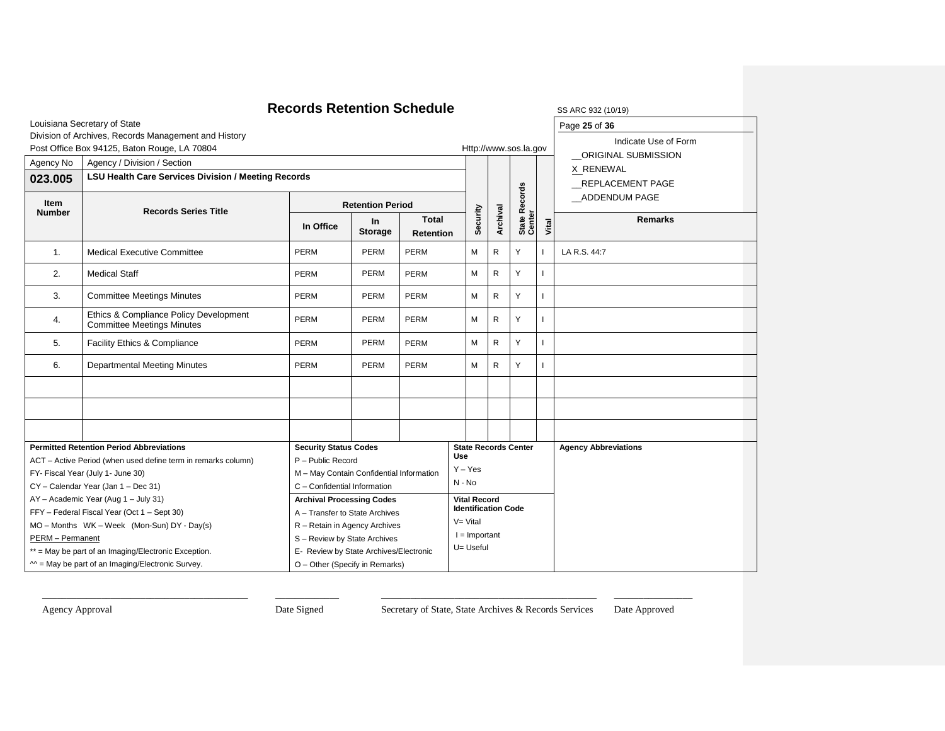|                                                                               |                                                                             | <b>Records Retention Schedule</b>      |                             |                                  |                                |                        |                            |                             |              | SS ARC 932 (10/19)          |
|-------------------------------------------------------------------------------|-----------------------------------------------------------------------------|----------------------------------------|-----------------------------|----------------------------------|--------------------------------|------------------------|----------------------------|-----------------------------|--------------|-----------------------------|
|                                                                               | Louisiana Secretary of State                                                |                                        |                             |                                  |                                |                        |                            | Page 25 of 36               |              |                             |
|                                                                               | Division of Archives, Records Management and History                        |                                        |                             |                                  |                                |                        |                            |                             |              | Indicate Use of Form        |
|                                                                               | Post Office Box 94125, Baton Rouge, LA 70804                                |                                        |                             |                                  |                                |                        |                            | Http://www.sos.la.gov       |              | ORIGINAL SUBMISSION         |
| Agency No                                                                     | Agency / Division / Section                                                 |                                        |                             |                                  |                                |                        |                            |                             |              | X RENEWAL                   |
| 023.005                                                                       | <b>LSU Health Care Services Division / Meeting Records</b>                  |                                        |                             |                                  |                                |                        |                            |                             |              | REPLACEMENT PAGE            |
| Item<br><b>Number</b>                                                         | <b>Records Series Title</b>                                                 | <b>Retention Period</b>                |                             |                                  |                                |                        |                            | Records                     |              | ADDENDUM PAGE               |
|                                                                               |                                                                             | In Office                              | <b>In</b><br><b>Storage</b> | <b>Total</b><br><b>Retention</b> |                                | Security               | Archival                   | State R<br>Center           | Vital        | <b>Remarks</b>              |
| 1.                                                                            | <b>Medical Executive Committee</b>                                          | PERM                                   | PERM                        | PERM                             |                                | $\mathsf{R}$<br>M<br>Y |                            |                             | LA R.S. 44:7 |                             |
| 2.                                                                            | <b>Medical Staff</b>                                                        | <b>PERM</b>                            | <b>PERM</b>                 | PERM                             |                                | М                      | $\mathsf{R}$               | Y                           |              |                             |
| 3.                                                                            | <b>Committee Meetings Minutes</b>                                           | <b>PERM</b><br><b>PERM</b><br>PERM     |                             |                                  |                                | м                      | $\mathsf{R}$               | Y                           |              |                             |
| 4.                                                                            | Ethics & Compliance Policy Development<br><b>Committee Meetings Minutes</b> | <b>PERM</b>                            | PERM                        | PERM                             |                                | М                      | $\mathsf{R}$               | Y                           |              |                             |
| 5.                                                                            | Facility Ethics & Compliance                                                | <b>PERM</b>                            | <b>PERM</b>                 | PERM                             |                                | М                      | $\mathsf{R}$               | Y                           |              |                             |
| 6.                                                                            | <b>Departmental Meeting Minutes</b>                                         | PERM                                   | PERM                        | PERM                             |                                | М                      | $\mathsf{R}$               | Y                           |              |                             |
|                                                                               |                                                                             |                                        |                             |                                  |                                |                        |                            |                             |              |                             |
|                                                                               |                                                                             |                                        |                             |                                  |                                |                        |                            |                             |              |                             |
|                                                                               |                                                                             |                                        |                             |                                  |                                |                        |                            |                             |              |                             |
|                                                                               | <b>Permitted Retention Period Abbreviations</b>                             | <b>Security Status Codes</b>           |                             |                                  |                                |                        |                            | <b>State Records Center</b> |              | <b>Agency Abbreviations</b> |
|                                                                               | ACT - Active Period (when used define term in remarks column)               | P - Public Record                      |                             |                                  | <b>Use</b><br>$Y - Yes$        |                        |                            |                             |              |                             |
| FY- Fiscal Year (July 1- June 30)<br>M - May Contain Confidential Information |                                                                             |                                        |                             |                                  | $N - No$                       |                        |                            |                             |              |                             |
|                                                                               | CY - Calendar Year (Jan 1 - Dec 31)                                         | C - Confidential Information           |                             |                                  |                                |                        |                            |                             |              |                             |
|                                                                               | AY - Academic Year (Aug 1 - July 31)                                        | <b>Archival Processing Codes</b>       |                             |                                  |                                | <b>Vital Record</b>    | <b>Identification Code</b> |                             |              |                             |
|                                                                               | FFY - Federal Fiscal Year (Oct 1 - Sept 30)                                 | A - Transfer to State Archives         |                             |                                  |                                |                        |                            |                             |              |                             |
|                                                                               | MO - Months WK - Week (Mon-Sun) DY - Day(s)                                 | R - Retain in Agency Archives          |                             |                                  | $V = Vital$<br>$I =$ Important |                        |                            |                             |              |                             |
| PERM - Permanent                                                              |                                                                             | S - Review by State Archives           |                             |                                  | U= Useful                      |                        |                            |                             |              |                             |
|                                                                               | ** = May be part of an Imaging/Electronic Exception.                        | E- Review by State Archives/Electronic |                             |                                  |                                |                        |                            |                             |              |                             |
|                                                                               | $M =$ May be part of an Imaging/Electronic Survey.                          | O - Other (Specify in Remarks)         |                             |                                  |                                |                        |                            |                             |              |                             |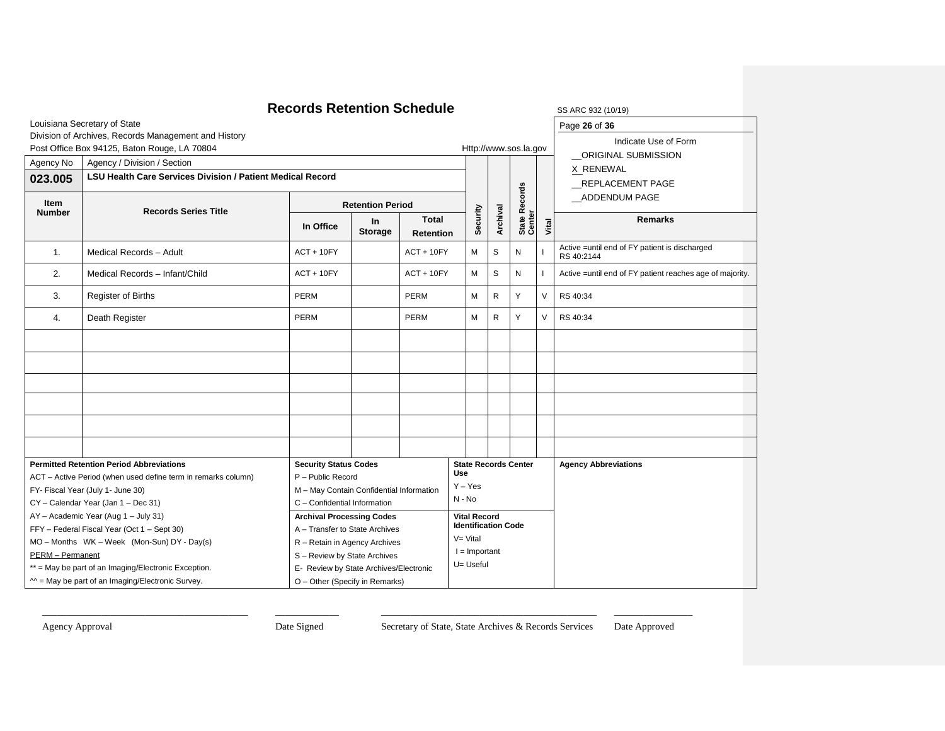|                  |                                                                   | <b>Records Retention Schedule</b>        |                             |                                  |                  |                     |                            |                             |        | SS ARC 932 (10/19)                                           |
|------------------|-------------------------------------------------------------------|------------------------------------------|-----------------------------|----------------------------------|------------------|---------------------|----------------------------|-----------------------------|--------|--------------------------------------------------------------|
|                  | Louisiana Secretary of State                                      |                                          |                             |                                  |                  |                     |                            |                             |        | Page 26 of 36                                                |
|                  | Division of Archives, Records Management and History              |                                          |                             |                                  |                  |                     |                            |                             |        | Indicate Use of Form                                         |
|                  | Post Office Box 94125, Baton Rouge, LA 70804                      |                                          |                             |                                  |                  |                     |                            | Http://www.sos.la.gov       |        | ORIGINAL SUBMISSION                                          |
| Agency No        | Agency / Division / Section                                       |                                          |                             |                                  |                  |                     |                            |                             |        | X RENEWAL                                                    |
| 023.005          | <b>LSU Health Care Services Division / Patient Medical Record</b> |                                          |                             |                                  |                  |                     |                            | <b>REPLACEMENT PAGE</b>     |        |                                                              |
| Item             |                                                                   |                                          |                             |                                  |                  |                     |                            | <b>Records</b>              |        | ADDENDUM PAGE                                                |
| <b>Number</b>    | <b>Records Series Title</b>                                       | <b>Retention Period</b>                  |                             |                                  |                  |                     |                            |                             |        |                                                              |
|                  |                                                                   | In Office                                | <b>In</b><br><b>Storage</b> | <b>Total</b><br><b>Retention</b> |                  | Security            | Archival                   | State Re<br>Center          | Vital  | <b>Remarks</b>                                               |
| $\mathbf{1}$ .   | Medical Records - Adult                                           | $ACT + 10FY$                             |                             | $ACT + 10FY$                     |                  | M                   | S                          | N                           |        | Active = until end of FY patient is discharged<br>RS 40:2144 |
| 2.               | Medical Records - Infant/Child                                    | $ACT + 10FY$                             |                             | $ACT + 10FY$                     |                  | M                   | S                          | N                           |        | Active = until end of FY patient reaches age of majority.    |
| 3.               | Register of Births                                                | <b>PERM</b>                              |                             | <b>PERM</b>                      |                  | M                   | R                          | Y                           | V      | RS 40:34                                                     |
| 4.               | Death Register                                                    | PERM                                     |                             | PERM                             |                  | М                   | R                          | Y                           | $\vee$ | RS 40:34                                                     |
|                  |                                                                   |                                          |                             |                                  |                  |                     |                            |                             |        |                                                              |
|                  |                                                                   |                                          |                             |                                  |                  |                     |                            |                             |        |                                                              |
|                  |                                                                   |                                          |                             |                                  |                  |                     |                            |                             |        |                                                              |
|                  |                                                                   |                                          |                             |                                  |                  |                     |                            |                             |        |                                                              |
|                  |                                                                   |                                          |                             |                                  |                  |                     |                            |                             |        |                                                              |
|                  |                                                                   |                                          |                             |                                  |                  |                     |                            |                             |        |                                                              |
|                  | <b>Permitted Retention Period Abbreviations</b>                   | <b>Security Status Codes</b>             |                             |                                  |                  |                     |                            | <b>State Records Center</b> |        | <b>Agency Abbreviations</b>                                  |
|                  | ACT - Active Period (when used define term in remarks column)     | P - Public Record                        |                             |                                  | Use<br>$Y - Yes$ |                     |                            |                             |        |                                                              |
|                  | FY- Fiscal Year (July 1- June 30)                                 | M - May Contain Confidential Information |                             |                                  | N - No           |                     |                            |                             |        |                                                              |
|                  | CY - Calendar Year (Jan 1 - Dec 31)                               | C - Confidential Information             |                             |                                  |                  |                     |                            |                             |        |                                                              |
|                  | AY - Academic Year (Aug 1 - July 31)                              | <b>Archival Processing Codes</b>         |                             |                                  |                  | <b>Vital Record</b> | <b>Identification Code</b> |                             |        |                                                              |
|                  | FFY - Federal Fiscal Year (Oct 1 - Sept 30)                       | A - Transfer to State Archives           |                             |                                  | V= Vital         |                     |                            |                             |        |                                                              |
|                  | MO - Months WK - Week (Mon-Sun) DY - Day(s)                       | R - Retain in Agency Archives            |                             |                                  |                  | $I =$ Important     |                            |                             |        |                                                              |
| PERM - Permanent |                                                                   | S - Review by State Archives             |                             |                                  |                  | U= Useful           |                            |                             |        |                                                              |
|                  | ** = May be part of an Imaging/Electronic Exception.              | E- Review by State Archives/Electronic   |                             |                                  |                  |                     |                            |                             |        |                                                              |
|                  | $M =$ May be part of an Imaging/Electronic Survey.                | O - Other (Specify in Remarks)           |                             |                                  |                  |                     |                            |                             |        |                                                              |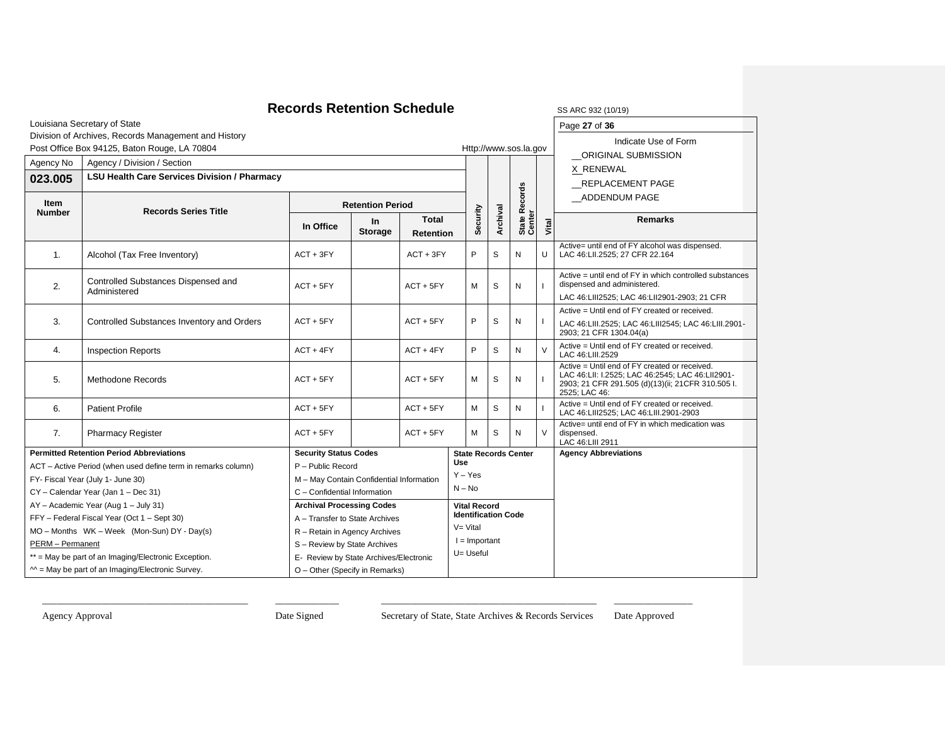### **Records Retention Schedule** SS ARC 932 (10/19)

| SS ARC 932 (10/ |  |
|-----------------|--|
|-----------------|--|

Page **27** of **36**

Indicate Use of Form

Louisiana Secretary of State Division of Archives, Records Management and History

|  |  | Post Office Box 94125, Baton Rouge, LA 70804 |  |  |
|--|--|----------------------------------------------|--|--|

|                  | Post Office Box 94125, Baton Rouge, LA 70804                    |                                              |                                                     |                                  |                            |          |                 | Http://www.sos.la.gov       |               | <b>INQUATE OPE OF FUILL</b>                                                                                                                                              |  |                                                                                                                                        |
|------------------|-----------------------------------------------------------------|----------------------------------------------|-----------------------------------------------------|----------------------------------|----------------------------|----------|-----------------|-----------------------------|---------------|--------------------------------------------------------------------------------------------------------------------------------------------------------------------------|--|----------------------------------------------------------------------------------------------------------------------------------------|
| Agency No        | Agency / Division / Section                                     |                                              |                                                     |                                  |                            |          |                 |                             |               | ORIGINAL SUBMISSION                                                                                                                                                      |  |                                                                                                                                        |
| 023.005          | <b>LSU Health Care Services Division / Pharmacy</b>             |                                              |                                                     |                                  |                            |          |                 |                             |               | X RENEWAL                                                                                                                                                                |  |                                                                                                                                        |
|                  |                                                                 |                                              |                                                     |                                  |                            |          |                 |                             |               | REPLACEMENT PAGE                                                                                                                                                         |  |                                                                                                                                        |
| Item             |                                                                 | <b>Retention Period</b>                      |                                                     |                                  |                            |          | <b>Records</b>  |                             | ADDENDUM PAGE |                                                                                                                                                                          |  |                                                                                                                                        |
| <b>Number</b>    | <b>Records Series Title</b>                                     | In Office                                    | $\ln$<br><b>Storage</b>                             | <b>Total</b><br><b>Retention</b> |                            | Security | Archival        | State R<br>Center           | Vital         | <b>Remarks</b>                                                                                                                                                           |  |                                                                                                                                        |
| 1.               | Alcohol (Tax Free Inventory)                                    | $ACT + 3FY$                                  |                                                     | $ACT + 3FY$                      | P                          |          | S               | N                           | U             | Active= until end of FY alcohol was dispensed.<br>LAC 46:LII.2525; 27 CFR 22.164                                                                                         |  |                                                                                                                                        |
| 2.               | Controlled Substances Dispensed and<br>Administered             | $ACT + 5FY$                                  |                                                     | $ACT + 5FY$                      |                            |          |                 | М                           | S             | N                                                                                                                                                                        |  | Active = until end of FY in which controlled substances<br>dispensed and administered.<br>LAC 46:LIII2525; LAC 46:LII2901-2903; 21 CFR |
|                  |                                                                 |                                              |                                                     |                                  |                            |          |                 |                             |               | Active = Until end of FY created or received.                                                                                                                            |  |                                                                                                                                        |
|                  | 3.<br>Controlled Substances Inventory and Orders<br>$ACT + 5FY$ |                                              |                                                     | $ACT + 5FY$                      | P                          |          | S               | N                           |               | LAC 46:LIII.2525; LAC 46:LIII2545; LAC 46:LIII.2901-                                                                                                                     |  |                                                                                                                                        |
|                  |                                                                 |                                              |                                                     |                                  |                            |          |                 |                             |               | 2903; 21 CFR 1304.04(a)                                                                                                                                                  |  |                                                                                                                                        |
| 4.               | <b>Inspection Reports</b>                                       | $ACT + 4FY$                                  |                                                     | $ACT + 4FY$                      | P                          |          | S               | N                           | $\vee$        | Active = Until end of FY created or received.<br>LAC 46:LIII.2529                                                                                                        |  |                                                                                                                                        |
| 5.               | <b>Methodone Records</b>                                        | $ACT + 5FY$                                  |                                                     | $ACT + 5FY$                      | Μ                          |          | S               | N                           |               | Active = Until end of FY created or received.<br>LAC 46:LII: I.2525; LAC 46:2545; LAC 46:LII2901-<br>2903; 21 CFR 291.505 (d)(13)(ii; 21 CFR 310.505 I.<br>2525; LAC 46: |  |                                                                                                                                        |
| 6.               | <b>Patient Profile</b>                                          | $ACT + 5FY$                                  |                                                     | $ACT + 5FY$                      | м                          |          | S               | N                           |               | Active = Until end of FY created or received.<br>LAC 46:LIII2525; LAC 46:LIII.2901-2903                                                                                  |  |                                                                                                                                        |
| 7.               | <b>Pharmacy Register</b>                                        | $ACT + 5FY$                                  |                                                     | $ACT + 5FY$                      | M                          |          | S               | N                           | $\vee$        | Active= until end of FY in which medication was<br>dispensed.<br>LAC 46:LIII 2911                                                                                        |  |                                                                                                                                        |
|                  | <b>Permitted Retention Period Abbreviations</b>                 | <b>Security Status Codes</b>                 |                                                     |                                  |                            |          |                 | <b>State Records Center</b> |               | <b>Agency Abbreviations</b>                                                                                                                                              |  |                                                                                                                                        |
|                  | ACT - Active Period (when used define term in remarks column)   | P - Public Record                            |                                                     |                                  | Use                        |          |                 |                             |               |                                                                                                                                                                          |  |                                                                                                                                        |
|                  | FY- Fiscal Year (July 1- June 30)                               | M - May Contain Confidential Information     |                                                     |                                  | $Y - Yes$                  |          |                 |                             |               |                                                                                                                                                                          |  |                                                                                                                                        |
|                  | CY - Calendar Year (Jan 1 - Dec 31)                             | C - Confidential Information                 |                                                     |                                  | $N - No$                   |          |                 |                             |               |                                                                                                                                                                          |  |                                                                                                                                        |
|                  | AY - Academic Year (Aug 1 - July 31)                            | <b>Archival Processing Codes</b>             |                                                     |                                  | <b>Vital Record</b>        |          |                 |                             |               |                                                                                                                                                                          |  |                                                                                                                                        |
|                  | FFY - Federal Fiscal Year (Oct 1 - Sept 30)                     | A - Transfer to State Archives               |                                                     |                                  | <b>Identification Code</b> |          |                 |                             |               |                                                                                                                                                                          |  |                                                                                                                                        |
|                  | MO - Months WK - Week (Mon-Sun) DY - Day(s)                     | $V = Vital$<br>R - Retain in Agency Archives |                                                     |                                  |                            |          |                 |                             |               |                                                                                                                                                                          |  |                                                                                                                                        |
| PERM - Permanent |                                                                 | S - Review by State Archives                 |                                                     |                                  |                            |          | $l =$ Important |                             |               |                                                                                                                                                                          |  |                                                                                                                                        |
|                  | ** = May be part of an Imaging/Electronic Exception.            |                                              | U= Useful<br>E- Review by State Archives/Electronic |                                  |                            |          |                 |                             |               |                                                                                                                                                                          |  |                                                                                                                                        |
|                  | $M =$ May be part of an Imaging/Electronic Survey.              | O - Other (Specify in Remarks)               |                                                     |                                  |                            |          |                 |                             |               |                                                                                                                                                                          |  |                                                                                                                                        |

\_\_\_\_\_\_\_\_\_\_\_\_\_\_\_\_\_\_\_\_\_\_\_\_\_\_\_\_\_\_\_\_\_\_\_\_\_\_\_\_\_\_ \_\_\_\_\_\_\_\_\_\_\_\_\_ \_\_\_\_\_\_\_\_\_\_\_\_\_\_\_\_\_\_\_\_\_\_\_\_\_\_\_\_\_\_\_\_\_\_\_\_\_\_\_\_\_\_\_\_ \_\_\_\_\_\_\_\_\_\_\_\_\_\_\_\_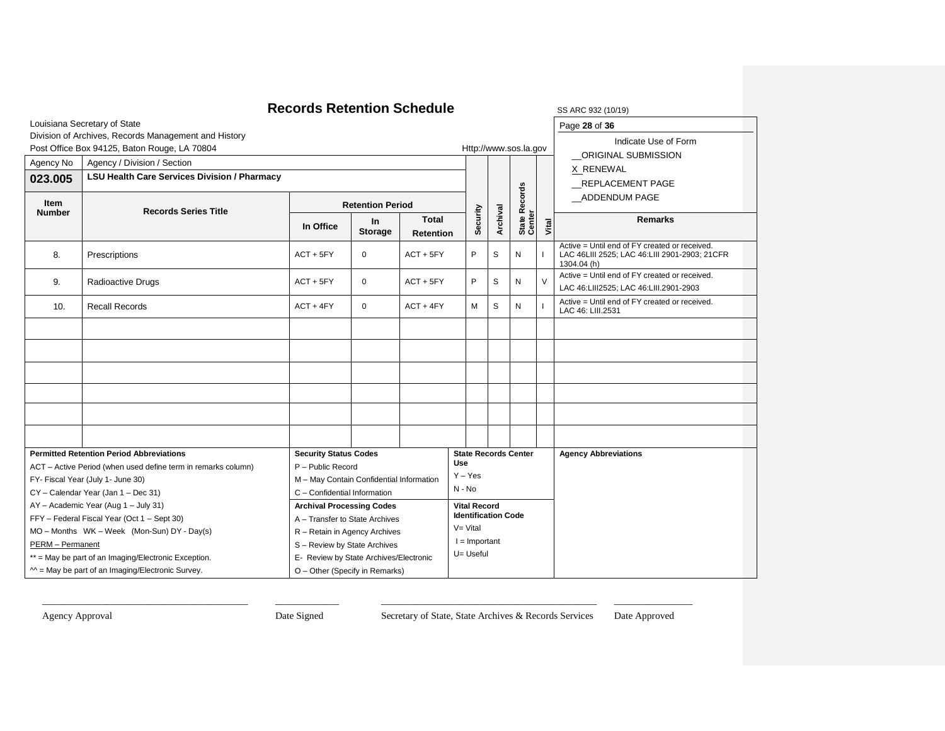|                       | <b>Records Retention Schedule</b>                                        | SS ARC 932 (10/19)                                                       |                                |             |                         |                                                   |                       |                             |                |                                                                                                               |
|-----------------------|--------------------------------------------------------------------------|--------------------------------------------------------------------------|--------------------------------|-------------|-------------------------|---------------------------------------------------|-----------------------|-----------------------------|----------------|---------------------------------------------------------------------------------------------------------------|
|                       | Louisiana Secretary of State                                             | Page 28 of 36                                                            |                                |             |                         |                                                   |                       |                             |                |                                                                                                               |
|                       | Division of Archives, Records Management and History                     |                                                                          |                                |             |                         |                                                   |                       |                             |                | Indicate Use of Form                                                                                          |
|                       | Post Office Box 94125, Baton Rouge, LA 70804                             |                                                                          |                                |             |                         |                                                   | Http://www.sos.la.gov |                             |                | _ORIGINAL SUBMISSION                                                                                          |
| Agency No             | Agency / Division / Section                                              |                                                                          |                                |             |                         |                                                   |                       |                             |                | X RENEWAL                                                                                                     |
| 023.005               | <b>LSU Health Care Services Division / Pharmacy</b>                      |                                                                          |                                |             |                         |                                                   |                       |                             |                | <b>REPLACEMENT PAGE</b>                                                                                       |
| Item<br><b>Number</b> | <b>Records Series Title</b>                                              | <b>Retention Period</b>                                                  |                                |             |                         |                                                   |                       | <b>Records</b>              |                | ADDENDUM PAGE                                                                                                 |
|                       | <b>In</b><br>In Office<br><b>Storage</b>                                 |                                                                          | <b>Total</b><br>Retention      |             | Security                | Archival                                          | State R <sub>v</sub>  | Vital                       | <b>Remarks</b> |                                                                                                               |
| 8.                    | Prescriptions                                                            | ACT + 5FY                                                                | $\mathbf 0$                    | $ACT + 5FY$ |                         | P                                                 | S                     | N                           |                | Active = Until end of FY created or received.<br>LAC 46LIII 2525; LAC 46:LIII 2901-2903; 21CFR<br>1304.04 (h) |
| 9.                    | Radioactive Drugs                                                        | ACT + 5FY                                                                | 0<br>$ACT + 5FY$               |             |                         | P                                                 | S                     | Ν                           | $\vee$         | Active = Until end of FY created or received.<br>LAC 46:LIII2525; LAC 46:LIII.2901-2903                       |
| 10.                   | <b>Recall Records</b>                                                    | $ACT + 4FY$                                                              | $\mathbf{0}$                   | $ACT + 4FY$ |                         | м                                                 | S                     | N                           |                | Active = Until end of FY created or received.<br>LAC 46: LIII.2531                                            |
|                       |                                                                          |                                                                          |                                |             |                         |                                                   |                       |                             |                |                                                                                                               |
|                       |                                                                          |                                                                          |                                |             |                         |                                                   |                       |                             |                |                                                                                                               |
|                       |                                                                          |                                                                          |                                |             |                         |                                                   |                       |                             |                |                                                                                                               |
|                       |                                                                          |                                                                          |                                |             |                         |                                                   |                       |                             |                |                                                                                                               |
|                       |                                                                          |                                                                          |                                |             |                         |                                                   |                       |                             |                |                                                                                                               |
|                       |                                                                          |                                                                          |                                |             |                         |                                                   |                       |                             |                |                                                                                                               |
|                       | <b>Permitted Retention Period Abbreviations</b>                          | <b>Security Status Codes</b>                                             |                                |             |                         |                                                   |                       | <b>State Records Center</b> |                | <b>Agency Abbreviations</b>                                                                                   |
|                       | ACT - Active Period (when used define term in remarks column)            | P - Public Record                                                        |                                |             | <b>Use</b><br>$Y - Yes$ |                                                   |                       |                             |                |                                                                                                               |
|                       | FY- Fiscal Year (July 1- June 30)                                        | M - May Contain Confidential Information                                 |                                |             | N - No                  |                                                   |                       |                             |                |                                                                                                               |
|                       | CY - Calendar Year (Jan 1 - Dec 31)                                      | C - Confidential Information                                             |                                |             |                         |                                                   |                       |                             |                |                                                                                                               |
|                       | AY - Academic Year (Aug 1 - July 31)                                     | <b>Archival Processing Codes</b>                                         |                                |             |                         | <b>Vital Record</b><br><b>Identification Code</b> |                       |                             |                |                                                                                                               |
|                       | FFY - Federal Fiscal Year (Oct 1 - Sept 30)                              |                                                                          | A - Transfer to State Archives |             | $V = Vital$             |                                                   |                       |                             |                |                                                                                                               |
|                       | MO - Months WK - Week (Mon-Sun) DY - Day(s)                              | R - Retain in Agency Archives                                            | $I =$ Important                |             |                         |                                                   |                       |                             |                |                                                                                                               |
|                       | PERM - Permanent<br>** = May be part of an Imaging/Electronic Exception. |                                                                          | S - Review by State Archives   |             | U= Useful               |                                                   |                       |                             |                |                                                                                                               |
|                       | $M =$ May be part of an Imaging/Electronic Survey.                       | E- Review by State Archives/Electronic<br>O - Other (Specify in Remarks) |                                |             |                         |                                                   |                       |                             |                |                                                                                                               |
|                       |                                                                          |                                                                          |                                |             |                         |                                                   |                       |                             |                |                                                                                                               |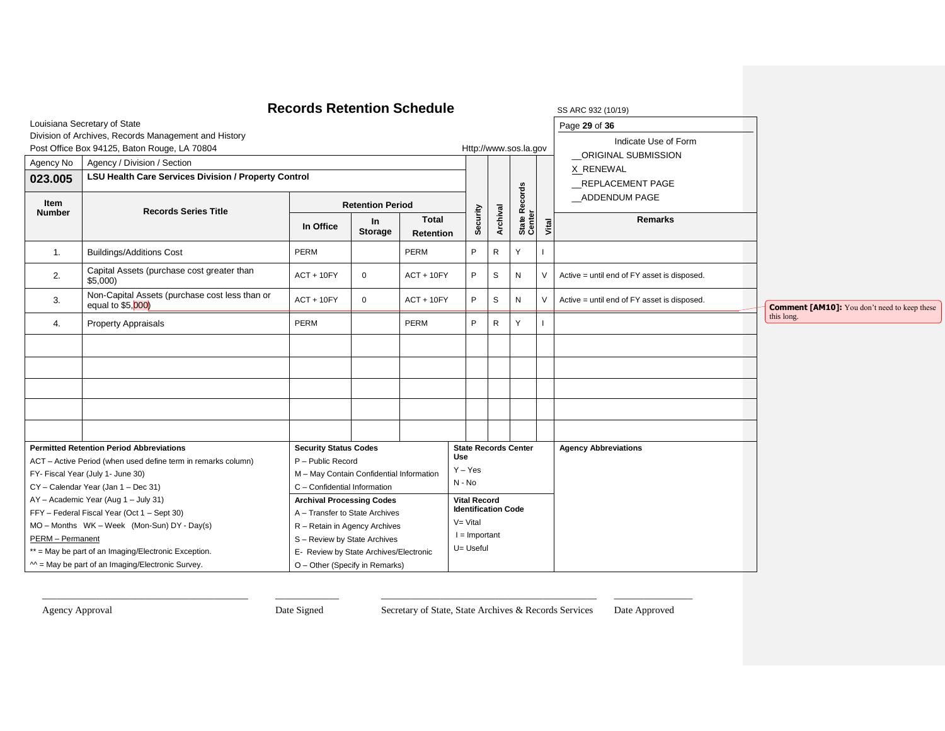| Agency No<br>023.005<br>Item<br><b>Number</b> | Louisiana Secretary of State<br>Division of Archives, Records Management and History<br>Post Office Box 94125, Baton Rouge, LA 70804<br>Agency / Division / Section<br><b>LSU Health Care Services Division / Property Control</b><br><b>Records Series Title</b>                                                                                                                                                                                                    | <b>Records Retention Schedule</b><br>In Office | <b>Retention Period</b><br><b>In</b><br><b>Storage</b>                                                                                                                                                                                                                                                                                                                                                                                               | <b>Total</b>                    | Security | Archival     | Http://www.sos.la.gov<br><b>Records</b><br>State F<br>Center | Vital  | SS ARC 932 (10/19)<br>Page 29 of 36<br>Indicate Use of Form<br>ORIGINAL SUBMISSION<br>X_RENEWAL<br>REPLACEMENT PAGE<br>ADDENDUM PAGE<br><b>Remarks</b> |                                                     |
|-----------------------------------------------|----------------------------------------------------------------------------------------------------------------------------------------------------------------------------------------------------------------------------------------------------------------------------------------------------------------------------------------------------------------------------------------------------------------------------------------------------------------------|------------------------------------------------|------------------------------------------------------------------------------------------------------------------------------------------------------------------------------------------------------------------------------------------------------------------------------------------------------------------------------------------------------------------------------------------------------------------------------------------------------|---------------------------------|----------|--------------|--------------------------------------------------------------|--------|--------------------------------------------------------------------------------------------------------------------------------------------------------|-----------------------------------------------------|
| 1.                                            | <b>Buildings/Additions Cost</b>                                                                                                                                                                                                                                                                                                                                                                                                                                      | PERM                                           |                                                                                                                                                                                                                                                                                                                                                                                                                                                      | <b>Retention</b><br><b>PERM</b> | P        | $\mathsf{R}$ | Y                                                            |        |                                                                                                                                                        |                                                     |
| 2.                                            | Capital Assets (purchase cost greater than<br>$$5,000$ )                                                                                                                                                                                                                                                                                                                                                                                                             | $ACT + 10FY$                                   | $\mathsf 0$                                                                                                                                                                                                                                                                                                                                                                                                                                          | $ACT + 10FY$                    | P        | S            | ${\sf N}$                                                    | $\vee$ | Active = until end of FY asset is disposed.                                                                                                            |                                                     |
| 3.                                            | Non-Capital Assets (purchase cost less than or<br>equal to \$5,000)                                                                                                                                                                                                                                                                                                                                                                                                  | $ACT + 10FY$                                   | $\mathbf 0$                                                                                                                                                                                                                                                                                                                                                                                                                                          | $ACT + 10FY$                    | P        | $\mathbb S$  | ${\sf N}$                                                    | $\vee$ | Active = until end of FY asset is disposed.                                                                                                            | <b>Comment [AM10]:</b> You don't need to keep these |
| 4.                                            | <b>Property Appraisals</b>                                                                                                                                                                                                                                                                                                                                                                                                                                           | PERM                                           |                                                                                                                                                                                                                                                                                                                                                                                                                                                      | PERM                            | P        | R            | Y                                                            |        |                                                                                                                                                        | this long.                                          |
|                                               |                                                                                                                                                                                                                                                                                                                                                                                                                                                                      |                                                |                                                                                                                                                                                                                                                                                                                                                                                                                                                      |                                 |          |              |                                                              |        |                                                                                                                                                        |                                                     |
|                                               |                                                                                                                                                                                                                                                                                                                                                                                                                                                                      |                                                |                                                                                                                                                                                                                                                                                                                                                                                                                                                      |                                 |          |              |                                                              |        |                                                                                                                                                        |                                                     |
|                                               | <b>Permitted Retention Period Abbreviations</b><br>ACT - Active Period (when used define term in remarks column)<br>FY- Fiscal Year (July 1- June 30)<br>CY - Calendar Year (Jan 1 - Dec 31)<br>AY - Academic Year (Aug 1 - July 31)<br>FFY - Federal Fiscal Year (Oct 1 - Sept 30)<br>MO - Months WK - Week (Mon-Sun) DY - Day(s)<br>PERM - Permanent<br>** = May be part of an Imaging/Electronic Exception.<br>$M =$ May be part of an Imaging/Electronic Survey. |                                                | <b>Security Status Codes</b><br>Use<br>P - Public Record<br>$Y - Yes$<br>M - May Contain Confidential Information<br>N - No<br>C - Confidential Information<br><b>Vital Record</b><br><b>Archival Processing Codes</b><br>A - Transfer to State Archives<br>$V = Vital$<br>R - Retain in Agency Archives<br>$I =$ Important<br>S - Review by State Archives<br>U= Useful<br>E- Review by State Archives/Electronic<br>O - Other (Specify in Remarks) |                                 |          |              | <b>State Records Center</b><br><b>Identification Code</b>    |        | <b>Agency Abbreviations</b>                                                                                                                            |                                                     |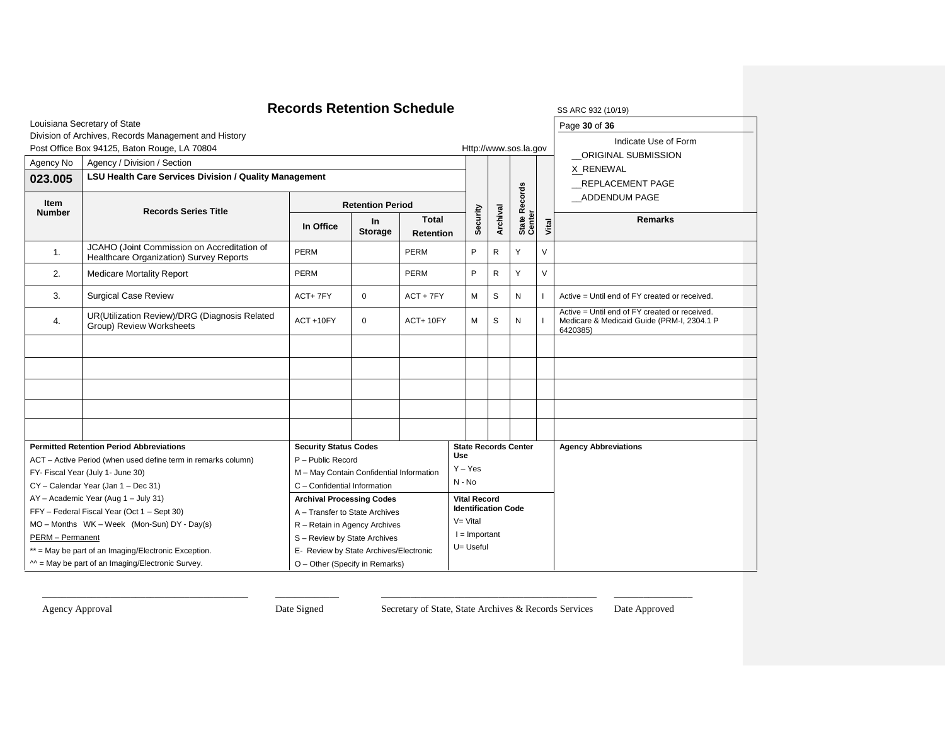|                         | <b>Records Retention Schedule</b>                                                      | SS ARC 932 (10/19)                       |                         |                                  |                 |                            |               |                             |               |                                                                                                         |
|-------------------------|----------------------------------------------------------------------------------------|------------------------------------------|-------------------------|----------------------------------|-----------------|----------------------------|---------------|-----------------------------|---------------|---------------------------------------------------------------------------------------------------------|
|                         | Louisiana Secretary of State                                                           |                                          |                         |                                  |                 |                            | Page 30 of 36 |                             |               |                                                                                                         |
|                         | Division of Archives, Records Management and History                                   |                                          |                         |                                  |                 |                            |               |                             |               | Indicate Use of Form                                                                                    |
|                         | Post Office Box 94125, Baton Rouge, LA 70804                                           |                                          |                         |                                  |                 |                            |               | Http://www.sos.la.gov       |               | ORIGINAL SUBMISSION                                                                                     |
| Agency No               | Agency / Division / Section                                                            |                                          |                         |                                  |                 |                            |               |                             |               | X RENEWAL                                                                                               |
| 023.005                 | LSU Health Care Services Division / Quality Management                                 |                                          |                         |                                  |                 |                            |               |                             |               | <b>REPLACEMENT PAGE</b>                                                                                 |
| Item<br><b>Number</b>   | <b>Records Series Title</b>                                                            |                                          | <b>Retention Period</b> |                                  |                 |                            | Records       |                             | ADDENDUM PAGE |                                                                                                         |
|                         |                                                                                        | In Office                                | $\ln$<br><b>Storage</b> | <b>Total</b><br><b>Retention</b> |                 | Security                   | Archival      | State R<br>Center           | Vital         | <b>Remarks</b>                                                                                          |
| 1.                      | JCAHO (Joint Commission on Accreditation of<br>Healthcare Organization) Survey Reports | PERM                                     |                         | <b>PERM</b>                      |                 | P                          | R             | Υ                           | V             |                                                                                                         |
| 2.                      | <b>Medicare Mortality Report</b>                                                       | <b>PERM</b>                              |                         | PERM                             |                 |                            | R             | Υ                           | $\vee$        |                                                                                                         |
| 3.                      | <b>Surgical Case Review</b>                                                            | ACT+7FY                                  | $\Omega$                | $ACT + 7FY$                      |                 | М                          | S             | N                           |               | Active = Until end of FY created or received.                                                           |
| 4.                      | UR(Utilization Review)/DRG (Diagnosis Related<br>Group) Review Worksheets              | ACT+10FY                                 | $\Omega$                | $ACT+10FY$                       |                 | М                          | S             | N                           |               | Active = Until end of FY created or received.<br>Medicare & Medicaid Guide (PRM-I, 2304.1 P<br>6420385) |
|                         |                                                                                        |                                          |                         |                                  |                 |                            |               |                             |               |                                                                                                         |
|                         |                                                                                        |                                          |                         |                                  |                 |                            |               |                             |               |                                                                                                         |
|                         |                                                                                        |                                          |                         |                                  |                 |                            |               |                             |               |                                                                                                         |
|                         |                                                                                        |                                          |                         |                                  |                 |                            |               |                             |               |                                                                                                         |
|                         |                                                                                        |                                          |                         |                                  |                 |                            |               |                             |               |                                                                                                         |
|                         | <b>Permitted Retention Period Abbreviations</b>                                        | <b>Security Status Codes</b>             |                         |                                  |                 |                            |               | <b>State Records Center</b> |               | <b>Agency Abbreviations</b>                                                                             |
|                         | ACT - Active Period (when used define term in remarks column)                          | P - Public Record                        |                         |                                  | <b>Use</b>      |                            |               |                             |               |                                                                                                         |
|                         | FY- Fiscal Year (July 1- June 30)                                                      | M - May Contain Confidential Information |                         |                                  | $Y - Yes$       |                            |               |                             |               |                                                                                                         |
|                         | CY - Calendar Year (Jan 1 - Dec 31)                                                    | C - Confidential Information             |                         |                                  | $N - No$        |                            |               |                             |               |                                                                                                         |
|                         | AY - Academic Year (Aug 1 - July 31)                                                   | <b>Archival Processing Codes</b>         |                         |                                  |                 | <b>Vital Record</b>        |               |                             |               |                                                                                                         |
|                         | FFY - Federal Fiscal Year (Oct 1 - Sept 30)                                            | A - Transfer to State Archives           |                         |                                  | $V = Vital$     | <b>Identification Code</b> |               |                             |               |                                                                                                         |
|                         | MO - Months WK - Week (Mon-Sun) DY - Day(s)                                            | R - Retain in Agency Archives            |                         |                                  |                 |                            |               |                             |               |                                                                                                         |
| <b>PERM</b> - Permanent |                                                                                        | S - Review by State Archives             |                         |                                  | $I =$ Important |                            |               |                             |               |                                                                                                         |
|                         | ** = May be part of an Imaging/Electronic Exception.                                   | E- Review by State Archives/Electronic   |                         |                                  | U= Useful       |                            |               |                             |               |                                                                                                         |
|                         | $M =$ May be part of an Imaging/Electronic Survey.                                     | O - Other (Specify in Remarks)           |                         |                                  |                 |                            |               |                             |               |                                                                                                         |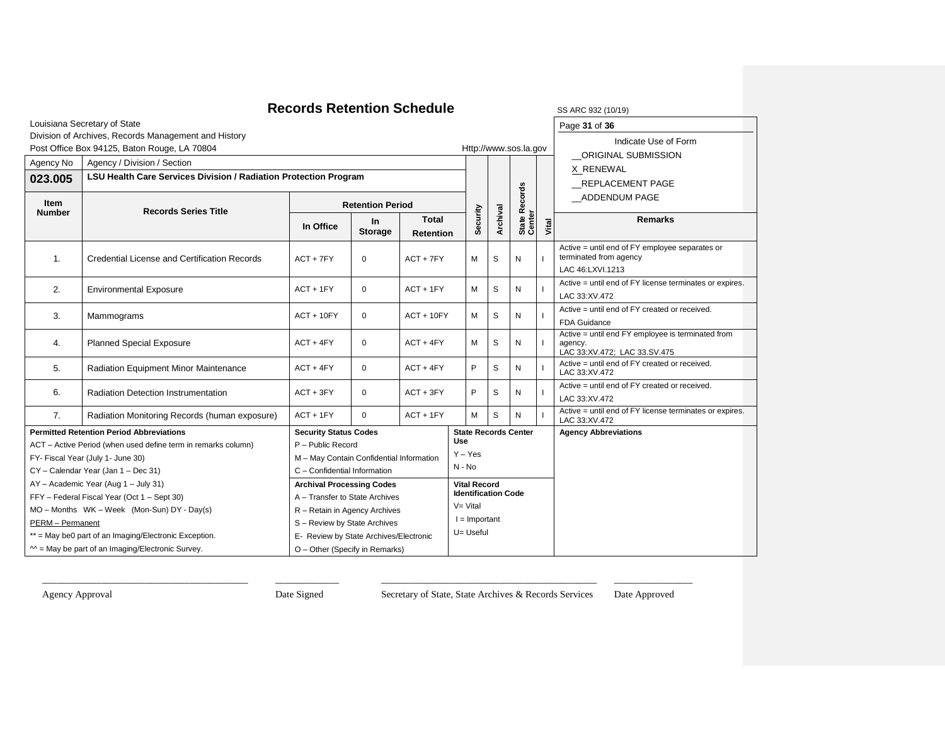### **Records Retention Schedule**

| SS ARC 932 (10/19 |  |
|-------------------|--|
| Page 31 of 36     |  |

Louisiana Secretary of State

### Division of Archives, Records Management and History

|                  | Division of Archives, Records Management and History<br>Post Office Box 94125, Baton Rouge, LA 70804 |                                          |                            | Http://www.sos.la.gov            |                                                   | Indicate Use of Form |                   |       |                                                                                              |
|------------------|------------------------------------------------------------------------------------------------------|------------------------------------------|----------------------------|----------------------------------|---------------------------------------------------|----------------------|-------------------|-------|----------------------------------------------------------------------------------------------|
| Agency No        | Agency / Division / Section                                                                          |                                          |                            |                                  |                                                   |                      |                   |       | ORIGINAL SUBMISSION                                                                          |
| 023.005          | LSU Health Care Services Division / Radiation Protection Program                                     |                                          |                            |                                  |                                                   |                      |                   |       | X RENEWAL                                                                                    |
|                  |                                                                                                      |                                          |                            |                                  |                                                   |                      |                   |       | REPLACEMENT PAGE                                                                             |
| Item             | <b>Records Series Title</b>                                                                          | <b>Retention Period</b>                  |                            |                                  | Records                                           |                      | ADDENDUM PAGE     |       |                                                                                              |
| <b>Number</b>    |                                                                                                      | In Office                                | $\ln$<br><b>Storage</b>    | <b>Total</b><br><b>Retention</b> | Security                                          | Archival             | State F<br>Center | Vital | <b>Remarks</b>                                                                               |
| $\mathbf{1}$ .   | <b>Credential License and Certification Records</b>                                                  | $ACT + 7FY$                              | $\mathbf 0$                | $ACT + 7FY$                      | м                                                 | S                    | N                 |       | Active = until end of FY employee separates or<br>terminated from agency<br>LAC 46:LXVI.1213 |
| 2.               | <b>Environmental Exposure</b>                                                                        | $ACT + 1FY$                              | $ACT + 1FY$<br>$\mathbf 0$ |                                  | м                                                 | S                    | N                 |       | Active = until end of FY license terminates or expires.<br>LAC 33:XV.472                     |
| 3.               | Mammograms                                                                                           | $ACT + 10FY$                             | $\mathbf 0$                | $ACT + 10FY$                     | м                                                 | S                    | N                 |       | Active = until end of FY created or received.<br><b>FDA Guidance</b>                         |
| 4.               | <b>Planned Special Exposure</b>                                                                      | $ACT + 4FY$                              | $\mathbf 0$<br>$ACT + 4FY$ |                                  | М                                                 | S                    | N                 |       | Active = until end FY employee is terminated from<br>agency.<br>LAC 33:XV.472; LAC 33.SV.475 |
| 5.               | Radiation Equipment Minor Maintenance                                                                | $ACT + 4FY$                              | $\mathbf 0$                | $ACT + 4FY$                      | P                                                 | S                    | N                 |       | Active = until end of FY created or received.<br>LAC 33:XV.472                               |
| 6.               | <b>Radiation Detection Instrumentation</b>                                                           | $ACT + 3FY$                              | $\mathbf 0$                | $ACT + 3FY$                      | P                                                 | S                    | N                 |       | Active = until end of FY created or received.<br>LAC 33:XV.472                               |
| 7.               | Radiation Monitoring Records (human exposure)                                                        | $ACT + 1FY$                              | $\mathbf 0$                | $ACT + 1FY$                      | M                                                 | S                    | N                 |       | Active = until end of FY license terminates or expires.<br>LAC 33:XV.472                     |
|                  | <b>Permitted Retention Period Abbreviations</b>                                                      | <b>Security Status Codes</b>             |                            |                                  | <b>State Records Center</b>                       |                      |                   |       | <b>Agency Abbreviations</b>                                                                  |
|                  | ACT - Active Period (when used define term in remarks column)                                        | P - Public Record                        |                            |                                  | Use<br>$Y - Yes$                                  |                      |                   |       |                                                                                              |
|                  | FY- Fiscal Year (July 1- June 30)                                                                    | M - May Contain Confidential Information |                            |                                  | $N - No$                                          |                      |                   |       |                                                                                              |
|                  | CY - Calendar Year (Jan 1 - Dec 31)                                                                  | C - Confidential Information             |                            |                                  |                                                   |                      |                   |       |                                                                                              |
|                  | AY - Academic Year (Aug 1 - July 31)                                                                 | <b>Archival Processing Codes</b>         |                            |                                  | <b>Vital Record</b><br><b>Identification Code</b> |                      |                   |       |                                                                                              |
|                  | FFY - Federal Fiscal Year (Oct 1 - Sept 30)                                                          | A - Transfer to State Archives           |                            |                                  | $V = Vital$                                       |                      |                   |       |                                                                                              |
|                  | MO - Months WK - Week (Mon-Sun) DY - Day(s)                                                          | R - Retain in Agency Archives            | $I =$ Important            |                                  |                                                   |                      |                   |       |                                                                                              |
| PERM - Permanent |                                                                                                      | S - Review by State Archives             | U= Useful                  |                                  |                                                   |                      |                   |       |                                                                                              |
|                  | ** = May be0 part of an Imaging/Electronic Exception.                                                | E- Review by State Archives/Electronic   |                            |                                  |                                                   |                      |                   |       |                                                                                              |
|                  | $M =$ May be part of an Imaging/Electronic Survey.                                                   | O - Other (Specify in Remarks)           |                            |                                  |                                                   |                      |                   |       |                                                                                              |

\_\_\_\_\_\_\_\_\_\_\_\_\_\_\_\_\_\_\_\_\_\_\_\_\_\_\_\_\_\_\_\_\_\_\_\_\_\_\_\_\_\_ \_\_\_\_\_\_\_\_\_\_\_\_\_ \_\_\_\_\_\_\_\_\_\_\_\_\_\_\_\_\_\_\_\_\_\_\_\_\_\_\_\_\_\_\_\_\_\_\_\_\_\_\_\_\_\_\_\_ \_\_\_\_\_\_\_\_\_\_\_\_\_\_\_\_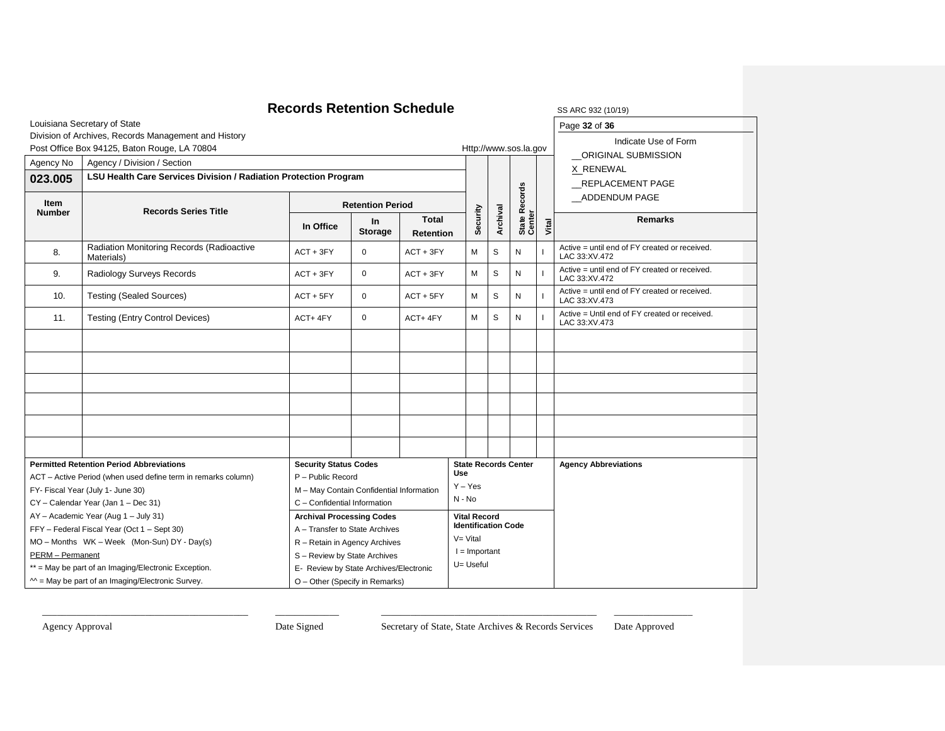| Louisiana Secretary of State<br>Page 32 of 36<br>Division of Archives, Records Management and History<br>Indicate Use of Form<br>Post Office Box 94125, Baton Rouge, LA 70804<br>Http://www.sos.la.gov<br>ORIGINAL SUBMISSION<br>Agency No<br>Agency / Division / Section<br>X RENEWAL<br>LSU Health Care Services Division / Radiation Protection Program<br>023.005<br><b>REPLACEMENT PAGE</b> |  |
|--------------------------------------------------------------------------------------------------------------------------------------------------------------------------------------------------------------------------------------------------------------------------------------------------------------------------------------------------------------------------------------------------|--|
|                                                                                                                                                                                                                                                                                                                                                                                                  |  |
|                                                                                                                                                                                                                                                                                                                                                                                                  |  |
|                                                                                                                                                                                                                                                                                                                                                                                                  |  |
|                                                                                                                                                                                                                                                                                                                                                                                                  |  |
|                                                                                                                                                                                                                                                                                                                                                                                                  |  |
| ADDENDUM PAGE                                                                                                                                                                                                                                                                                                                                                                                    |  |
| Item<br><b>Retention Period</b><br><b>Records Series Title</b><br><b>Number</b>                                                                                                                                                                                                                                                                                                                  |  |
| State Records<br>Center<br>Security<br>Archival<br><b>Total</b><br><b>Remarks</b><br>In.<br>Vital<br>In Office<br><b>Storage</b><br><b>Retention</b>                                                                                                                                                                                                                                             |  |
| Radiation Monitoring Records (Radioactive<br>Active = until end of FY created or received.<br>$\mathbf 0$<br>M<br>S<br>N<br>8.<br>$ACT + 3FY$<br>$ACT + 3FY$<br>LAC 33:XV.472<br>Materials)                                                                                                                                                                                                      |  |
| Active = until end of FY created or received.<br>M<br>S<br>${\sf N}$<br>9.<br>Radiology Surveys Records<br>$ACT + 3FY$<br>$\Omega$<br>$ACT + 3FY$<br>LAC 33:XV.472                                                                                                                                                                                                                               |  |
| Active = until end of FY created or received.<br>M<br>10.<br>$\mathbf 0$<br>S<br>N<br><b>Testing (Sealed Sources)</b><br>$ACT + 5FY$<br>$ACT + 5FY$<br>$\mathbf{I}$<br>LAC 33:XV.473                                                                                                                                                                                                             |  |
| Active = Until end of FY created or received.<br><b>Testing (Entry Control Devices)</b><br>M<br>S<br>${\sf N}$<br>11.<br>ACT+4FY<br>$\mathbf 0$<br>ACT+4FY<br>LAC 33:XV.473                                                                                                                                                                                                                      |  |
|                                                                                                                                                                                                                                                                                                                                                                                                  |  |
|                                                                                                                                                                                                                                                                                                                                                                                                  |  |
|                                                                                                                                                                                                                                                                                                                                                                                                  |  |
|                                                                                                                                                                                                                                                                                                                                                                                                  |  |
|                                                                                                                                                                                                                                                                                                                                                                                                  |  |
|                                                                                                                                                                                                                                                                                                                                                                                                  |  |
| <b>Permitted Retention Period Abbreviations</b><br><b>Security Status Codes</b><br><b>State Records Center</b><br><b>Agency Abbreviations</b><br>Use                                                                                                                                                                                                                                             |  |
| P - Public Record<br>ACT - Active Period (when used define term in remarks column)<br>$Y - Yes$                                                                                                                                                                                                                                                                                                  |  |
| M - May Contain Confidential Information<br>FY- Fiscal Year (July 1- June 30)<br>N - No                                                                                                                                                                                                                                                                                                          |  |
| CY - Calendar Year (Jan 1 - Dec 31)<br>C - Confidential Information                                                                                                                                                                                                                                                                                                                              |  |
| AY - Academic Year (Aug 1 - July 31)<br><b>Archival Processing Codes</b><br><b>Vital Record</b><br><b>Identification Code</b>                                                                                                                                                                                                                                                                    |  |
| FFY - Federal Fiscal Year (Oct 1 - Sept 30)<br>A - Transfer to State Archives<br>V= Vital<br>MO - Months WK - Week (Mon-Sun) DY - Day(s)                                                                                                                                                                                                                                                         |  |
| R - Retain in Agency Archives<br>$l =$ Important<br>PERM - Permanent                                                                                                                                                                                                                                                                                                                             |  |
| S - Review by State Archives<br>U= Useful<br>** = May be part of an Imaging/Electronic Exception.<br>E- Review by State Archives/Electronic                                                                                                                                                                                                                                                      |  |
| $M =$ May be part of an Imaging/Electronic Survey.<br>O - Other (Specify in Remarks)                                                                                                                                                                                                                                                                                                             |  |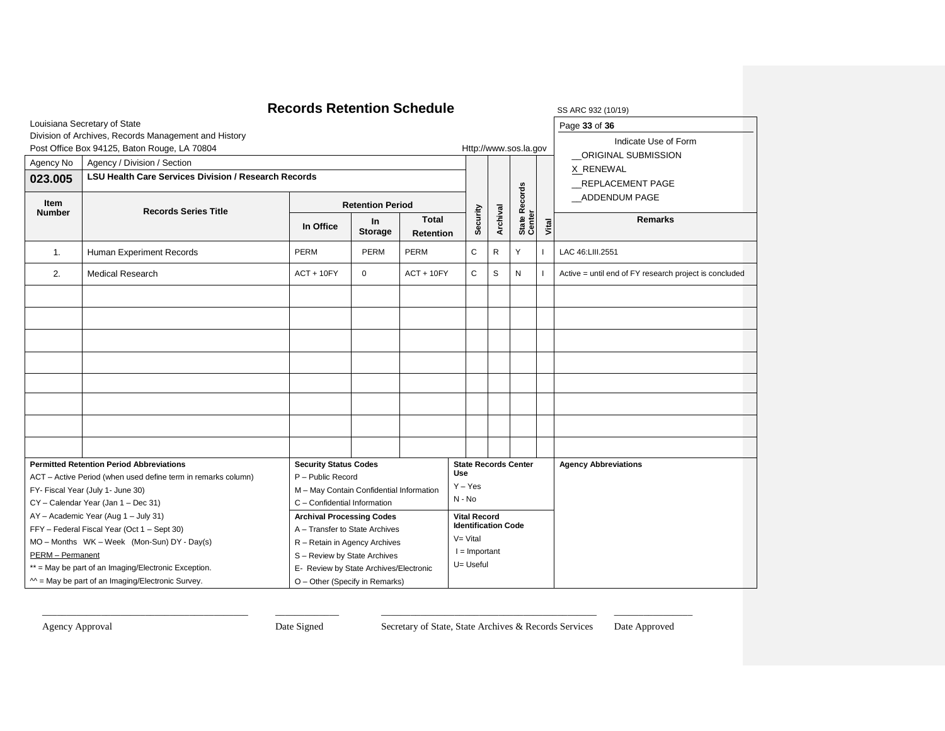|                  | <b>Records Retention Schedule</b>                             | SS ARC 932 (10/19)                                                     |                         |                                  |                       |                              |                            |                             |       |                                                        |
|------------------|---------------------------------------------------------------|------------------------------------------------------------------------|-------------------------|----------------------------------|-----------------------|------------------------------|----------------------------|-----------------------------|-------|--------------------------------------------------------|
|                  | Louisiana Secretary of State                                  | Page 33 of 36                                                          |                         |                                  |                       |                              |                            |                             |       |                                                        |
|                  | Division of Archives, Records Management and History          |                                                                        |                         |                                  |                       |                              |                            |                             |       | Indicate Use of Form                                   |
|                  | Post Office Box 94125, Baton Rouge, LA 70804                  |                                                                        |                         |                                  | Http://www.sos.la.gov |                              |                            |                             |       | ORIGINAL SUBMISSION                                    |
| Agency No        | Agency / Division / Section                                   |                                                                        |                         |                                  |                       |                              |                            |                             |       | X RENEWAL                                              |
| 023.005          | <b>LSU Health Care Services Division / Research Records</b>   |                                                                        |                         |                                  |                       |                              |                            |                             |       | REPLACEMENT PAGE                                       |
| Item             |                                                               |                                                                        |                         |                                  |                       |                              |                            |                             |       | ADDENDUM PAGE                                          |
| <b>Number</b>    | <b>Records Series Title</b>                                   |                                                                        | <b>Retention Period</b> |                                  |                       |                              |                            |                             |       |                                                        |
|                  |                                                               | In Office                                                              | In<br><b>Storage</b>    | <b>Total</b><br><b>Retention</b> |                       | Security                     | Archival                   | State Records<br>Center     | Vital | <b>Remarks</b>                                         |
| $\mathbf{1}$ .   | Human Experiment Records                                      | PERM                                                                   | PERM                    | PERM                             |                       | C                            | R                          | Y                           |       | LAC 46:LIII.2551                                       |
| 2.               | Medical Research                                              | $ACT + 10FY$                                                           | $\mathbf{0}$            | $ACT + 10FY$                     |                       | C                            | S                          | N                           |       | Active = until end of FY research project is concluded |
|                  |                                                               |                                                                        |                         |                                  |                       |                              |                            |                             |       |                                                        |
|                  |                                                               |                                                                        |                         |                                  |                       |                              |                            |                             |       |                                                        |
|                  |                                                               |                                                                        |                         |                                  |                       |                              |                            |                             |       |                                                        |
|                  |                                                               |                                                                        |                         |                                  |                       |                              |                            |                             |       |                                                        |
|                  |                                                               |                                                                        |                         |                                  |                       |                              |                            |                             |       |                                                        |
|                  |                                                               |                                                                        |                         |                                  |                       |                              |                            |                             |       |                                                        |
|                  |                                                               |                                                                        |                         |                                  |                       |                              |                            |                             |       |                                                        |
|                  |                                                               |                                                                        |                         |                                  |                       |                              |                            |                             |       |                                                        |
|                  | <b>Permitted Retention Period Abbreviations</b>               | <b>Security Status Codes</b>                                           |                         |                                  |                       |                              |                            | <b>State Records Center</b> |       | <b>Agency Abbreviations</b>                            |
|                  | ACT - Active Period (when used define term in remarks column) | P - Public Record                                                      |                         |                                  | Use<br>$Y - Yes$      |                              |                            |                             |       |                                                        |
|                  | FY- Fiscal Year (July 1- June 30)                             | M - May Contain Confidential Information                               |                         |                                  | N - No                |                              |                            |                             |       |                                                        |
|                  | CY - Calendar Year (Jan 1 - Dec 31)                           | C - Confidential Information                                           |                         |                                  |                       |                              |                            |                             |       |                                                        |
|                  | AY - Academic Year (Aug 1 - July 31)                          | <b>Archival Processing Codes</b>                                       |                         |                                  |                       | <b>Vital Record</b>          | <b>Identification Code</b> |                             |       |                                                        |
|                  | FFY - Federal Fiscal Year (Oct 1 - Sept 30)                   | A - Transfer to State Archives                                         |                         |                                  | $V = Vital$           |                              |                            |                             |       |                                                        |
|                  | MO - Months WK - Week (Mon-Sun) DY - Day(s)                   | R - Retain in Agency Archives                                          |                         |                                  |                       |                              |                            |                             |       |                                                        |
| PERM - Permanent |                                                               | S - Review by State Archives<br>E- Review by State Archives/Electronic |                         |                                  |                       | $I =$ Important<br>U= Useful |                            |                             |       |                                                        |
|                  | ** = May be part of an Imaging/Electronic Exception.          |                                                                        |                         |                                  |                       |                              |                            |                             |       |                                                        |
|                  | $M =$ May be part of an Imaging/Electronic Survey.            | O - Other (Specify in Remarks)                                         |                         |                                  |                       |                              |                            |                             |       |                                                        |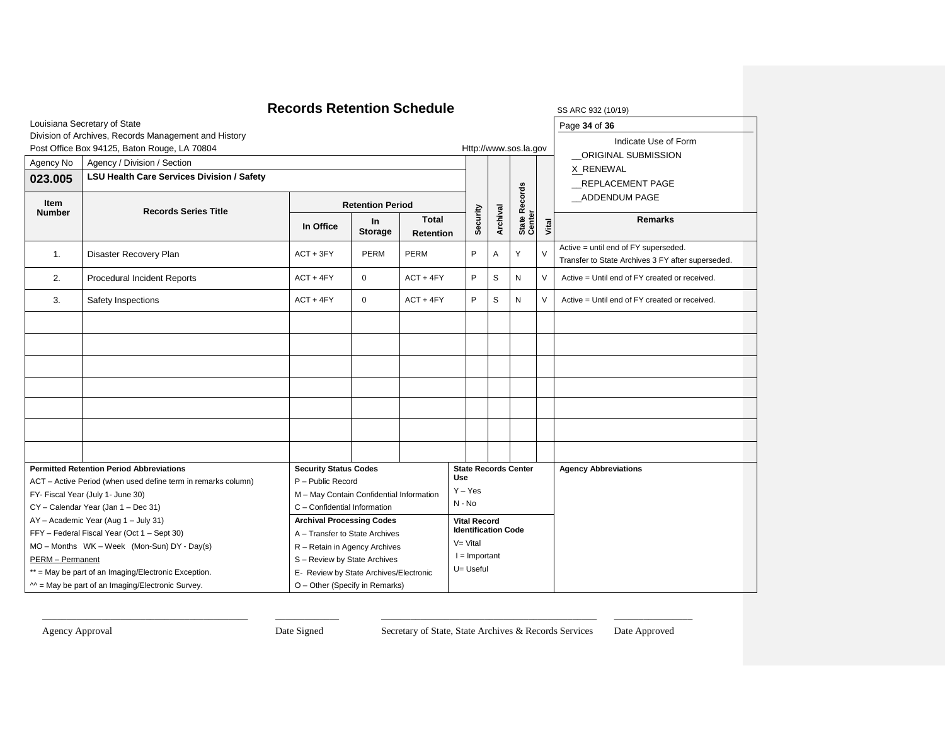|                |                                                               | <b>Records Retention Schedule</b>         |                                                                        |                                  |                       |                     |                              |                             |        | SS ARC 932 (10/19)                                                                        |  |  |
|----------------|---------------------------------------------------------------|-------------------------------------------|------------------------------------------------------------------------|----------------------------------|-----------------------|---------------------|------------------------------|-----------------------------|--------|-------------------------------------------------------------------------------------------|--|--|
|                | Louisiana Secretary of State                                  | Page 34 of 36                             |                                                                        |                                  |                       |                     |                              |                             |        |                                                                                           |  |  |
|                | Division of Archives, Records Management and History          |                                           |                                                                        |                                  |                       |                     |                              |                             |        | Indicate Use of Form                                                                      |  |  |
|                | Post Office Box 94125, Baton Rouge, LA 70804                  |                                           |                                                                        |                                  | Http://www.sos.la.gov |                     |                              |                             |        | ORIGINAL SUBMISSION                                                                       |  |  |
| Agency No      | Agency / Division / Section                                   |                                           |                                                                        |                                  |                       |                     |                              |                             |        | X RENEWAL                                                                                 |  |  |
| 023.005        | LSU Health Care Services Division / Safety                    |                                           |                                                                        |                                  |                       |                     |                              |                             |        | REPLACEMENT PAGE                                                                          |  |  |
|                |                                                               |                                           |                                                                        |                                  |                       |                     |                              |                             |        | _ADDENDUM PAGE                                                                            |  |  |
| Item<br>Number | <b>Records Series Title</b>                                   |                                           | <b>Retention Period</b>                                                |                                  |                       |                     |                              |                             |        |                                                                                           |  |  |
|                |                                                               | In Office                                 | In.<br><b>Storage</b>                                                  | <b>Total</b><br><b>Retention</b> |                       | Security            | Archival                     | State Records<br>Center     | Vital  | <b>Remarks</b>                                                                            |  |  |
| $\mathbf{1}$ . | Disaster Recovery Plan                                        | $ACT + 3FY$                               | <b>PERM</b>                                                            | PERM                             |                       | P                   | A                            | Y                           | $\vee$ | Active = until end of FY superseded.<br>Transfer to State Archives 3 FY after superseded. |  |  |
| 2.             | Procedural Incident Reports                                   | $ACT + 4FY$                               | $\mathbf 0$<br>$ACT + 4FY$                                             |                                  |                       | P                   | S                            | N                           | V      | Active = Until end of FY created or received.                                             |  |  |
| 3.             | Safety Inspections                                            | $ACT + 4FY$<br>$ACT + 4FY$<br>$\mathbf 0$ |                                                                        |                                  |                       | P                   | S                            | N                           | $\vee$ | Active = Until end of FY created or received.                                             |  |  |
|                |                                                               |                                           |                                                                        |                                  |                       |                     |                              |                             |        |                                                                                           |  |  |
|                |                                                               |                                           |                                                                        |                                  |                       |                     |                              |                             |        |                                                                                           |  |  |
|                |                                                               |                                           |                                                                        |                                  |                       |                     |                              |                             |        |                                                                                           |  |  |
|                |                                                               |                                           |                                                                        |                                  |                       |                     |                              |                             |        |                                                                                           |  |  |
|                |                                                               |                                           |                                                                        |                                  |                       |                     |                              |                             |        |                                                                                           |  |  |
|                |                                                               |                                           |                                                                        |                                  |                       |                     |                              |                             |        |                                                                                           |  |  |
|                |                                                               |                                           |                                                                        |                                  |                       |                     |                              |                             |        |                                                                                           |  |  |
|                | <b>Permitted Retention Period Abbreviations</b>               | <b>Security Status Codes</b>              |                                                                        |                                  | <b>Use</b>            |                     |                              | <b>State Records Center</b> |        | <b>Agency Abbreviations</b>                                                               |  |  |
|                | ACT - Active Period (when used define term in remarks column) | P - Public Record                         |                                                                        |                                  | $Y - Yes$             |                     |                              |                             |        |                                                                                           |  |  |
|                | FY- Fiscal Year (July 1- June 30)                             | M - May Contain Confidential Information  |                                                                        |                                  | N - No                |                     |                              |                             |        |                                                                                           |  |  |
|                | CY - Calendar Year (Jan 1 - Dec 31)                           | C - Confidential Information              |                                                                        |                                  |                       |                     |                              |                             |        |                                                                                           |  |  |
|                | AY - Academic Year (Aug 1 - July 31)                          | <b>Archival Processing Codes</b>          |                                                                        |                                  |                       | <b>Vital Record</b> | <b>Identification Code</b>   |                             |        |                                                                                           |  |  |
|                | FFY - Federal Fiscal Year (Oct 1 - Sept 30)                   | A - Transfer to State Archives            |                                                                        |                                  | $V = Vital$           |                     |                              |                             |        |                                                                                           |  |  |
|                | MO - Months WK - Week (Mon-Sun) DY - Day(s)                   |                                           | R - Retain in Agency Archives                                          |                                  |                       |                     |                              |                             |        |                                                                                           |  |  |
|                | PERM - Permanent                                              |                                           | S - Review by State Archives<br>E- Review by State Archives/Electronic |                                  |                       |                     | $I =$ Important<br>U= Useful |                             |        |                                                                                           |  |  |
|                | ** = May be part of an Imaging/Electronic Exception.          |                                           |                                                                        |                                  |                       |                     |                              |                             |        |                                                                                           |  |  |
|                | $M =$ May be part of an Imaging/Electronic Survey.            | O - Other (Specify in Remarks)            |                                                                        |                                  |                       |                     |                              |                             |        |                                                                                           |  |  |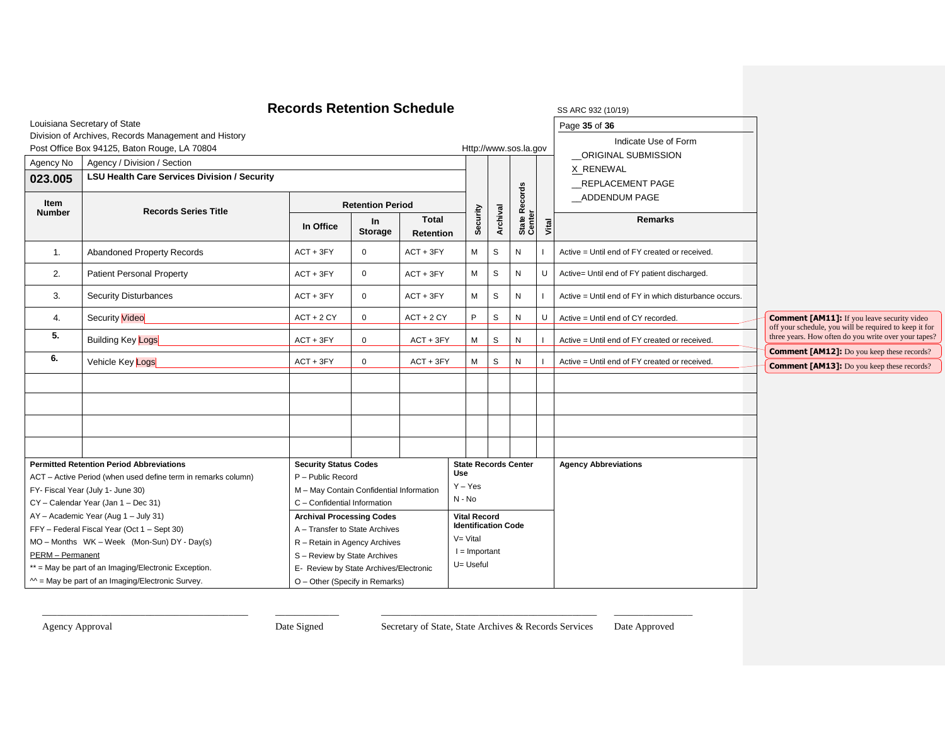|                                                      |                                                               | <b>Records Retention Schedule</b>        |                                                 |                                  |                     |          |                            |                             |       | SS ARC 932 (10/19)                                    |                                                                                                              |
|------------------------------------------------------|---------------------------------------------------------------|------------------------------------------|-------------------------------------------------|----------------------------------|---------------------|----------|----------------------------|-----------------------------|-------|-------------------------------------------------------|--------------------------------------------------------------------------------------------------------------|
|                                                      | Louisiana Secretary of State                                  |                                          |                                                 |                                  |                     |          |                            |                             |       | Page 35 of 36                                         |                                                                                                              |
|                                                      | Division of Archives, Records Management and History          |                                          |                                                 |                                  |                     |          |                            |                             |       | Indicate Use of Form                                  |                                                                                                              |
|                                                      | Post Office Box 94125, Baton Rouge, LA 70804                  |                                          |                                                 |                                  |                     |          |                            | Http://www.sos.la.gov       |       | _ORIGINAL SUBMISSION                                  |                                                                                                              |
| Agency No                                            | Agency / Division / Section                                   |                                          |                                                 |                                  |                     |          |                            |                             |       | X RENEWAL                                             |                                                                                                              |
| 023.005                                              | <b>LSU Health Care Services Division / Security</b>           |                                          |                                                 |                                  |                     |          |                            |                             |       | REPLACEMENT PAGE                                      |                                                                                                              |
| Item<br><b>Number</b>                                | <b>Records Series Title</b>                                   |                                          | <b>Retention Period</b>                         |                                  |                     |          |                            | <b>Records</b>              |       | _ADDENDUM PAGE                                        |                                                                                                              |
|                                                      |                                                               | In Office                                | In<br><b>Storage</b>                            | <b>Total</b><br><b>Retention</b> |                     | Security | Archival                   | State Re<br>Center          | Vital | <b>Remarks</b>                                        |                                                                                                              |
| 1.                                                   | <b>Abandoned Property Records</b>                             | $ACT + 3FY$                              | $\mathbf 0$                                     | $ACT + 3FY$                      |                     | M        | S                          | N                           |       | Active = Until end of FY created or received.         |                                                                                                              |
| 2.                                                   | <b>Patient Personal Property</b>                              | $ACT + 3FY$                              | $\mathbf 0$                                     | $ACT + 3FY$                      |                     | M        | $\mbox{{\sc s}}$           | ${\sf N}$                   | U     | Active= Until end of FY patient discharged.           |                                                                                                              |
| 3.                                                   | <b>Security Disturbances</b>                                  | $ACT + 3FY$                              | $\mathbf 0$                                     | $ACT + 3FY$                      |                     | M        | S                          | N                           |       | Active = Until end of FY in which disturbance occurs. |                                                                                                              |
| 4.                                                   | <b>Security Video</b>                                         | $ACT + 2 CY$                             | $\mathbf 0$                                     | $ACT + 2 CY$                     |                     | P        | S                          | N                           | U     | Active = Until end of CY recorded.                    | <b>Comment [AM11]:</b> If you leave security video<br>off your schedule, you will be required to keep it for |
| 5.                                                   | <b>Building Key Logs</b>                                      | $ACT + 3FY$                              | $\mathbf 0$                                     | $ACT + 3FY$                      |                     | M        | S                          | N                           |       | Active = Until end of FY created or received.         | three years. How often do you write over your tapes?<br><b>Comment [AM12]:</b> Do you keep these records?    |
| 6.                                                   | Vehicle Key Logs                                              | $ACT + 3FY$                              | $\mathbf 0$                                     | $ACT + 3FY$                      |                     | M        | S                          | N                           |       | Active = Until end of FY created or received.         | <b>Comment [AM13]:</b> Do you keep these records?                                                            |
|                                                      |                                                               |                                          |                                                 |                                  |                     |          |                            |                             |       |                                                       |                                                                                                              |
|                                                      |                                                               |                                          |                                                 |                                  |                     |          |                            |                             |       |                                                       |                                                                                                              |
|                                                      |                                                               |                                          |                                                 |                                  |                     |          |                            |                             |       |                                                       |                                                                                                              |
|                                                      |                                                               |                                          |                                                 |                                  |                     |          |                            |                             |       |                                                       |                                                                                                              |
|                                                      | <b>Permitted Retention Period Abbreviations</b>               | <b>Security Status Codes</b>             |                                                 |                                  |                     |          |                            | <b>State Records Center</b> |       | <b>Agency Abbreviations</b>                           |                                                                                                              |
|                                                      | ACT - Active Period (when used define term in remarks column) | P - Public Record                        |                                                 |                                  | Use                 |          |                            |                             |       |                                                       |                                                                                                              |
|                                                      | FY- Fiscal Year (July 1- June 30)                             | M - May Contain Confidential Information |                                                 |                                  | $Y - Yes$           |          |                            |                             |       |                                                       |                                                                                                              |
|                                                      | CY - Calendar Year (Jan 1 - Dec 31)                           | C - Confidential Information             |                                                 |                                  | N - No              |          |                            |                             |       |                                                       |                                                                                                              |
|                                                      | AY - Academic Year (Aug 1 - July 31)                          | <b>Archival Processing Codes</b>         |                                                 |                                  | <b>Vital Record</b> |          |                            |                             |       |                                                       |                                                                                                              |
|                                                      | FFY - Federal Fiscal Year (Oct 1 - Sept 30)                   | A - Transfer to State Archives           |                                                 |                                  |                     |          | <b>Identification Code</b> |                             |       |                                                       |                                                                                                              |
|                                                      | MO - Months WK - Week (Mon-Sun) DY - Day(s)                   | R - Retain in Agency Archives            |                                                 |                                  | $V = Vital$         |          |                            |                             |       |                                                       |                                                                                                              |
| PERM - Permanent                                     |                                                               |                                          | $I =$ Important<br>S - Review by State Archives |                                  |                     |          |                            |                             |       |                                                       |                                                                                                              |
| ** = May be part of an Imaging/Electronic Exception. |                                                               | E- Review by State Archives/Electronic   |                                                 |                                  | U= Useful           |          |                            |                             |       |                                                       |                                                                                                              |
| $M = May$ be part of an Imaging/Electronic Survey.   |                                                               | O - Other (Specify in Remarks)           |                                                 |                                  |                     |          |                            |                             |       |                                                       |                                                                                                              |